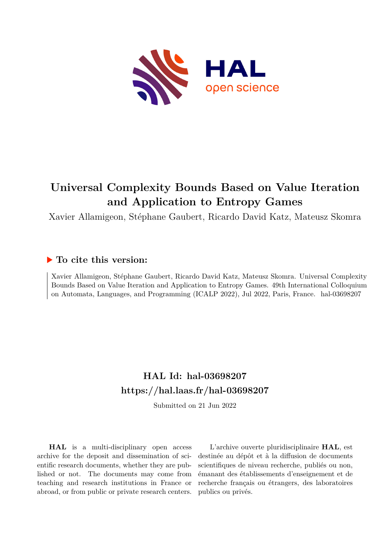

# **Universal Complexity Bounds Based on Value Iteration and Application to Entropy Games**

Xavier Allamigeon, Stéphane Gaubert, Ricardo David Katz, Mateusz Skomra

# **To cite this version:**

Xavier Allamigeon, Stéphane Gaubert, Ricardo David Katz, Mateusz Skomra. Universal Complexity Bounds Based on Value Iteration and Application to Entropy Games. 49th International Colloquium on Automata, Languages, and Programming (ICALP 2022), Jul 2022, Paris, France. hal-03698207

# **HAL Id: hal-03698207 <https://hal.laas.fr/hal-03698207>**

Submitted on 21 Jun 2022

**HAL** is a multi-disciplinary open access archive for the deposit and dissemination of scientific research documents, whether they are published or not. The documents may come from teaching and research institutions in France or abroad, or from public or private research centers.

L'archive ouverte pluridisciplinaire **HAL**, est destinée au dépôt et à la diffusion de documents scientifiques de niveau recherche, publiés ou non, émanant des établissements d'enseignement et de recherche français ou étrangers, des laboratoires publics ou privés.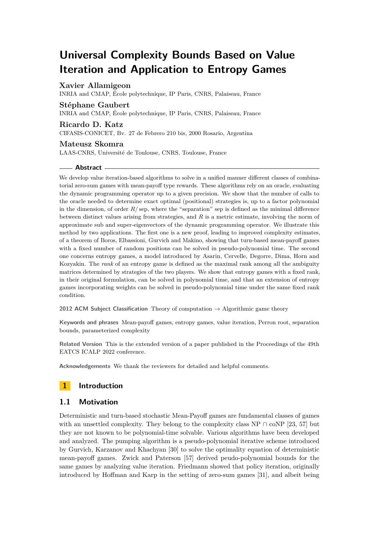# **Universal Complexity Bounds Based on Value Iteration and Application to Entropy Games**

# **Xavier Allamigeon**

INRIA and CMAP, École polytechnique, IP Paris, CNRS, Palaiseau, France

# **Stéphane Gaubert**

INRIA and CMAP, École polytechnique, IP Paris, CNRS, Palaiseau, France

## **Ricardo D. Katz**

CIFASIS-CONICET, Bv. 27 de Febrero 210 bis, 2000 Rosario, Argentina

# **Mateusz Skomra**

LAAS-CNRS, Université de Toulouse, CNRS, Toulouse, France

# **Abstract**

We develop value iteration-based algorithms to solve in a unified manner different classes of combinatorial zero-sum games with mean-payoff type rewards. These algorithms rely on an oracle, evaluating the dynamic programming operator up to a given precision. We show that the number of calls to the oracle needed to determine exact optimal (positional) strategies is, up to a factor polynomial in the dimension, of order  $R/\text{sep}$ , where the "separation" sep is defined as the minimal difference between distinct values arising from strategies, and *R* is a metric estimate, involving the norm of approximate sub and super-eigenvectors of the dynamic programming operator. We illustrate this method by two applications. The first one is a new proof, leading to improved complexity estimates, of a theorem of Boros, Elbassioni, Gurvich and Makino, showing that turn-based mean-payoff games with a fixed number of random positions can be solved in pseudo-polynomial time. The second one concerns entropy games, a model introduced by Asarin, Cervelle, Degorre, Dima, Horn and Kozyakin. The *rank* of an entropy game is defined as the maximal rank among all the ambiguity matrices determined by strategies of the two players. We show that entropy games with a fixed rank, in their original formulation, can be solved in polynomial time, and that an extension of entropy games incorporating weights can be solved in pseudo-polynomial time under the same fixed rank condition.

**2012 ACM Subject Classification** Theory of computation → Algorithmic game theory

**Keywords and phrases** Mean-payoff games, entropy games, value iteration, Perron root, separation bounds, parameterized complexity

**Related Version** This is the extended version of a paper published in the Proceedings of the 49th EATCS ICALP 2022 conference.

**Acknowledgements** We thank the reviewers for detailed and helpful comments.

# **1 Introduction**

# **1.1 Motivation**

Deterministic and turn-based stochastic Mean-Payoff games are fundamental classes of games with an unsettled complexity. They belong to the complexity class NP  $\cap$  coNP [23, 57] but they are not known to be polynomial-time solvable. Various algorithms have been developed and analyzed. The pumping algorithm is a pseudo-polynomial iterative scheme introduced by Gurvich, Karzanov and Khachyan [30] to solve the optimality equation of deterministic mean-payoff games. Zwick and Paterson [57] derived peudo-polynomial bounds for the same games by analyzing value iteration. Friedmann showed that policy iteration, originally introduced by Hoffman and Karp in the setting of zero-sum games [31], and albeit being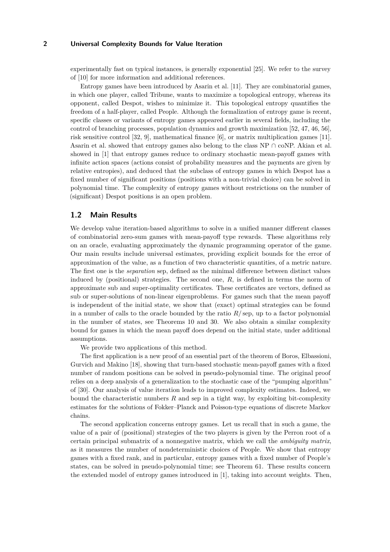experimentally fast on typical instances, is generally exponential [25]. We refer to the survey of [10] for more information and additional references.

Entropy games have been introduced by Asarin et al. [11]. They are combinatorial games, in which one player, called Tribune, wants to maximize a topological entropy, whereas its opponent, called Despot, wishes to minimize it. This topological entropy quantifies the freedom of a half-player, called People. Although the formalization of entropy game is recent, specific classes or variants of entropy games appeared earlier in several fields, including the control of branching processes, population dynamics and growth maximization [52, 47, 46, 56], risk sensitive control [32, 9], mathematical finance [6], or matrix multiplication games [11]. Asarin et al. showed that entropy games also belong to the class NP  $\cap$  coNP. Akian et al. showed in [1] that entropy games reduce to ordinary stochastic mean-payoff games with infinite action spaces (actions consist of probability measures and the payments are given by relative entropies), and deduced that the subclass of entropy games in which Despot has a fixed number of significant positions (positions with a non-trivial choice) can be solved in polynomial time. The complexity of entropy games without restrictions on the number of (significant) Despot positions is an open problem.

## **1.2 Main Results**

We develop value iteration-based algorithms to solve in a unified manner different classes of combinatorial zero-sum games with mean-payoff type rewards. These algorithms rely on an oracle, evaluating approximately the dynamic programming operator of the game. Our main results include universal estimates, providing explicit bounds for the error of approximation of the value, as a function of two characteristic quantities, of a metric nature. The first one is the *separation* sep, defined as the minimal difference between distinct values induced by (positional) strategies. The second one, *R*, is defined in terms the norm of approximate sub and super-optimality certificates. These certificates are vectors, defined as sub or super-solutions of non-linear eigenproblems. For games such that the mean payoff is independent of the initial state, we show that (exact) optimal strategies can be found in a number of calls to the oracle bounded by the ratio  $R/\text{sep}$ , up to a factor polynomial in the number of states, see Theorems 10 and 30. We also obtain a similar complexity bound for games in which the mean payoff does depend on the initial state, under additional assumptions.

We provide two applications of this method.

The first application is a new proof of an essential part of the theorem of Boros, Elbassioni, Gurvich and Makino [18], showing that turn-based stochastic mean-payoff games with a fixed number of random positions can be solved in pseudo-polynomial time. The original proof relies on a deep analysis of a generalization to the stochastic case of the "pumping algorithm" of [30]. Our analysis of value iteration leads to improved complexity estimates. Indeed, we bound the characteristic numbers *R* and sep in a tight way, by exploiting bit-complexity estimates for the solutions of Fokker–Planck and Poisson-type equations of discrete Markov chains.

The second application concerns entropy games. Let us recall that in such a game, the value of a pair of (positional) strategies of the two players is given by the Perron root of a certain principal submatrix of a nonnegative matrix, which we call the *ambiguity matrix*, as it measures the number of nondeterministic choices of People. We show that entropy games with a fixed rank, and in particular, entropy games with a fixed number of People's states, can be solved in pseudo-polynomial time; see Theorem 61. These results concern the extended model of entropy games introduced in [1], taking into account weights. Then,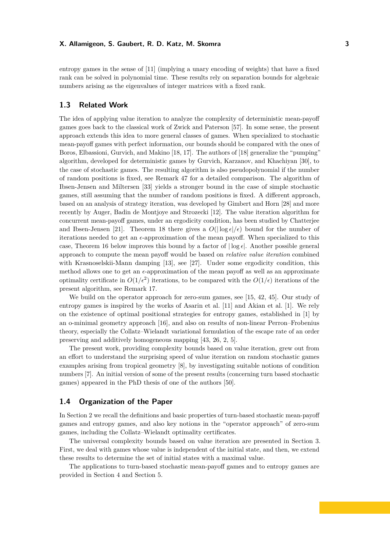entropy games in the sense of [11] (implying a unary encoding of weights) that have a fixed rank can be solved in polynomial time. These results rely on separation bounds for algebraic numbers arising as the eigenvalues of integer matrices with a fixed rank.

# **1.3 Related Work**

The idea of applying value iteration to analyze the complexity of deterministic mean-payoff games goes back to the classical work of Zwick and Paterson [57]. In some sense, the present approach extends this idea to more general classes of games. When specialized to stochastic mean-payoff games with perfect information, our bounds should be compared with the ones of Boros, Elbassioni, Gurvich, and Makino [18, 17]. The authors of [18] generalize the "pumping" algorithm, developed for deterministic games by Gurvich, Karzanov, and Khachiyan [30], to the case of stochastic games. The resulting algorithm is also pseudopolynomial if the number of random positions is fixed, see Remark 47 for a detailed comparison. The algorithm of Ibsen-Jensen and Miltersen [33] yields a stronger bound in the case of simple stochastic games, still assuming that the number of random positions is fixed. A different approach, based on an analysis of strategy iteration, was developed by Gimbert and Horn [28] and more recently by Auger, Badin de Montjoye and Strozecki [12]. The value iteration algorithm for concurrent mean-payoff games, under an ergodicity condition, has been studied by Chatterjee and Ibsen-Jensen [21]. Theorem 18 there gives a  $O(|\log \epsilon|/\epsilon)$  bound for the number of iterations needed to get an  $\epsilon$ -approximation of the mean payoff. When specialized to this case, Theorem 16 below improves this bound by a factor of  $|\log \epsilon|$ . Another possible general approach to compute the mean payoff would be based on *relative value iteration* combined with Krasnoselskii-Mann damping [13], see [27]. Under some ergodicity condition, this method allows one to get an  $\epsilon$ -approximation of the mean payoff as well as an approximate optimality certificate in  $O(1/\epsilon^2)$  iterations, to be compared with the  $O(1/\epsilon)$  iterations of the present algorithm, see Remark 17.

We build on the operator approach for zero-sum games, see [15, 42, 45]. Our study of entropy games is inspired by the works of Asarin et al. [11] and Akian et al. [1]. We rely on the existence of optimal positional strategies for entropy games, established in [1] by an o-minimal geometry approach [16], and also on results of non-linear Perron–Frobenius theory, especially the Collatz–Wielandt variational formulation of the escape rate of an order preserving and additively homogeneous mapping [43, 26, 2, 5].

The present work, providing complexity bounds based on value iteration, grew out from an effort to understand the surprising speed of value iteration on random stochastic games examples arising from tropical geometry [8], by investigating suitable notions of condition numbers [7]. An initial version of some of the present results (concerning turn based stochastic games) appeared in the PhD thesis of one of the authors [50].

# **1.4 Organization of the Paper**

In Section 2 we recall the definitions and basic properties of turn-based stochastic mean-payoff games and entropy games, and also key notions in the "operator approach" of zero-sum games, including the Collatz–Wielandt optimality certificates.

The universal complexity bounds based on value iteration are presented in Section 3. First, we deal with games whose value is independent of the initial state, and then, we extend these results to determine the set of initial states with a maximal value.

The applications to turn-based stochastic mean-payoff games and to entropy games are provided in Section 4 and Section 5.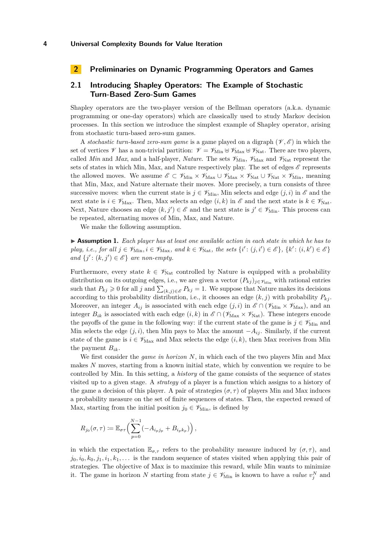# **2 Preliminaries on Dynamic Programming Operators and Games**

# **2.1 Introducing Shapley Operators: The Example of Stochastic Turn-Based Zero-Sum Games**

Shapley operators are the two-player version of the Bellman operators (a.k.a. dynamic programming or one-day operators) which are classically used to study Markov decision processes. In this section we introduce the simplest example of Shapley operator, arising from stochastic turn-based zero-sum games.

A *stochastic turn-based zero-sum game* is a game played on a digraph  $(\mathscr{V}, \mathscr{E})$  in which the set of vertices  $\mathscr V$  has a non-trivial partition:  $\mathscr V = \mathscr V_{\mathrm{Min}} \oplus \mathscr V_{\mathrm{Max}} \oplus \mathscr V_{\mathrm{Nat}}$ . There are two players, called *Min* and *Max*, and a half-player, *Nature*. The sets  $\mathscr{V}_{\text{Min}}$ ,  $\mathscr{V}_{\text{Max}}$  and  $\mathscr{V}_{\text{Nat}}$  represent the sets of states in which Min, Max, and Nature respectively play. The set of edges  $\mathscr E$  represents the allowed moves. We assume  $\mathscr{E} \subset \mathscr{V}_{\mathrm{Min}} \times \mathscr{V}_{\mathrm{Max}} \cup \mathscr{V}_{\mathrm{Max}} \times \mathscr{V}_{\mathrm{Nat}} \cup \mathscr{V}_{\mathrm{Nat}} \times \mathscr{V}_{\mathrm{Min}}$ , meaning that Min, Max, and Nature alternate their moves. More precisely, a turn consists of three successive moves: when the current state is  $j \in \mathcal{V}_{\text{Min}}$ , Min selects and edge  $(j, i)$  in  $\mathcal{E}$  and the next state is  $i \in \mathscr{V}_{\text{Max}}$ . Then, Max selects an edge  $(i, k)$  in  $\mathscr{E}$  and the next state is  $k \in \mathscr{V}_{\text{Nat}}$ . Next, Nature chooses an edge  $(k, j') \in \mathscr{E}$  and the next state is  $j' \in \mathscr{V}_{Min}$ . This process can be repeated, alternating moves of Min, Max, and Nature.

We make the following assumption.

▶ **Assumption 1.** *Each player has at least one available action in each state in which he has to*  $play, i.e., for all  $j \in \mathcal{V}_{\text{Min}}, i \in \mathcal{V}_{\text{Max}}, and k \in \mathcal{V}_{\text{Nat}}, the sets \{i': (j, i') \in \mathcal{E}\}, \{k': (i, k') \in \mathcal{E}\}$$ *and*  $\{j' : (k, j') \in \mathcal{E}\}$  *are non-empty.* 

Furthermore, every state  $k \in \mathcal{V}_{\text{Nat}}$  controlled by Nature is equipped with a probability distribution on its outgoing edges, i.e., we are given a vector  $(P_{kj})_{j\in\mathscr{V}_{\text{Min}}}$  with rational entries such that  $P_{kj} \geq 0$  for all *j* and  $\sum_{(k,j)\in\mathscr{E}} P_{kj} = 1$ . We suppose that Nature makes its decisions according to this probability distribution, i.e., it chooses an edge  $(k, j)$  with probability  $P_{kj}$ . Moreover, an integer  $A_{ij}$  is associated with each edge  $(j, i)$  in  $\mathscr{E} \cap (\mathscr{V}_{\text{Min}} \times \mathscr{V}_{\text{Max}})$ , and an integer  $B_{ik}$  is associated with each edge  $(i, k)$  in  $\mathscr{E} \cap (\mathscr{V}_{\text{Max}} \times \mathscr{V}_{\text{Nat}})$ . These integers encode the payoffs of the game in the following way: if the current state of the game is  $j \in \mathscr{V}_{\text{Min}}$  and Min selects the edge  $(j, i)$ , then Min pays to Max the amount  $-A_{ij}$ . Similarly, if the current state of the game is  $i \in \mathcal{V}_{\text{Max}}$  and Max selects the edge  $(i, k)$ , then Max receives from Min the payment  $B_{ik}$ .

We first consider the *game in horizon N*, in which each of the two players Min and Max makes N moves, starting from a known initial state, which by convention we require to be controlled by Min. In this setting, a *history* of the game consists of the sequence of states visited up to a given stage. A *strategy* of a player is a function which assigns to a history of the game a decision of this player. A pair of strategies  $(\sigma, \tau)$  of players Min and Max induces a probability measure on the set of finite sequences of states. Then, the expected reward of Max, starting from the initial position  $j_0 \in \mathscr{V}_{\text{Min}}$ , is defined by

$$
R_{j_0}(\sigma,\tau) \coloneqq \mathbb{E}_{\sigma\tau} \Big( \sum_{p=0}^{N-1} (-A_{i_p j_p} + B_{i_p k_p}) \Big),
$$

in which the expectation  $\mathbb{E}_{\sigma,\tau}$  refers to the probability measure induced by  $(\sigma,\tau)$ , and  $j_0, i_0, k_0, j_1, i_1, k_1, \ldots$  is the random sequence of states visited when applying this pair of strategies. The objective of Max is to maximize this reward, while Min wants to minimize it. The game in horizon *N* starting from state  $j \in \mathcal{V}_{\text{Min}}$  is known to have a *value*  $v_j^N$  and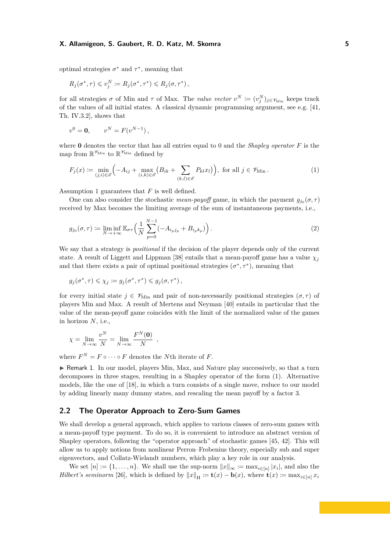optimal strategies  $\sigma^*$  and  $\tau^*$ , meaning that

$$
R_j(\sigma^*, \tau) \leq v_j^N \coloneqq R_j(\sigma^*, \tau^*) \leq R_j(\sigma, \tau^*)
$$

for all strategies  $\sigma$  of Min and  $\tau$  of Max. The *value vector*  $v^N \coloneqq (v^N_j)_{j \in \mathscr{V}_{\text{Min}}}$  keeps track of the values of all initial states. A classical dynamic programming argument, see e.g. [41, Th. IV.3.2], shows that

$$
v^0 = \mathbf{0}, \qquad v^N = F(v^{N-1}),
$$

where **0** denotes the vector that has all entries equal to 0 and the *Shapley operator F* is the map from  $\mathbb{R}^{\mathscr{V}_{\text{Min}}}$  to  $\mathbb{R}^{\mathscr{V}_{\text{Min}}}$  defined by

$$
F_j(x) \coloneqq \min_{(j,i)\in\mathscr{E}} \left( -A_{ij} + \max_{(i,k)\in\mathscr{E}} \left( B_{ik} + \sum_{(k,l)\in\mathscr{E}} P_{kl} x_l \right) \right), \text{ for all } j \in \mathscr{V}_{\text{Min}}. \tag{1}
$$

Assumption 1 guarantees that *F* is well defined.

One can also consider the stochastic *mean-payoff* game, in which the payment  $g_{j_0}(\sigma, \tau)$ received by Max becomes the limiting average of the sum of instantaneous payments, i.e.,

$$
g_{j_0}(\sigma, \tau) := \liminf_{N \to +\infty} \mathbb{E}_{\sigma\tau} \Big( \frac{1}{N} \sum_{p=0}^{N-1} (-A_{i_p j_p} + B_{i_p k_p}) \Big) . \tag{2}
$$

We say that a strategy is *positional* if the decision of the player depends only of the current state. A result of Liggett and Lippman [38] entails that a mean-payoff game has a value  $\chi_i$ and that there exists a pair of optimal positional strategies  $(\sigma^*, \tau^*)$ , meaning that

$$
g_j(\sigma^*, \tau) \leq \chi_j \coloneqq g_j(\sigma^*, \tau^*) \leq g_j(\sigma, \tau^*)\,,
$$

for every initial state  $j \in \mathcal{V}_{\text{Min}}$  and pair of non-necessarily positional strategies  $(\sigma, \tau)$  of players Min and Max. A result of Mertens and Neyman [40] entails in particular that the value of the mean-payoff game coincides with the limit of the normalized value of the games in horizon *N*, i.e.,

$$
\chi = \lim_{N \to \infty} \frac{v^N}{N} = \lim_{N \to \infty} \frac{F^N(\mathbf{0})}{N} ,
$$

where  $F^N = F \circ \cdots \circ F$  denotes the *N*th iterate of *F*.

► Remark 1. In our model, players Min, Max, and Nature play successively, so that a turn decomposes in three stages, resulting in a Shapley operator of the form (1). Alternative models, like the one of [18], in which a turn consists of a single move, reduce to our model by adding linearly many dummy states, and rescaling the mean payoff by a factor 3.

# **2.2 The Operator Approach to Zero-Sum Games**

We shall develop a general approach, which applies to various classes of zero-sum games with a mean-payoff type payment. To do so, it is convenient to introduce an abstract version of Shapley operators, following the "operator approach" of stochastic games [45, 42]. This will allow us to apply notions from nonlinear Perron–Frobenius theory, especially sub and super eigenvectors, and Collatz-Wielandt numbers, which play a key role in our analysis.

We set  $[n] := \{1, \ldots, n\}$ . We shall use the sup-norm  $||x||_{\infty} := \max_{i \in [n]} |x_i|$ , and also the *Hilbert's seminorm* [26], which is defined by  $||x||_H := \mathbf{t}(x) - \mathbf{b}(x)$ , where  $\mathbf{t}(x) := \max_{i \in [n]} x_i$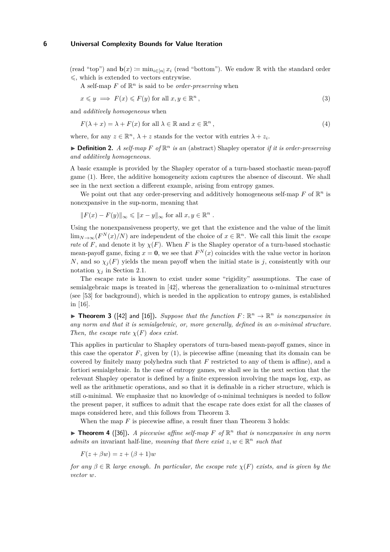(read "top") and  $\mathbf{b}(x) := \min_{i \in [n]} x_i$  (read "bottom"). We endow R with the standard order  $\leq$ , which is extended to vectors entrywise.

A self-map  $F$  of  $\mathbb{R}^n$  is said to be *order-preserving* when

$$
x \leq y \implies F(x) \leq F(y) \text{ for all } x, y \in \mathbb{R}^n,
$$
\n(3)

and *additively homogeneous* when

 $F(\lambda + x) = \lambda + F(x)$  for all  $\lambda \in \mathbb{R}$  and  $x \in \mathbb{R}^n$ *,* (4)

where, for any  $z \in \mathbb{R}^n$ ,  $\lambda + z$  stands for the vector with entries  $\lambda + z_i$ .

 $\blacktriangleright$  **Definition 2.** *A self-map F of*  $\mathbb{R}^n$  *is an* (abstract) Shapley operator *if it is order-preserving and additively homogeneous.*

A basic example is provided by the Shapley operator of a turn-based stochastic mean-payoff game (1). Here, the additive homogeneity axiom captures the absence of discount. We shall see in the next section a different example, arising from entropy games.

We point out that any order-preserving and additively homogeneous self-map  $F$  of  $\mathbb{R}^n$  is nonexpansive in the sup-norm, meaning that

$$
||F(x) - F(y)||_{\infty} \le ||x - y||_{\infty} \text{ for all } x, y \in \mathbb{R}^n.
$$

Using the nonexpansiveness property, we get that the existence and the value of the limit lim<sub>*N*→∞( $F^N(x)/N$ )</sub> are independent of the choice of  $x \in \mathbb{R}^n$ . We call this limit the *escape rate* of *F*, and denote it by  $\chi(F)$ . When *F* is the Shapley operator of a turn-based stochastic mean-payoff game, fixing  $x = 0$ , we see that  $F<sup>N</sup>(x)$  coincides with the value vector in horizon *N*, and so  $\chi_j(F)$  yields the mean payoff when the initial state is *j*, consistently with our notation  $\chi_i$  in Section 2.1.

The escape rate is known to exist under some "rigidity" assumptions. The case of semialgebraic maps is treated in [42], whereas the generalization to o-minimal structures (see [53] for background), which is needed in the application to entropy games, is established in [16].

**Findment 3** ([42] and [16]). Suppose that the function  $F: \mathbb{R}^n \to \mathbb{R}^n$  is nonexpansive in *any norm and that it is semialgebraic, or, more generally, defined in an o-minimal structure. Then, the escape rate*  $\chi(F)$  *does exist.* 

This applies in particular to Shapley operators of turn-based mean-payoff games, since in this case the operator  $F$ , given by  $(1)$ , is piecewise affine (meaning that its domain can be covered by finitely many polyhedra such that *F* restricted to any of them is affine), and a fortiori semialgebraic. In the case of entropy games, we shall see in the next section that the relevant Shapley operator is defined by a finite expression involving the maps log, exp, as well as the arithmetic operations, and so that it is definable in a richer structure, which is still o-minimal. We emphasize that no knowledge of o-minimal techniques is needed to follow the present paper, it suffices to admit that the escape rate does exist for all the classes of maps considered here, and this follows from Theorem 3.

When the map *F* is piecewise affine, a result finer than Theorem 3 holds:

**Theorem 4** ([36]). *A piecewise affine self-map*  $F$  *of*  $\mathbb{R}^n$  *that is nonexpansive in any norm admits an* invariant half-line, meaning that there exist  $z, w \in \mathbb{R}^n$  such that

$$
F(z + \beta w) = z + (\beta + 1)w
$$

*for any*  $\beta \in \mathbb{R}$  *large enough. In particular, the escape rate*  $\chi(F)$  *exists, and is given by the vector w.*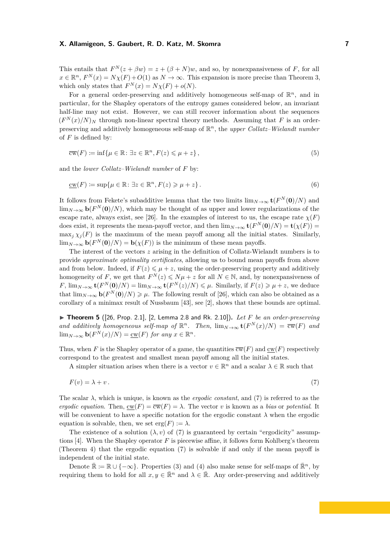This entails that  $F^{N}(z + \beta w) = z + (\beta + N)w$ , and so, by nonexpansiveness of *F*, for all  $x \in \mathbb{R}^n$ ,  $F^N(x) = N\chi(F) + O(1)$  as  $N \to \infty$ . This expansion is more precise than Theorem 3, which only states that  $F^N(x) = N\chi(F) + o(N)$ .

For a general order-preserving and additively homogeneous self-map of  $\mathbb{R}^n$ , and in particular, for the Shapley operators of the entropy games considered below, an invariant half-line may not exist. However, we can still recover information about the sequences  $(F^N(x)/N)_N$  through non-linear spectral theory methods. Assuming that *F* is an orderpreserving and additively homogeneous self-map of R *<sup>n</sup>*, the *upper Collatz–Wielandt number* of *F* is defined by:

$$
\overline{\mathrm{cw}}(F) \coloneqq \inf \{ \mu \in \mathbb{R} \colon \exists z \in \mathbb{R}^n, F(z) \leq \mu + z \},\tag{5}
$$

and the *lower Collatz–Wielandt number* of *F* by:

$$
\underline{\mathrm{cw}}(F) \coloneqq \sup \{ \mu \in \mathbb{R} \colon \exists z \in \mathbb{R}^n, F(z) \geq \mu + z \}. \tag{6}
$$

It follows from Fekete's subadditive lemma that the two limits  $\lim_{N\to\infty}$ **t**( $F^N(\mathbf{0})/N$ ) and  $\lim_{N\to\infty}$  **b**( $F^N(\mathbf{0})/N$ ), which may be thought of as upper and lower regularizations of the escape rate, always exist, see [26]. In the examples of interest to us, the escape rate  $\chi(F)$ does exist, it represents the mean-payoff vector, and then  $\lim_{N\to\infty}$ **t** $(F^N(0)/N) =$ **t** $(\chi(F))$  =  $\max_i \chi_i(F)$  is the maximum of the mean payoff among all the initial states. Similarly,  $\lim_{N\to\infty}$  **b** $(F^N(0)/N) =$  **b** $(\chi(F))$  is the minimum of these mean payoffs.

The interest of the vectors *z* arising in the definition of Collatz-Wielandt numbers is to provide *approximate optimality certificates*, allowing us to bound mean payoffs from above and from below. Indeed, if  $F(z) \le \mu + z$ , using the order-preserving property and additively homogeneity of *F*, we get that  $F^N(z) \leq N\mu + z$  for all  $N \in \mathbb{N}$ , and, by nonexpansiveness of  $F$ ,  $\lim_{N\to\infty}$  **t** $(F^N(0)/N) = \lim_{N\to\infty}$  **t** $(F^N(z)/N) \leq \mu$ . Similarly, if  $F(z) \geq \mu + z$ , we deduce that  $\lim_{N\to\infty}$  **b**( $F^N(0)/N$ )  $\geq \mu$ . The following result of [26], which can also be obtained as a corollary of a minimax result of Nussbaum [43], see [2], shows that these bounds are optimal.

▶ Theorem 5 ([26, Prop. 2.1], [2, Lemma 2.8 and Rk. 2.10]). *Let F* be an order-preserving and additively homogeneous self-map of  $\mathbb{R}^n$ . Then,  $\lim_{N\to\infty}$  **t**( $F^N(x)/N$ ) =  $\overline{cw}(F)$  and  $\lim_{N \to \infty}$  **b**( $F^N(x)/N$ ) = <u>cw</u>(*F*) *for any*  $x \in \mathbb{R}^n$ *.* 

Thus, when *F* is the Shapley operator of a game, the quantities  $\overline{cw}(F)$  and  $cw(F)$  respectively correspond to the greatest and smallest mean payoff among all the initial states.

A simpler situation arises when there is a vector  $v \in \mathbb{R}^n$  and a scalar  $\lambda \in \mathbb{R}$  such that

$$
F(v) = \lambda + v. \tag{7}
$$

The scalar *λ*, which is unique, is known as the *ergodic constant*, and (7) is referred to as the *ergodic equation.* Then,  $cw(F) = \overline{cw}(F) = \lambda$ . The vector *v* is known as a *bias* or *potential*. It will be convenient to have a specific notation for the ergodic constant  $\lambda$  when the ergodic equation is solvable, then, we set erg $(F) := \lambda$ .

The existence of a solution  $(\lambda, v)$  of (7) is guaranteed by certain "ergodicity" assumptions [4]. When the Shapley operator *F* is piecewise affine, it follows form Kohlberg's theorem (Theorem 4) that the ergodic equation (7) is solvable if and only if the mean payoff is independent of the initial state.

Denote  $\mathbb{R} := \mathbb{R} \cup \{-\infty\}$ . Properties (3) and (4) also make sense for self-maps of  $\mathbb{R}^n$ , by requiring them to hold for all  $x, y \in \mathbb{R}^n$  and  $\lambda \in \mathbb{R}$ . Any order-preserving and additively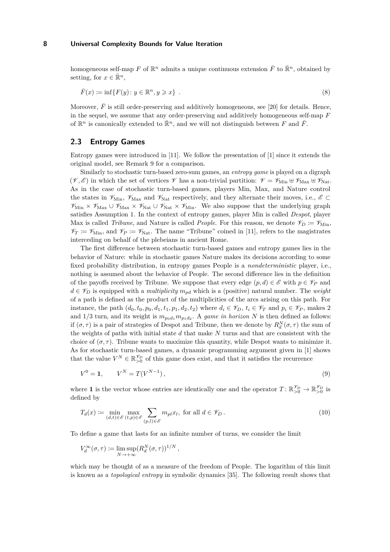homogeneous self-map  $F$  of  $\mathbb{R}^n$  admits a unique continuous extension  $\bar{F}$  to  $\bar{\mathbb{R}}^n$ , obtained by setting, for  $x \in \mathbb{R}^n$ ,

$$
\overline{F}(x) := \inf\{F(y) : y \in \mathbb{R}^n, y \geqslant x\} \tag{8}
$$

Moreover,  $\bar{F}$  is still order-preserving and additively homogeneous, see [20] for details. Hence, in the sequel, we assume that any order-preserving and additively homogeneous self-map *F* of  $\mathbb{R}^n$  is canonically extended to  $\overline{\mathbb{R}}^n$ , and we will not distinguish between  $F$  and  $\overline{F}$ .

# **2.3 Entropy Games**

Entropy games were introduced in [11]. We follow the presentation of [1] since it extends the original model, see Remark 9 for a comparison.

Similarly to stochastic turn-based zero-sum games, an *entropy game* is played on a digraph  $(\mathscr{V}, \mathscr{E})$  in which the set of vertices  $\mathscr{V}$  has a non-trivial partition:  $\mathscr{V} = \mathscr{V}_{\text{Min}} \oplus \mathscr{V}_{\text{Max}} \oplus \mathscr{V}_{\text{Nat}}$ . As in the case of stochastic turn-based games, players Min, Max, and Nature control the states in  $\mathscr{V}_{\text{Min}}$ ,  $\mathscr{V}_{\text{Max}}$  and  $\mathscr{V}_{\text{Nat}}$  respectively, and they alternate their moves, i.e.,  $\mathscr{E} \subset$  $\mathscr{V}_{\text{Min}} \times \mathscr{V}_{\text{Max}} \cup \mathscr{V}_{\text{Nat}} \times \mathscr{V}_{\text{Nat}} \times \mathscr{V}_{\text{Min}}$ . We also suppose that the underlying graph satisfies Assumption 1. In the context of entropy games, player Min is called *Despot*, player Max is called *Tribune*, and Nature is called *People*. For this reason, we denote  $\mathscr{V}_D \coloneqq \mathscr{V}_{\text{Min}}$ ,  $\mathscr{V}_T := \mathscr{V}_{\text{Min}}$ , and  $\mathscr{V}_P := \mathscr{V}_{\text{Nat}}$ . The name "Tribune" coined in [11], refers to the magistrates interceding on behalf of the plebeians in ancient Rome.

The first difference between stochastic turn-based games and entropy games lies in the behavior of Nature: while in stochastic games Nature makes its decisions according to some fixed probability distribution, in entropy games People is a *nondeterministic* player, i.e., nothing is assumed about the behavior of People. The second difference lies in the definition of the payoffs received by Tribune. We suppose that every edge  $(p, d) \in \mathscr{E}$  with  $p \in \mathscr{V}_P$  and  $d \in \mathscr{V}_D$  is equipped with a *multiplicity*  $m_{pd}$  which is a (positive) natural number. The *weight* of a path is defined as the product of the multiplicities of the arcs arising on this path. For instance, the path  $(d_0, t_0, p_0, d_1, t_1, p_1, d_2, t_2)$  where  $d_i \in \mathcal{V}_D$ ,  $t_i \in \mathcal{V}_T$  and  $p_i \in \mathcal{V}_P$ , makes 2 and  $1/3$  turn, and its weight is  $m_{p_0d_1}m_{p_1d_2}$ . A *game in horizon* N is then defined as follows: if  $(\sigma, \tau)$  is a pair of strategies of Despot and Tribune, then we denote by  $R_d^N(\sigma, \tau)$  the sum of the weights of paths with initial state *d* that make *N* turns and that are consistent with the choice of  $(\sigma, \tau)$ . Tribune wants to maximize this quantity, while Despot wants to minimize it. As for stochastic turn-based games, a dynamic programming argument given in [1] shows that the value  $V^N \in \mathbb{R}_{>0}^{\mathscr{V}_D}$  of this game does exist, and that it satisfies the recurrence

$$
V^0 = 1, \qquad V^N = T(V^{N-1}), \tag{9}
$$

where **1** is the vector whose entries are identically one and the operator  $T: \mathbb{R}_{>0}^{\mathscr{V}_D} \to \mathbb{R}_{>0}^{\mathscr{V}_D}$  is defined by

$$
T_d(x) := \min_{(d,t)\in\mathscr{E}} \max_{(t,p)\in\mathscr{E}} \sum_{(p,l)\in\mathscr{E}} m_{pl} x_l, \text{ for all } d \in \mathscr{V}_D.
$$
 (10)

To define a game that lasts for an infinite number of turns, we consider the limit

$$
V_d^{\infty}(\sigma, \tau) \coloneqq \limsup_{N \to +\infty} (R_d^N(\sigma, \tau))^{1/N},
$$

which may be thought of as a measure of the freedom of People. The logarithm of this limit is known as a *topological entropy* in symbolic dynamics [35]. The following result shows that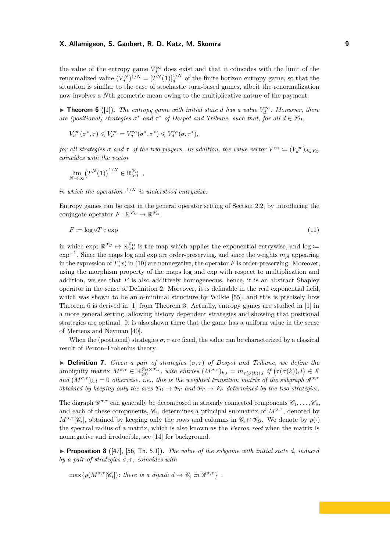the value of the entropy game  $V_d^{\infty}$  does exist and that it coincides with the limit of the renormalized value  $(V_d^N)^{1/N} = [T^N(1)]_d^{1/N}$  of the finite horizon entropy game, so that the situation is similar to the case of stochastic turn-based games, albeit the renormalization now involves a *N*th geometric mean owing to the multiplicative nature of the payment.

▶ **Theorem 6** ([1]). *The entropy game with initial state d has a value*  $V_d^{\infty}$ *. Moreover, there are (positional) strategies*  $\sigma^*$  *and*  $\tau^*$  *of Despot and Tribune, such that, for all*  $d \in \mathcal{V}_D$ *,* 

$$
V_d^\infty(\sigma^*,\tau) \leqslant V_d^\infty = V_d^\infty(\sigma^*,\tau^*) \leqslant V_d^\infty(\sigma,\tau^*),
$$

*for all strategies*  $\sigma$  *and*  $\tau$  *of the two players. In addition, the value vector*  $V^{\infty} \coloneqq (V_d^{\infty})_{d \in \mathscr{V}_D}$ *coincides with the vector*

$$
\lim_{N\to\infty} (T^N(\mathbf{1}))^{1/N} \in \mathbb{R}_{>0}^{\mathscr{V}_D} ,
$$

*in which the operation* · <sup>1</sup>*/N is understood entrywise.*

Entropy games can be cast in the general operator setting of Section 2.2, by introducing the conjugate operator  $F: \mathbb{R}^{\mathscr{V}_D} \to \mathbb{R}^{\mathscr{V}_D}$ ,

$$
F \coloneqq \log \circ T \circ \exp \tag{11}
$$

in which exp:  $\mathbb{R}^{\mathscr{V}_D} \mapsto \mathbb{R}_{>0}^{\mathscr{V}_D}$  is the map which applies the exponential entrywise, and log := exp<sup>−</sup><sup>1</sup> . Since the maps log and exp are order-preserving, and since the weights *mpl* appearing in the expression of  $T(x)$  in (10) are nonnegative, the operator  $F$  is order-preserving. Moreover, using the morphism property of the maps log and exp with respect to multiplication and addition, we see that  $F$  is also additively homogeneous, hence, it is an abstract Shapley operator in the sense of Definition 2. Moreover, it is definable in the real exponential field, which was shown to be an o-minimal structure by Wilkie [55], and this is precisely how Theorem 6 is derived in [1] from Theorem 3. Actually, entropy games are studied in [1] in a more general setting, allowing history dependent strategies and showing that positional strategies are optimal. It is also shown there that the game has a uniform value in the sense of Mertens and Neyman [40].

When the (positional) strategies  $\sigma$ ,  $\tau$  are fixed, the value can be characterized by a classical result of Perron–Frobenius theory.

 $\triangleright$  **Definition 7.** *Given a pair of strategies*  $(\sigma, \tau)$  *of Despot and Tribune, we define the* ambiguity matrix  $M^{\sigma,\tau} \in \mathbb{R}_{\geqslant 0}^{\mathscr{V}_{D} \times \mathscr{V}_{D}}$ , with entries  $(M^{\sigma,\tau})_{k,l} = m_{\tau(\sigma(k)),l}$  if  $(\tau(\sigma(k)),l) \in \mathscr{E}_{D}$ and  $(M^{\sigma,\tau})_{k,l} = 0$  otherwise, i.e., this is the weighted transition matrix of the subgraph  $\mathscr{G}^{\sigma,\tau}$ *obtained by keeping only the arcs*  $\mathcal{V}_D \to \mathcal{V}_T$  *and*  $\mathcal{V}_T \to \mathcal{V}_P$  *determined by the two strategies.* 

The digraph  $\mathscr{G}^{\sigma,\tau}$  can generally be decomposed in strongly connected components  $\mathscr{C}_1,\ldots,\mathscr{C}_s$ , and each of these components,  $\mathcal{C}_i$ , determines a principal submatrix of  $M^{\sigma,\tau}$ , denoted by  $M^{\sigma,\tau}[\mathscr{C}_i]$ , obtained by keeping only the rows and columns in  $\mathscr{C}_i \cap \mathscr{V}_D$ . We denote by  $\rho(\cdot)$ the spectral radius of a matrix, which is also known as the *Perron root* when the matrix is nonnegative and irreducible, see [14] for background.

**Proposition 8** ([47], [56, Th. 5.1]). *The value of the subgame with initial state d, induced by a pair of strategies*  $\sigma$ ,  $\tau$ , *coincides with* 

 $\max\{\rho(M^{\sigma,\tau}[\mathscr{C}_i]): \text{ there is a dipath } d \to \mathscr{C}_i \text{ in } \mathscr{G}^{\sigma,\tau}\}\.$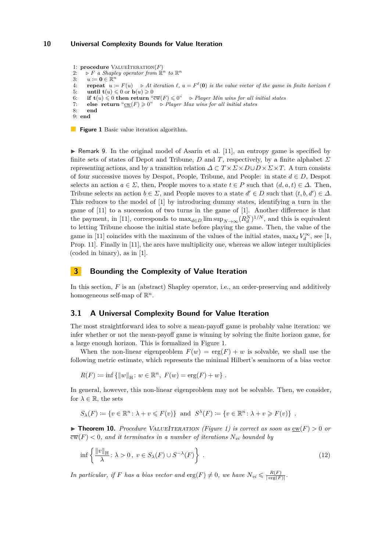1: **procedure** VALUEITERATION $(F)$ 2:  $\Phi \vDash B$  *a Shapley operator from*  $\mathbb{R}^n$  *to*  $\mathbb{R}^n$ 3:  $u \coloneqq \mathbf{0} \in \mathbb{R}^n$ 4: **repeat**  $u := F(u) \Rightarrow At \ iteration \ell, u = F^{\ell}(\mathbf{0})$  *is the value vector of the game in finite horizon*  $\ell$ 5: **until**  $\mathbf{t}(u) \leq 0$  or  $\mathbf{b}(u) \geq 0$ 6: **if**  $\mathbf{t}(u) \leq 0$  **then return** " $\overline{cw}(F) \leq 0$ " *... Player Min wins for all initial states* 7: **else return** " $\underline{\text{cw}}(F) \ge 0$ "  $\triangleright$  *Player Max wins for all initial states*<br>8: **end** 8: **end** 9: **end**

**Figure 1** Basic value iteration algorithm.

 $\blacktriangleright$  Remark 9. In the original model of Asarin et al. [11], an entropy game is specified by finite sets of states of Depot and Tribune, *D* and *T*, respectively, by a finite alphabet *Σ* representing actions, and by a transition relation  $\Delta \subset T \times \Sigma \times D \cup D \times \Sigma \times T$ . A turn consists of four successive moves by Despot, People, Tribune, and People: in state  $d \in D$ , Despot selects an action  $a \in \Sigma$ , then, People moves to a state  $t \in P$  such that  $(d, a, t) \in \Delta$ . Then, Tribune selects an action  $b \in \Sigma$ , and People moves to a state  $d' \in D$  such that  $(t, b, d') \in \Delta$ . This reduces to the model of [1] by introducing dummy states, identifying a turn in the game of [11] to a succession of two turns in the game of [1]. Another difference is that the payment, in [11], corresponds to  $\max_{d \in D} \limsup_{N \to \infty} (R_d^N)^{1/N}$ , and this is equivalent to letting Tribune choose the initial state before playing the game. Then, the value of the game in [11] coincides with the maximum of the values of the initial states,  $\max_d V_d^{\infty}$ , see [1, Prop. 11]. Finally in [11], the arcs have multiplicity one, whereas we allow integer multiplicies (coded in binary), as in [1].

# **3 Bounding the Complexity of Value Iteration**

In this section, *F* is an (abstract) Shapley operator, i.e., an order-preserving and additively homogeneous self-map of  $\mathbb{R}^n$ .

# **3.1 A Universal Complexity Bound for Value Iteration**

The most straightforward idea to solve a mean-payoff game is probably value iteration: we infer whether or not the mean-payoff game is winning by solving the finite horizon game, for a large enough horizon. This is formalized in Figure 1.

When the non-linear eigenproblem  $F(w) = \text{erg}(F) + w$  is solvable, we shall use the following metric estimate, which represents the minimal Hilbert's seminorm of a bias vector

$$
R(F) := \inf \{ ||w||_H : w \in \mathbb{R}^n, F(w) = \text{erg}(F) + w \} .
$$

In general, however, this non-linear eigenproblem may not be solvable. Then, we consider, for  $\lambda \in \mathbb{R}$ , the sets

$$
S_{\lambda}(F) \coloneqq \{v \in \mathbb{R}^n \colon \lambda + v \leq F(v)\} \text{ and } S^{\lambda}(F) \coloneqq \{v \in \mathbb{R}^n \colon \lambda + v \geq F(v)\} .
$$

 $\triangleright$  **Theorem 10.** Procedure VALUEITERATION (Figure 1) is correct as soon as  $\text{cw}(F) > 0$  or  $\overline{\text{cw}}(F) < 0$ , and it terminates in a number of iterations  $N_{vi}$  bounded by

$$
\inf \left\{ \frac{\|v\|_{\mathcal{H}}}{\lambda} : \lambda > 0, \ v \in S_{\lambda}(F) \cup S^{-\lambda}(F) \right\} \ . \tag{12}
$$

*In particular, if F has a bias vector and*  $\text{erg}(F) \neq 0$ *, we have*  $N_{vi} \leq \frac{R(F)}{\log(F)}$  $\frac{R(F)}{|\arg(F)|}$ .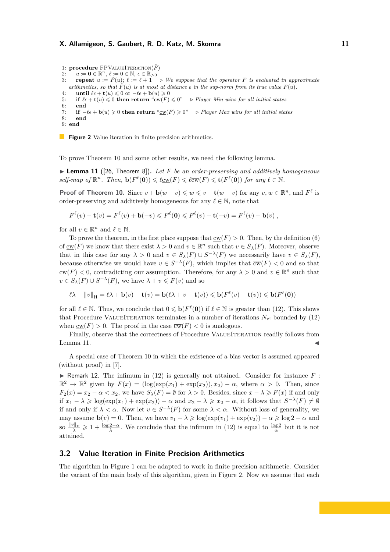```
1: procedure FPVALUEITERATION(\tilde{F})<br>2: u = 0 \in \mathbb{R}^n \ell = 0 \in \mathbb{N} \epsilon \in \mathbb{R}_{>0}
```

```
2: u := \mathbf{0} \in \mathbb{R}^n, \, \ell := 0 \in \mathbb{N}, \, \epsilon \in \mathbb{R}_{>0}
```

```
3: repeat u := \overline{F}(u); \ell := \ell + 1 vioure We suppose that the operator F is evaluated in approximate
  arithmetics, so that \tilde{F}(u) is at most at distance \epsilon in the sup-norm from its true value F(u).
```

```
4: until \ell \in \mathbf{t}(u) \leq 0 or -\ell \in \mathbf{b}(u) \geq 0
```

```
5: if \ell \in \mathbf{t}(u) \leq 0 then return \sqrt[n]{\infty}(F) \leq 0" ... Player Min wins for all initial states
```

```
6: end
7: if -\ell \epsilon + \mathbf{b}(u) \ge 0 then return "\underline{\text{cw}}(F) \ge 0" ... Player Max wins for all initial states<br>8: end
        8: end
```

```
9: end
```
**Figure 2** Value iteration in finite precision arithmetics.

To prove Theorem 10 and some other results, we need the following lemma.

▶ **Lemma 11** ([26, Theorem 8]). Let *F* be an order-preserving and additively homogeneous  $self$ *-map of*  $\mathbb{R}^n$ *. Then,*  $\mathbf{b}(F^{\ell}(\mathbf{0})) \leq \ell_{\mathbb{C}\mathbb{W}}(F) \leq \ell_{\mathbb{C}\mathbb{W}}(F) \leq \mathbf{t}(F^{\ell}(\mathbf{0}))$  *for any*  $\ell \in \mathbb{N}$ *.* 

**Proof of Theorem 10.** Since  $v + \mathbf{b}(w - v) \leq w \leq v + \mathbf{t}(w - v)$  for any  $v, w \in \mathbb{R}^n$ , and  $F^{\ell}$  is order-preserving and additively homogeneous for any  $\ell \in \mathbb{N}$ , note that

$$
F^{\ell}(v) - \mathbf{t}(v) = F^{\ell}(v) + \mathbf{b}(-v) \leq F^{\ell}(\mathbf{0}) \leq F^{\ell}(v) + \mathbf{t}(-v) = F^{\ell}(v) - \mathbf{b}(v) ,
$$

for all  $v \in \mathbb{R}^n$  and  $\ell \in \mathbb{N}$ .

To prove the theorem, in the first place suppose that  $\text{cw}(F) > 0$ . Then, by the definition (6) of  $\underline{\mathrm{cw}}(F)$  we know that there exist  $\lambda > 0$  and  $v \in \mathbb{R}^n$  such that  $v \in S_{\lambda}(F)$ . Moreover, observe that in this case for any  $\lambda > 0$  and  $v \in S_{\lambda}(F) \cup S^{-\lambda}(F)$  we necessarily have  $v \in S_{\lambda}(F)$ , because otherwise we would have  $v \in S^{-\lambda}(F)$ , which implies that  $\overline{cw}(F) < 0$  and so that  $\underline{\mathrm{cw}}(F) < 0$ , contradicting our assumption. Therefore, for any  $\lambda > 0$  and  $v \in \mathbb{R}^n$  such that  $v \in S_\lambda(F) \cup S^{-\lambda}(F)$ , we have  $\lambda + v \leq F(v)$  and so

$$
\ell \lambda - ||v||_{\mathcal{H}} = \ell \lambda + \mathbf{b}(v) - \mathbf{t}(v) = \mathbf{b}(\ell \lambda + v - \mathbf{t}(v)) \leqslant \mathbf{b}(F^{\ell}(v) - \mathbf{t}(v)) \leqslant \mathbf{b}(F^{\ell}(\mathbf{0}))
$$

for all  $\ell \in \mathbb{N}$ . Thus, we conclude that  $0 \leq \mathbf{b}(F^{\ell}(\mathbf{0}))$  if  $\ell \in \mathbb{N}$  is greater than (12). This shows that Procedure VALUEITERATION terminates in a number of iterations  $N_{\rm{vi}}$  bounded by (12) when  $cw(F) > 0$ . The proof in the case  $\overline{cw}(F) < 0$  is analogous.

Finally, observe that the correctness of Procedure VALUEITERATION readily follows from Lemma 11.  $\blacksquare$ 

A special case of Theorem 10 in which the existence of a bias vector is assumed appeared (without proof) in [7].

**If Remark 12.** The infimum in (12) is generally not attained. Consider for instance  $F$ :  $\mathbb{R}^2 \to \mathbb{R}^2$  given by  $F(x) = (\log(\exp(x_1) + \exp(x_2)), x_2) - \alpha$ , where  $\alpha > 0$ . Then, since  $F_2(x) = x_2 - \alpha < x_2$ , we have  $S_\lambda(F) = \emptyset$  for  $\lambda > 0$ . Besides, since  $x - \lambda \geq F(x)$  if and only if  $x_1 - \lambda \geqslant \log(\exp(x_1) + \exp(x_2)) - \alpha$  and  $x_2 - \lambda \geqslant x_2 - \alpha$ , it follows that  $S^{-\lambda}(F) \neq \emptyset$ if and only if  $\lambda < \alpha$ . Now let  $v \in S^{-\lambda}(F)$  for some  $\lambda < \alpha$ . Without loss of generality, we may assume  $\mathbf{b}(v) = 0$ . Then, we have  $v_1 - \lambda \geq \log(\exp(v_1) + \exp(v_2)) - \alpha \geq \log 2 - \alpha$  and  $\frac{\|v\|_H}{\lambda} \geq 1 + \frac{\log 2 - \alpha}{\lambda}$ . We conclude that the infimum in (12) is equal to  $\frac{\log 2}{\alpha}$  but it is not attained.

# **3.2 Value Iteration in Finite Precision Arithmetics**

The algorithm in Figure 1 can be adapted to work in finite precision arithmetic. Consider the variant of the main body of this algorithm, given in Figure 2. Now we assume that each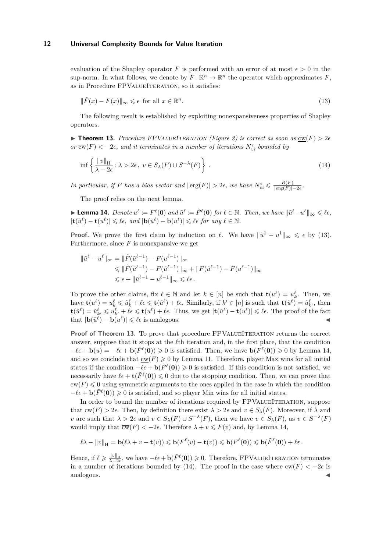evaluation of the Shapley operator F is performed with an error of at most  $\epsilon > 0$  in the sup-norm. In what follows, we denote by  $\tilde{F}$ :  $\mathbb{R}^n \to \mathbb{R}^n$  the operator which approximates F, as in Procedure FPVALUEITERATION, so it satisfies:

$$
\|\tilde{F}(x) - F(x)\|_{\infty} \leq \epsilon \text{ for all } x \in \mathbb{R}^n. \tag{13}
$$

The following result is established by exploiting nonexpansiveness properties of Shapley operators.

**Findment 13.** Procedure FPVALUEITERATION (Figure 2) is correct as soon as  $\text{cw}(F) > 2\epsilon$ *or*  $\overline{\text{cw}}(F) < -2\epsilon$ , and it terminates in a number of iterations  $N_{vi}^{\epsilon}$  bounded by

$$
\inf \left\{ \frac{\|v\|_{\mathcal{H}}}{\lambda - 2\epsilon} : \lambda > 2\epsilon \, , \ v \in S_{\lambda}(F) \cup S^{-\lambda}(F) \right\} \ . \tag{14}
$$

*In particular, if F has a bias vector and*  $|\text{erg}(F)| > 2\epsilon$ , we have  $N_{vi}^{\epsilon} \leq \frac{R(F)}{|\text{erg}(F)|}$  $\frac{R(F)}{|\arg(F)|-2\epsilon}$ .

The proof relies on the next lemma.

**Lemma 14.** Denote  $u^{\ell} := F^{\ell}(\mathbf{0})$  and  $\tilde{u}^{\ell} := \tilde{F}^{\ell}(\mathbf{0})$  for  $\ell \in \mathbb{N}$ . Then, we have  $\|\tilde{u}^{\ell} - u^{\ell}\|_{\infty} \leq \ell \epsilon$ ,  $|\mathbf{t}(\tilde{u}^{\ell}) - \mathbf{t}(u^{\ell})| \leq \ell \epsilon$ , and  $|\mathbf{b}(\tilde{u}^{\ell}) - \mathbf{b}(u^{\ell})| \leq \ell \epsilon$  for any  $\ell \in \mathbb{N}$ .

**Proof.** We prove the first claim by induction on  $\ell$ . We have  $\|\tilde{u}^1 - u^1\|_{\infty} \leq \epsilon$  by (13). Furthermore, since  $F$  is nonexpansive we get

$$
\|\tilde{u}^{\ell} - u^{\ell}\|_{\infty} = \|\tilde{F}(\tilde{u}^{\ell-1}) - F(u^{\ell-1})\|_{\infty}
$$
  
\$\leqslant \|\tilde{F}(\tilde{u}^{\ell-1}) - F(\tilde{u}^{\ell-1})\|\_{\infty} + \|F(\tilde{u}^{\ell-1}) - F(u^{\ell-1})\|\_{\infty}\$  
\$\leqslant \epsilon + \|\tilde{u}^{\ell-1} - u^{\ell-1}\|\_{\infty} \leqslant \ell\epsilon.\$

To prove the other claims, fix  $\ell \in \mathbb{N}$  and let  $k \in [n]$  be such that  $\mathbf{t}(u^{\ell}) = u^{\ell}_k$ . Then, we have  $\mathbf{t}(u^{\ell}) = u^{\ell}_k \leqslant \tilde{u}^{\ell}_k + \ell \epsilon \leqslant \mathbf{t}(\tilde{u}^{\ell}) + \ell \epsilon$ . Similarly, if  $k' \in [n]$  is such that  $\mathbf{t}(\tilde{u}^{\ell}) = \tilde{u}^{\ell}_{k'}$ , then  $\mathbf{t}(\tilde{u}^{\ell}) = \tilde{u}^{\ell}_{k'} \leqslant u^{\ell}_{k'} + \ell \epsilon \leqslant \mathbf{t}(u^{\ell}) + \ell \epsilon$ . Thus, we get  $|\mathbf{t}(\tilde{u}^{\ell}) - \mathbf{t}(u^{\ell})| \leqslant \ell \epsilon$ . The proof of the fact that  $|\mathbf{b}(\tilde{u}^{\ell}) - \mathbf{b}(u^{\ell})| \leq \ell \epsilon$  is analogous.

**Proof of Theorem 13.** To prove that procedure FPVALUEITERATION returns the correct answer, suppose that it stops at the *l*<sup>th</sup> iteration and, in the first place, that the condition  $-\ell \epsilon + \mathbf{b}(u) = -\ell \epsilon + \mathbf{b}(\tilde{F}^{\ell}(\mathbf{0})) \geqslant 0$  is satisfied. Then, we have  $\mathbf{b}(F^{\ell}(\mathbf{0})) \geqslant 0$  by Lemma 14, and so we conclude that  $\underline{\mathrm{cw}}(F) \geq 0$  by Lemma 11. Therefore, player Max wins for all initial states if the condition  $-\ell \epsilon + \mathbf{b}(\tilde{F}^{\ell}(\mathbf{0})) \geq 0$  is satisfied. If this condition is not satisfied, we necessarily have  $\ell \epsilon + \mathbf{t}(\tilde{F}^{\ell}(\mathbf{0})) \leq 0$  due to the stopping condition. Then, we can prove that  $\overline{\text{cw}}(F) \leq 0$  using symmetric arguments to the ones applied in the case in which the condition  $-\ell \epsilon + \mathbf{b}(\tilde{F}^{\ell}(\mathbf{0})) \geq 0$  is satisfied, and so player Min wins for all initial states.

In order to bound the number of iterations required by FPVALUEITERATION, suppose that  $cw(F) > 2\epsilon$ . Then, by definition there exist  $\lambda > 2\epsilon$  and  $v \in S_{\lambda}(F)$ . Moreover, if  $\lambda$  and *v* are such that  $\lambda > 2\epsilon$  and  $v \in S_{\lambda}(F) \cup S^{-\lambda}(F)$ , then we have  $v \in S_{\lambda}(F)$ , as  $v \in S^{-\lambda}(F)$ would imply that  $\overline{cw}(F) < -2\epsilon$ . Therefore  $\lambda + v \leq F(v)$  and, by Lemma 14,

$$
\ell \lambda - \|v\|_{{\mathcal H}} = {\mathbf b}(\ell \lambda + v - {\mathbf t}(v)) \leqslant {\mathbf b}(F^\ell(v) - {\mathbf t}(v)) \leqslant {\mathbf b}(F^\ell({\mathbf 0})) \leqslant {\mathbf b}(\tilde F^\ell({\mathbf 0})) + \ell \varepsilon \, .
$$

Hence, if  $\ell \geq \frac{\|v\|_{\mathrm{H}}}{\lambda-2\epsilon}$ , we have  $-\ell \epsilon + \mathbf{b}(\tilde{F}^{\ell}(\mathbf{0})) \geq 0$ . Therefore, FPVALUEITERATION terminates in a number of iterations bounded by (14). The proof in the case where  $\overline{cw}(F) < -2\epsilon$  is analogous.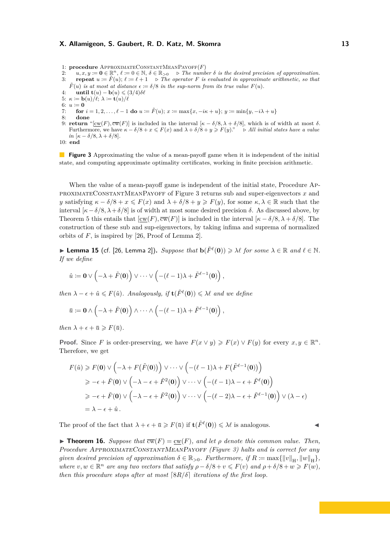- 1: **procedure** ApproximateConstantMeanPayoff(*F*)
- 2:  $u, x, y := \mathbf{0} \in \mathbb{R}^n, \ell := 0 \in \mathbb{N}, \delta \in \mathbb{R}_{\geq 0} \Rightarrow$  The number  $\delta$  is the desired precision of approximation. 3: **repeat**  $u := \tilde{F}(u)$ ;  $\ell := \ell + 1$  *... The operator F is evaluated in approximate arithmetic, so that*  $\tilde{F}(u)$  *is at most at distance*  $\epsilon := \delta/8$  *in the sup-norm from its true value*  $F(u)$ *.*
- 4: **until t** $(u) \mathbf{b}(u) \leqslant (3/4)\delta\ell$
- 5:  $\kappa := \mathbf{b}(u)/\ell; \lambda := \mathbf{t}(u)/\ell$
- 6:  $u := 0$
- 7: **for**  $i = 1, 2, ..., \ell 1$  **do**  $u = \tilde{F}(u); x = \max\{x, -i\kappa + u\}; y = \min\{y, -i\lambda + u\}$ 8: **done**
- 9: **return** "[ $\text{cw}(F)$ ,  $\overline{\text{cw}}(F)$ ] is included in the interval  $\left[\kappa \delta/8, \lambda + \delta/8\right]$ , which is of width at most *δ*. Furthermore, we have  $\kappa - \delta/8 + x \leq F(x)$  and  $\lambda + \delta/8 + y \geq F(y)$ ."  $\Rightarrow$  All initial states have a value *in*  $[\kappa - \delta/8, \lambda + \delta/8]$ .

10: **end**

**Figure 3** Approximating the value of a mean-payoff game when it is independent of the initial state, and computing approximate optimality certificates, working in finite precision arithmetic.

When the value of a mean-payoff game is independent of the initial state, Procedure ApproximateConstantMeanPayoff of Figure 3 returns sub and super-eigenvectors *x* and *y* satisfying  $\kappa - \delta/8 + x \leq F(x)$  and  $\lambda + \delta/8 + y \geq F(y)$ , for some  $\kappa, \lambda \in \mathbb{R}$  such that the interval  $[\kappa - \delta/8, \lambda + \delta/8]$  is of width at most some desired precision  $\delta$ . As discussed above, by Theorem 5 this entails that  $[\alpha w(F), \overline{cw}(F)]$  is included in the interval  $[\kappa - \delta/8, \lambda + \delta/8]$ . The construction of these sub and sup-eigenvectors, by taking infima and suprema of normalized orbits of *F*, is inspired by [26, Proof of Lemma 2].

► Lemma 15 (cf. [26, Lemma 2]). *Suppose that*  $\mathbf{b}(\tilde{F}^{\ell}(\mathbf{0})) \ge \lambda \ell$  for some  $\lambda \in \mathbb{R}$  and  $\ell \in \mathbb{N}$ . *If we define*

$$
\hat{u} \coloneqq \mathbf{0} \vee \left(-\lambda + \tilde{F}(\mathbf{0})\right) \vee \cdots \vee \left(-(\ell-1)\lambda + \tilde{F}^{\ell-1}(\mathbf{0})\right),
$$

*then*  $\lambda - \epsilon + \hat{u} \leq F(\hat{u})$ *. Analogously, if*  $\mathbf{t}(F^{\ell}(\mathbf{0})) \leq \lambda \ell$  *and we define* 

$$
\bar{u} \coloneqq \mathbf{0} \wedge \left( -\lambda + \tilde{F}(\mathbf{0}) \right) \wedge \cdots \wedge \left( -(\ell-1)\lambda + \tilde{F}^{\ell-1}(\mathbf{0}) \right),
$$

*then*  $\lambda + \epsilon + \bar{u} \geqslant F(\bar{u})$ *.* 

**Proof.** Since *F* is order-preserving, we have  $F(x \vee y) \geq F(x) \vee F(y)$  for every  $x, y \in \mathbb{R}^n$ . Therefore, we get

$$
F(\hat{u}) \geq F(\mathbf{0}) \vee \left( -\lambda + F(\tilde{F}(\mathbf{0})) \right) \vee \cdots \vee \left( -(\ell - 1)\lambda + F(\tilde{F}^{\ell-1}(\mathbf{0})) \right)
$$
  
\n
$$
\geq -\epsilon + \tilde{F}(\mathbf{0}) \vee \left( -\lambda - \epsilon + \tilde{F}^2(\mathbf{0}) \right) \vee \cdots \vee \left( -(\ell - 1)\lambda - \epsilon + \tilde{F}^{\ell}(\mathbf{0}) \right)
$$
  
\n
$$
\geq -\epsilon + \tilde{F}(\mathbf{0}) \vee \left( -\lambda - \epsilon + \tilde{F}^2(\mathbf{0}) \right) \vee \cdots \vee \left( -(\ell - 2)\lambda - \epsilon + \tilde{F}^{\ell-1}(\mathbf{0}) \right) \vee (\lambda - \epsilon)
$$
  
\n
$$
= \lambda - \epsilon + \hat{u}.
$$

The proof of the fact that  $\lambda + \epsilon + \bar{u} \geqslant F(\bar{u})$  if  $\mathbf{t}(\tilde{F}^{\ell}(\mathbf{0})) \leqslant \lambda \ell$  is analogous.

**Find Theorem 16.** *Suppose that*  $\overline{cw}(F) = cw(F)$ *, and let*  $\rho$  *denote this common value. Then, Procedure* ApproximateConstantMeanPayoff *(Figure 3) halts and is correct for any given desired precision of approximation*  $\delta \in \mathbb{R}_{>0}$ . Furthermore, if  $R \coloneqq \max\{||v||_H, ||w||_H\}$ , *where*  $v, w \in \mathbb{R}^n$  *are any two vectors that satisfy*  $\rho - \delta/8 + v \leq F(v)$  *and*  $\rho + \delta/8 + w \geq F(w)$ *, then this procedure stops after at most*  $\lceil 8R/\delta \rceil$  *iterations of the first loop.*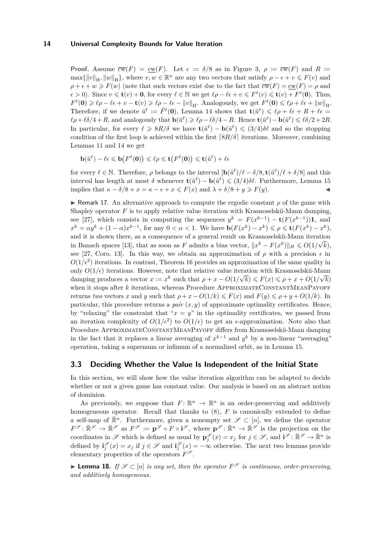**Proof.** Assume  $\overline{cw}(F) = cw(F)$ . Let  $\epsilon := \delta/8$  as in Figure 3,  $\rho := \overline{cw}(F)$  and  $R :=$  $\max\{\Vert v\Vert_H, \Vert w\Vert_H\}$ , where  $v, w \in \mathbb{R}^n$  are any two vectors that satisfy  $\rho - \epsilon + v \leq F(v)$  and  $\rho + \epsilon + w \geq F(w)$  (note that such vectors exist due to the fact that  $\overline{cw}(F) = cw(F) = \rho$  and  $\epsilon > 0$ ). Since  $v \leq \mathbf{t}(v) + \mathbf{0}$ , for every  $\ell \in \mathbb{N}$  we get  $\ell \rho - \ell \epsilon + v \leqslant F^{\ell}(v) \leqslant \mathbf{t}(v) + F^{\ell}(\mathbf{0})$ . Thus,  $F^{\ell}(\mathbf{0}) \geq \ell \rho - \ell \epsilon + v - \mathbf{t}(v) \geqslant \ell \rho - \ell \epsilon - ||v||_{\mathcal{H}}$ . Analogously, we get  $F^{\ell}(\mathbf{0}) \leqslant \ell \rho + \ell \epsilon + ||w||_{\mathcal{H}}$ . Therefore, if we denote  $\tilde{u}^{\ell} := \tilde{F}^{\ell}(\mathbf{0})$ , Lemma 14 shows that  $\mathbf{t}(\tilde{u}^{\ell}) \leq \ell \rho + \ell \epsilon + R + \ell \epsilon =$  $\ell \rho + \ell \delta/4 + R$ , and analogously that  $\mathbf{b}(\tilde{u}^{\ell}) \geq \ell \rho - \ell \delta/4 - R$ . Hence  $\mathbf{t}(\tilde{u}^{\ell}) - \mathbf{b}(\tilde{u}^{\ell}) \leq \ell \delta/2 + 2R$ . In particular, for every  $\ell \geqslant 8R/\delta$  we have  $\mathbf{t}(\tilde{u}^{\ell}) - \mathbf{b}(\tilde{u}^{\ell}) \leqslant (3/4)\delta\ell$  and so the stopping condition of the first loop is achieved within the first  $\left[8R/\delta\right]$  iterations. Moreover, combining Lemmas 11 and 14 we get

$$
\mathbf{b}(\tilde{u}^{\ell}) - \ell \epsilon \leqslant \mathbf{b}\big(F^{\ell}(\mathbf{0})\big) \leqslant \ell \rho \leqslant \mathbf{t}\big(F^{\ell}(\mathbf{0})\big) \leqslant \mathbf{t}(\tilde{u}^{\ell}) + \ell \epsilon
$$

for every  $\ell \in \mathbb{N}$ . Therefore,  $\rho$  belongs to the interval  $[\mathbf{b}(\tilde{u}^{\ell})/\ell - \delta/8, \mathbf{t}(\tilde{u}^{\ell})/\ell + \delta/8]$  and this interval has length at most  $\delta$  whenever  $\mathbf{t}(\tilde{u}^{\ell}) - \mathbf{b}(\tilde{u}^{\ell}) \leq (3/4)\delta\ell$ . Furthermore, Lemma 15 implies that  $\kappa - \delta/8 + x = \kappa - \epsilon + x \leq F(x)$  and  $\lambda + \delta/8 + y \geq F(y)$ .

**I** Remark 17. An alternative approach to compute the ergodic constant  $\rho$  of the game with Shapley operator  $F$  is to apply relative value iteration with Krasnoselskii-Mann damping, see [27], which consists in computing the sequences  $y^k = F(x^{k-1}) - \mathbf{t}(F(x^{k-1}))\mathbf{1}$ , and  $x^k = \alpha y^k + (1 - \alpha)x^{k-1}$ , for any  $0 < \alpha < 1$ . We have  $\mathbf{b}(F(x^k) - x^k) \leq \rho \leq \mathbf{t}(F(x^k) - x^k)$ , and it is shown there, as a consequence of a general result on Krasnoselskii-Mann iteration in Banach spaces [13], that as soon as *F* admits a bias vector,  $||x^k - F(x^k)||_H \leqslant O(1/\sqrt{k}),$ see [27, Coro. 13]. In this way, we obtain an approximation of  $\rho$  with a precision  $\epsilon$  in  $O(1/\epsilon^2)$  iterations. In contrast, Theorem 16 provides an approximation of the same quality in only  $O(1/\epsilon)$  iterations. However, note that relative value iteration with Krasnoselskii-Mann damping produces a vector  $x := x^k$  such that  $\rho + x - O(1)$  $\sqrt{k}$ )  $\leq F(x) \leq \rho + x + O(1/\sqrt{\rho})$ *k*) when it stops after *k* iterations, whereas Procedure APPROXIMATECONSTANTMEANPAYOFF returns *two* vectors *x* and *y* such that  $\rho + x - O(1/k) \leq F(x)$  and  $F(y) \leq \rho + y + O(1/k)$ . In particular, this procedure returns a *pair*  $(x, y)$  of approximate optimality certificates. Hence, by "relaxing" the constraint that " $x = y$ " in the optimality certificates, we passed from an iteration complexity of  $O(1/\epsilon^2)$  to  $O(1/\epsilon)$  to get an  $\epsilon$ -approximation. Note also that Procedure ApproximateConstantMeanPayoff differs from Krasnoselskii-Mann damping in the fact that it replaces a linear averaging of  $x^{k-1}$  and  $y^k$  by a non-linear "averaging" operation, taking a supremum or infimum of a normalized orbit, as in Lemma 15.

# **3.3 Deciding Whether the Value Is Independent of the Initial State**

In this section, we will show how the value iteration algorithm can be adapted to decide whether or not a given game has constant value. Our analysis is based on an abstract notion of dominion.

As previously, we suppose that  $F: \mathbb{R}^n \to \mathbb{R}^n$  is an order-preserving and additively homogeneous operator. Recall that thanks to  $(8)$ , *F* is canonically extended to define a self-map of  $\mathbb{R}^n$ . Furthermore, given a nonempty set  $\mathscr{S} \subset [n]$ , we define the operator  $F^{\mathscr{S}} : \bar{\mathbb{R}}^{\mathscr{S}} \to \bar{\mathbb{R}}^{\mathscr{S}}$  as  $F^{\mathscr{S}} := \mathbf{p}^{\mathscr{S}} \circ F \circ \mathbf{i}^{\mathscr{S}},$  where  $\mathbf{p}^{\mathscr{S}} : \bar{\mathbb{R}}^n \to \bar{\mathbb{R}}^{\mathscr{S}}$  is the projection on the coordinates in S which is defined as usual by  $\mathbf{p}_{j}^{\mathscr{S}}(x) = x_{j}$  for  $j \in \mathscr{S}$ , and  $\mathbf{i}^{\mathscr{S}} : \mathbb{R}^{\mathscr{S}} \to \mathbb{R}^{n}$  is defined by  $\mathbf{i}^{\mathcal{S}}_j(x) = x_j$  if  $j \in \mathcal{S}$  and  $\mathbf{i}^{\mathcal{S}}_j(x) = -\infty$  otherwise. The next two lemmas provide elementary properties of the operators  $F^{\mathscr{S}}$ .

▶ **Lemma 18.** *If*  $\mathscr{S} \subset [n]$  *is any set, then the operator*  $F^{\mathscr{S}}$  *is continuous, order-preserving, and additively homogeneous.*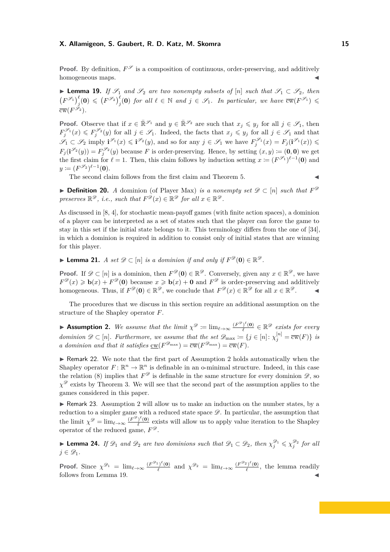**Proof.** By definition,  $F^{\mathscr{S}}$  is a composition of continuous, order-preserving, and additively homogeneous maps.

**► Lemma 19.** *If*  $\mathscr{S}_1$  *and*  $\mathscr{S}_2$  *are two nonempty subsets of* [*n*] *such that*  $\mathscr{S}_1 \subset \mathscr{S}_2$ *, then*  $(F^{\mathscr{S}_1})_j^{\ell}(\mathbf{0}) \leqslant (F^{\mathscr{S}_2})_j^{\ell}(\mathbf{0})$  for all  $\ell \in \mathbb{N}$  and  $j \in \mathscr{S}_1$ . In particular, we have  $\overline{\text{cw}}(F^{\mathscr{S}_1}) \leqslant$  $\overline{\mathrm{cw}}(F^{\mathscr{S}_2}).$ 

**Proof.** Observe that if  $x \in \mathbb{R}^{\mathscr{S}_1}$  and  $y \in \mathbb{R}^{\mathscr{S}_2}$  are such that  $x_j \leq y_j$  for all  $j \in \mathscr{S}_1$ , then  $F_j^{\mathscr{S}_1}(x) \leqslant F_j^{\mathscr{S}_2}(y)$  for all  $j \in \mathscr{S}_1$ . Indeed, the facts that  $x_j \leqslant y_j$  for all  $j \in \mathscr{S}_1$  and that  $\mathscr{S}_1 \subset \mathscr{S}_2$  imply  $\mathbf{i}^{\mathscr{S}_1}(x) \leq \mathbf{i}^{\mathscr{S}_2}(y)$ , and so for any  $j \in \mathscr{S}_1$  we have  $F_j^{\mathscr{S}_1}(x) = F_j(\mathbf{i}^{\mathscr{S}_1}(x)) \leq$  $F_j(\mathbf{i}^{\mathscr{S}_2}(y)) = F_j^{\mathscr{S}_2}(y)$  because *F* is order-preserving. Hence, by setting  $(x, y) := (\mathbf{0}, \mathbf{0})$  we get the first claim for  $\ell = 1$ . Then, this claim follows by induction setting  $x := (F^{\mathscr{S}_1})^{\ell-1}(\mathbf{0})$  and  $y \coloneqq (F^{\mathscr{S}_2})^{\ell-1}(\mathbf{0}).$ 

The second claim follows from the first claim and Theorem 5.

▶ **Definition 20.** *A* dominion (of Player Max) *is a nonempty set*  $\mathscr{D} \subset [n]$  *such that*  $F^{\mathscr{D}}$ *preserves*  $\mathbb{R}^{\mathscr{D}}$ , *i.e.*, *such that*  $F^{\mathscr{D}}(x) \in \mathbb{R}^{\mathscr{D}}$  *for all*  $x \in \mathbb{R}^{\mathscr{D}}$ *.* 

As discussed in [8, 4], for stochastic mean-payoff games (with finite action spaces), a dominion of a player can be interpreted as a set of states such that the player can force the game to stay in this set if the initial state belongs to it. This terminology differs from the one of [34], in which a dominion is required in addition to consist only of initial states that are winning for this player.

▶ **Lemma 21.** *A set*  $\mathscr{D} \subset [n]$  *is a dominion if and only if*  $F^{\mathscr{D}}(\mathbf{0}) \in \mathbb{R}^{\mathscr{D}}$ *.* 

**Proof.** If  $\mathscr{D} \subset [n]$  is a dominion, then  $F^{\mathscr{D}}(\mathbf{0}) \in \mathbb{R}^{\mathscr{D}}$ . Conversely, given any  $x \in \mathbb{R}^{\mathscr{D}}$ , we have  $F^{\mathscr{D}}(x) \geq \mathbf{b}(x) + F^{\mathscr{D}}(\mathbf{0})$  because  $x \geq \mathbf{b}(x) + \mathbf{0}$  and  $F^{\mathscr{D}}$  is order-preserving and additively homogeneous. Thus, if  $F^{\mathscr{D}}(\mathbf{0}) \in \mathbb{R}^{\mathscr{D}}$ , we conclude that  $F^{\mathscr{D}}(x) \in \mathbb{R}^{\mathscr{D}}$  for all  $x \in \mathbb{R}^{\mathscr{D}}$ .

The procedures that we discuss in this section require an additional assumption on the structure of the Shapley operator *F*.

**Assumption 2.** We assume that the limit  $\chi^{\mathscr{D}} := \lim_{\ell \to \infty} \frac{(F^{\mathscr{D}})^{\ell}(0)}{\ell}$  $\frac{C}{\ell}^{\infty}$  (**e**)  $\in \mathbb{R}^{\mathscr{D}}$  *exists for every dominion*  $\mathscr{D} \subset [n]$ *. Furthermore, we assume that the set*  $\mathscr{D}_{\text{max}} \coloneqq \{j \in [n]: \chi_j^{[n]} = \overline{\text{cw}}(F)\}\$ is *a dominion and that it satisfies*  $\underline{\mathrm{cw}}(F^{\mathscr{D}_{\mathrm{max}}}) = \overline{\mathrm{cw}}(F^{\mathscr{D}_{\mathrm{max}}}) = \overline{\mathrm{cw}}(F)$ .

 $\blacktriangleright$  Remark 22. We note that the first part of Assumption 2 holds automatically when the Shapley operator  $F: \mathbb{R}^n \to \mathbb{R}^n$  is definable in an o-minimal structure. Indeed, in this case the relation (8) implies that  $F^{\mathscr{D}}$  is definable in the same structure for every dominion  $\mathscr{D}$ , so *χ*<sup>2</sup> exists by Theorem 3. We will see that the second part of the assumption applies to the games considered in this paper.

 $\triangleright$  Remark 23. Assumption 2 will allow us to make an induction on the number states, by a reduction to a simpler game with a reduced state space  $\mathscr{D}$ . In particular, the assumption that the limit  $\chi^{\mathscr{D}} = \lim_{\ell \to \infty} \frac{(F^{\mathscr{D}})^{\ell}(\mathbf{0})}{\ell}$  $\frac{\partial^2 (0)}{\partial \ell}$  exists will allow us to apply value iteration to the Shapley operator of the reduced game,  $F^{\mathscr{D}}$ .

► **Lemma 24.** *If*  $\mathscr{D}_1$  *and*  $\mathscr{D}_2$  *are two dominions such that*  $\mathscr{D}_1 \subset \mathscr{D}_2$ *, then*  $\chi_j^{\mathscr{D}_1} \leq \chi_j^{\mathscr{D}_2}$  *for all*  $j \in \mathscr{D}_1$ .

**Proof.** Since  $\chi^{\mathcal{D}_1} = \lim_{\ell \to \infty} \frac{(F^{\mathcal{D}_1})^{\ell}(\mathbf{0})}{\ell}$  $\frac{\partial^2 (0)}{\partial \ell}$  and  $\chi^{2/2} = \lim_{\ell \to \infty} \frac{(F^{2/2})^{\ell}(0)}{\ell}$  $\frac{f^{(1)}(0)}{f}$ , the lemma readily follows from Lemma 19.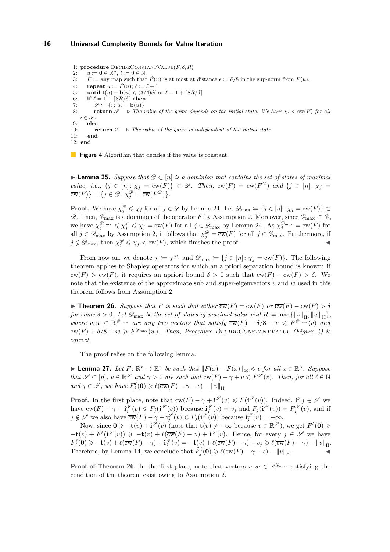1: **procedure** DecideConstantValue(*F, δ, R*) 2:  $u := \mathbf{0} \in \mathbb{R}^n$ ,  $\ell := 0 \in \mathbb{N}$ . 3:  $\tilde{F} \coloneqq \text{any map such that } \tilde{F}(u) \text{ is at most at distance } \epsilon := \delta/8 \text{ in the sup-norm from } F(u).$ 4: **repeat**  $u \coloneqq \tilde{F}(u); \ell \coloneqq \ell + 1$ <br>5: **until**  $\mathbf{t}(u) - \mathbf{b}(u) \leq (3/4)\delta\ell$ **until t** $(u) - \mathbf{b}(u) \leq (3/4)\delta\ell$  or  $\ell = 1 + \lceil 8R/\delta \rceil$ 6: **if**  $\ell = 1 + \lceil 8R/\delta \rceil$  then<br>7:  $\mathscr{S} := \{i : u_i = \mathbf{b}(u)\}$  $\mathscr{S} \coloneqq \{i: u_i = \mathbf{b}(u)\}$ 8: **return**  $\mathscr{S} \Rightarrow$  *The value of the game depends on the initial state. We have*  $\chi_i < \overline{\text{cw}}(F)$  *for all*  $i \in \mathscr{S}$ . 9: **else** 10: **return**  $\emptyset$   $\rightarrow$  *The value of the game is independent of the initial state.* 11: **end** 12: **end**

**Figure 4** Algorithm that decides if the value is constant.

**► Lemma 25.** Suppose that  $\mathscr{D} \subset [n]$  is a dominion that contains the set of states of maximal *value, i.e.,*  $\{j \in [n]: \chi_j = \overline{cw}(F)\} \subset \mathcal{D}$ . Then,  $\overline{cw}(F) = \overline{cw}(F^{\mathcal{D}})$  and  $\{j \in [n]: \chi_j = \overline{cw}(F^{\mathcal{D}}) \subset \overline{C}$  $\overline{\text{cw}}(F)$ } = { $j \in \mathcal{D}$  :  $\chi_j^{\mathcal{D}} = \overline{\text{cw}}(F^{\mathcal{D}})$ }.

**Proof.** We have  $\chi_j^{\mathcal{D}} \leq \chi_j$  for all  $j \in \mathcal{D}$  by Lemma 24. Let  $\mathcal{D}_{\text{max}} := \{j \in [n]: \chi_j = \overline{\text{cw}}(F)\}$  $\mathscr{D}$ . Then,  $\mathscr{D}_{\max}$  is a dominion of the operator *F* by Assumption 2. Moreover, since  $\mathscr{D}_{\max} \subset \mathscr{D}$ , we have  $\chi_j^{\mathcal{D}_{\text{max}}} \leq \chi_j^{\mathcal{D}} \leq \chi_j = \overline{\text{cw}}(F)$  for all  $j \in \mathcal{D}_{\text{max}}$  by Lemma 24. As  $\chi_j^{\mathcal{D}_{\text{max}}} = \overline{\text{cw}}(F)$  for all  $j \in \mathscr{D}_{\text{max}}$  by Assumption 2, it follows that  $\chi_j^{\mathscr{D}} = \overline{\text{cw}}(F)$  for all  $j \in \mathscr{D}_{\text{max}}$ . Furthermore, if  $j \notin \mathscr{D}_{\text{max}}$ , then  $\chi_j^{\mathscr{D}} \leq \chi_j < \overline{\text{cw}}(F)$ , which finishes the proof.

From now on, we denote  $\chi := \chi^{[n]}$  and  $\mathscr{D}_{\text{max}} := \{j \in [n]: \chi_j = \overline{\text{cw}}(F)\}\.$  The following theorem applies to Shapley operators for which an a priori separation bound is known: if  $\overline{\text{cw}}(F) > \underline{\text{cw}}(F)$ , it requires an apriori bound  $\delta > 0$  such that  $\overline{\text{cw}}(F) - \underline{\text{cw}}(F) > \delta$ . We note that the existence of the approximate sub and super-eigenvectors *v* and *w* used in this theorem follows from Assumption 2.

**► Theorem 26.** Suppose that F is such that either  $\overline{cw}(F) = cw(F)$  or  $\overline{cw}(F) - cw(F) > \delta$ *for some*  $\delta > 0$ *. Let*  $\mathscr{D}_{\text{max}}$  *be the set of states of maximal value and*  $R \coloneqq \max\{\Vert v\Vert_{\text{H}}, \Vert w\Vert_{\text{H}}\},$ *where*  $v, w \in \mathbb{R}^{\mathscr{D}_{\max}}$  *are any two vectors that satisfy*  $\overline{cw}(F) - \delta/8 + v \leq F^{\mathscr{D}_{\max}}(v)$  *and*  $\overline{\text{cw}}(F) + \delta/8 + w \geq F^{\mathcal{D}_{\text{max}}}(w)$ . Then, Procedure DECIDECONSTANTVALUE (Figure 4) is *correct.*

The proof relies on the following lemma.

▶ **Lemma 27.** Let  $\tilde{F}$ :  $\mathbb{R}^n$  →  $\mathbb{R}^n$  be such that  $\|\tilde{F}(x) - F(x)\|_{\infty} \leq \epsilon$  for all  $x \in \mathbb{R}^n$ . Suppose *that*  $\mathscr{S} \subset [n], v \in \mathbb{R}^{\mathscr{S}}$  and  $\gamma > 0$  are such that  $\overline{\text{cw}}(F) - \gamma + v \leq F^{\mathscr{S}}(v)$ . Then, for all  $\ell \in \mathbb{N}$ *and*  $j \in \mathscr{S}$ , we have  $\tilde{F}^{\ell}_{j}(\mathbf{0}) \geq \ell(\overline{\text{cw}}(F) - \gamma - \epsilon) - ||v||_{\text{H}}$ .

**Proof.** In the first place, note that  $\overline{cw}(F) - \gamma + i^{\mathscr{S}}(v) \leq F(i^{\mathscr{S}}(v))$ . Indeed, if  $j \in \mathscr{S}$  we have  $\overline{\text{cw}}(F) - \gamma + \mathbf{i}^{\mathscr{S}}_j(v) \leq F_j(\mathbf{i}^{\mathscr{S}}(v))$  because  $\mathbf{i}^{\mathscr{S}}_j(v) = v_j$  and  $F_j(\mathbf{i}^{\mathscr{S}}(v)) = F_j^{\mathscr{S}}(v)$ , and if  $j \notin \mathscr{S}$  we also have  $\overline{cw}(F) - \gamma + i_j^{\mathscr{S}}(v) \leqslant F_j(i^{\mathscr{S}}(v))$  because  $i_j^{\mathscr{S}}(v) = -\infty$ .

Now, since  $0 \ge -t(v) + i^{\mathscr{S}}(v)$  (note that  $t(v) \ne -\infty$  because  $v \in \mathbb{R}^{\mathscr{S}}$ ), we get  $F^{\ell}(0) \ge$  $-\mathbf{t}(v) + F^{\ell}(\mathbf{i}^{\mathscr{S}}(v)) \ge -\mathbf{t}(v) + \ell(\overline{\mathrm{cw}}(F) - \gamma) + \mathbf{i}^{\mathscr{S}}(v)$ . Hence, for every  $j \in \mathscr{S}$  we have  $F_j^\ell(\mathbf{0}) \geqslant -\mathbf{t}(v) + \ell(\overline{\mathrm{cw}}(F) - \gamma) + \mathbf{i}_j^{\mathscr{S}}(v) = -\mathbf{t}(v) + \ell(\overline{\mathrm{cw}}(F) - \gamma) + v_j \geqslant \ell(\overline{\mathrm{cw}}(F) - \gamma) - ||v||_{\mathrm{H}}.$ Therefore, by Lemma 14, we conclude that  $\tilde{F}^{\ell}_{j}(\mathbf{0}) \geq \ell(\overline{\text{cw}}(F) - \gamma - \epsilon) - ||v||_{H}$ .

**Proof of Theorem 26.** In the first place, note that vectors  $v, w \in \mathbb{R}^{\mathscr{D}_{\text{max}}}$  satisfying the condition of the theorem exist owing to Assumption 2.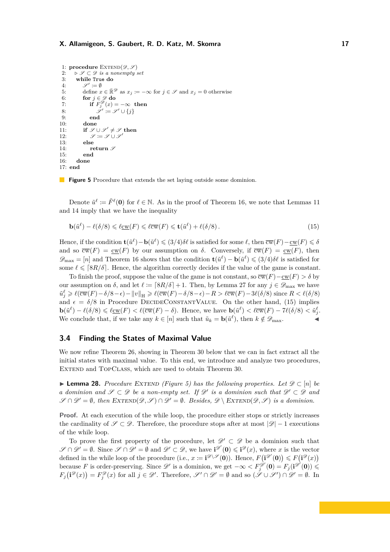```
1: procedure \text{EXTEND}(\mathscr{D}, \mathscr{S})2: \rho \mathcal{S} \subset \mathcal{D} is a nonempty set<br>3: while True do
          3: while True do
  4: \mathscr{S}' \coloneqq \emptyset5: define x \in \mathbb{R}^{\mathscr{D}} as x_j := -\infty for j \in \mathscr{S} and x_j = 0 otherwise
 6: for j \in \mathcal{D} do<br>7: if F_i^{\mathcal{D}}(x) =7: if F_j^{\mathscr{D}}(x) = -\infty then
  8: \mathscr{S}' \coloneqq \mathscr{S}' \cup \{j\}9: end
10: done<br>11: if \mathscr{S}11: if \mathscr{S} \cup \mathscr{S}' \neq \mathscr{S} then
12: \mathscr{S} \coloneqq \mathscr{S} \cup \mathscr{S}\overline{1}13: else
14: return \mathscr{S}<br>15: end
               15: end
16: done
17: end
```
**Figure 5** Procedure that extends the set laying outside some dominion.

Denote  $\tilde{u}^{\ell} \coloneqq \tilde{F}^{\ell}(\mathbf{0})$  for  $\ell \in \mathbb{N}$ . As in the proof of Theorem 16, we note that Lemmas 11 and 14 imply that we have the inequality

$$
\mathbf{b}(\tilde{u}^{\ell}) - \ell(\delta/8) \leq \ell \underline{\mathrm{cw}}(F) \leq \ell \overline{\mathrm{cw}}(F) \leq \mathbf{t}(\tilde{u}^{\ell}) + \ell(\delta/8). \tag{15}
$$

Hence, if the condition  $\mathbf{t}(\tilde{u}^{\ell}) - \mathbf{b}(\tilde{u}^{\ell}) \leq (3/4)\delta\ell$  is satisfied for some  $\ell$ , then  $\overline{cw}(F) - \underline{cw}(F) \leq \delta$ and so  $\overline{\mathrm{cw}}(F) = \underline{\mathrm{cw}}(F)$  by our assumption on  $\delta$ . Conversely, if  $\overline{\mathrm{cw}}(F) = \underline{\mathrm{cw}}(F)$ , then  $\mathscr{D}_{\text{max}} = [n]$  and Theorem 16 shows that the condition  $\mathbf{t}(\tilde{u}^{\ell}) - \mathbf{b}(\tilde{u}^{\ell}) \leq (3/4)\delta\ell$  is satisfied for some  $\ell \leq \lceil 8R/\delta \rceil$ . Hence, the algorithm correctly decides if the value of the game is constant.

To finish the proof, suppose the value of the game is not constant, so  $\overline{cw}(F) - cw(F) > \delta$  by our assumption on  $\delta$ , and let  $\ell := \lceil 8R/\delta \rceil + 1$ . Then, by Lemma 27 for any  $j \in \mathscr{D}_{\text{max}}$  we have  $\tilde{u}_j^{\ell} \geq \ell(\overline{\text{cw}}(F) - \delta/8 - \epsilon) - ||v||_{\mathcal{H}} \geq \ell(\overline{\text{cw}}(F) - \delta/8 - \epsilon) - R > \ell(\overline{\text{cw}}(F) - 3\ell(\delta/8) \text{ since } R < \ell(\delta/8)$ and  $\epsilon = \delta/8$  in Procedure DECIDECONSTANTVALUE. On the other hand, (15) implies  $\mathbf{b}(\tilde{u}^{\ell}) - \ell(\delta/8) \leq \ell_{\mathcal{L}}(F) < \ell(\overline{\text{cw}}(F) - \delta)$ . Hence, we have  $\mathbf{b}(\tilde{u}^{\ell}) < \ell(\overline{\text{cw}}(F) - 7\ell(\delta/8)) < \tilde{u}_{j}^{\ell}$ . We conclude that, if we take any  $k \in [n]$  such that  $\tilde{u}_k = \mathbf{b}(\tilde{u}^{\ell})$ , then  $k \notin \mathscr{D}_{\text{max}}$ .

## **3.4 Finding the States of Maximal Value**

We now refine Theorem 26, showing in Theorem 30 below that we can in fact extract all the initial states with maximal value. To this end, we introduce and analyze two procedures, EXTEND and TOPCLASS, which are used to obtain Theorem 30.

**► Lemma 28.** *Procedure EXTEND (Figure 5)* has the following properties. Let  $\mathscr{D} \subset [n]$  be *a dominion and*  $\mathscr{S} \subset \mathscr{D}$  *be a non-empty set. If*  $\mathscr{D}'$  *is a dominion such that*  $\mathscr{D}' \subset \mathscr{D}$  *and*  $\mathscr{S} \cap \mathscr{D}' = \emptyset$ , then  $\text{EXTEND}(\mathscr{D}, \mathscr{S}) \cap \mathscr{D}' = \emptyset$ . Besides,  $\mathscr{D} \setminus \text{EXTEND}(\mathscr{D}, \mathscr{S})$  is a dominion.

**Proof.** At each execution of the while loop, the procedure either stops or strictly increases the cardinality of  $\mathscr{S} \subset \mathscr{D}$ . Therefore, the procedure stops after at most  $|\mathscr{D}| - 1$  executions of the while loop.

To prove the first property of the procedure, let  $\mathscr{D}' \subset \mathscr{D}$  be a dominion such that  $\mathscr{S} \cap \mathscr{D}' = \emptyset$ . Since  $\mathscr{S} \cap \mathscr{D}' = \emptyset$  and  $\mathscr{D}' \subset \mathscr{D}$ , we have  $\mathbf{i}^{\mathscr{D}'}(\mathbf{0}) \leqslant \mathbf{i}^{\mathscr{D}}(x)$ , where x is the vector defined in the while loop of the procedure (i.e.,  $x = \mathbf{i}^{\mathcal{D}\setminus\mathcal{S}}(\mathbf{0})$ ). Hence,  $F(\mathbf{i}^{\mathcal{D}'}(\mathbf{0})) \leq F(\mathbf{i}^{\mathcal{D}}(x))$ because *F* is order-preserving. Since  $\mathscr{D}'$  is a dominion, we get  $-\infty < F_j^{\mathscr{D}'}(\mathbf{0}) = F_j(\mathbf{i}^{\mathscr{D}'}(\mathbf{0})) \leq$  $F_j(\mathbf{i}^{\mathscr{D}}(x)) = F_j^{\mathscr{D}}(x)$  for all  $j \in \mathscr{D}'$ . Therefore,  $\mathscr{S}' \cap \mathscr{D}' = \emptyset$  and so  $(\mathscr{S} \cup \mathscr{S}') \cap \mathscr{D}' = \emptyset$ . In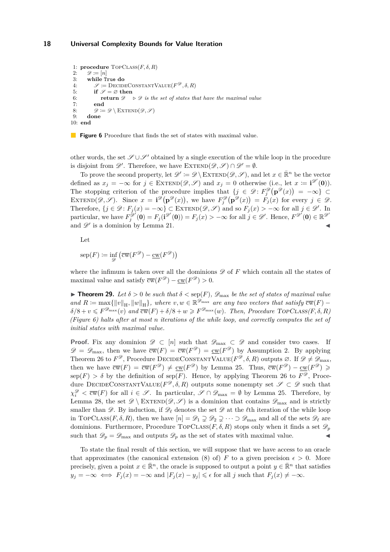```
1: procedure \text{Top}\text{CLASS}(F, \delta, R)2: \mathscr{D} := [n]<br>3: while T
          3: while True do
  4: \mathscr{S} \coloneqq \text{DecideConsariantValue}(F^{\mathscr{D}}, \delta, R)5: if \mathscr{S} = \emptyset then
 6: return \mathscr{D} \Rightarrow \mathscr{D} is the set of states that have the maximal value 7: end
 7: end<br>8: \mathscr{D} :=\mathscr{D} \coloneqq \mathscr{D} \setminus \text{EXTEND}(\mathscr{D}, \mathscr{S})9: done
10: end
```
**Figure 6** Procedure that finds the set of states with maximal value.

other words, the set  $\mathscr{S}\cup\mathscr{S}'$  obtained by a single execution of the while loop in the procedure is disjoint from  $\mathscr{D}'$ . Therefore, we have  $\text{EXTEND}(\mathscr{D}, \mathscr{S}) \cap \mathscr{D}' = \emptyset$ .

To prove the second property, let  $\mathscr{D}' \coloneqq \mathscr{D} \setminus \text{EXTEND}(\mathscr{D}, \mathscr{S})$ , and let  $x \in \mathbb{R}^n$  be the vector defined as  $x_j = -\infty$  for  $j \in \text{EXTEND}(\mathscr{D}, \mathscr{S})$  and  $x_j = 0$  otherwise (i.e., let  $x \coloneqq \mathbf{i}^{\mathscr{D}'}(\mathbf{0})$ ). The stopping criterion of the procedure implies that  $\{j \in \mathcal{D} : F_j^{\mathcal{D}}(\mathbf{p}^{\mathcal{D}}(x)) = -\infty\} \subset$ EXTEND $(\mathscr{D}, \mathscr{S})$ . Since  $x = \mathbf{i}^{\mathscr{D}}(\mathbf{p}^{\mathscr{D}}(x))$ , we have  $F_j^{\mathscr{D}}(\mathbf{p}^{\mathscr{D}}(x)) = \tilde{F}_j(x)$  for every  $j \in \mathscr{D}$ . Therefore,  $\{j \in \mathcal{D} : F_j(x) = -\infty\} \subset \text{EXTEND}(\mathcal{D}, \mathcal{S})$  and so  $F_j(x) > -\infty$  for all  $j \in \mathcal{D}'$ . In  $\text{particular, we have } F_j^{\mathscr{D}'}(\mathbf{0}) = F_j(\mathbf{i}^{\mathscr{D}'}(\mathbf{0})) = F_j(x) > -\infty \text{ for all } j \in \mathscr{D}'. \text{ Hence, } F^{\mathscr{D}'}(\mathbf{0}) \in \mathbb{R}^{\mathscr{D}'}$ and  $\mathscr{D}'$  is a dominion by Lemma 21.

Let

$$
\operatorname{sep}(F) \coloneqq \inf_{\mathscr{D}} \left( \overline{\mathrm{cw}}(F^{\mathscr{D}}) - \underline{\mathrm{cw}}(F^{\mathscr{D}}) \right)
$$

where the infimum is taken over all the dominions  $\mathscr D$  of  $F$  which contain all the states of maximal value and satisfy  $\overline{\mathrm{cw}}(F^{\mathscr{D}}) - \underline{\mathrm{cw}}(F^{\mathscr{D}}) > 0.$ 

**Theorem 29.** *Let*  $\delta > 0$  *be such that*  $\delta <$  sep(*F*)*,*  $\mathscr{D}_{\text{max}}$  *be the set of states of maximal value*  $\mathcal{L}$  *and*  $R \coloneqq \max\{||v||_H, ||w||_H\}$ , where  $v, w \in \mathbb{R}^{\mathscr{D}_{\max}}$  are any two vectors that satisfy  $\overline{cw}(F)$  −  $\delta/8 + v \leq F^{\mathscr{D}_{\text{max}}}(v)$  and  $\overline{\text{cw}}(F) + \delta/8 + w \geq F^{\mathscr{D}_{\text{max}}}(w)$ . Then, Procedure TOPCLASS $(F, \delta, R)$ *(Figure 6) halts after at most n iterations of the while loop, and correctly computes the set of initial states with maximal value.*

**Proof.** Fix any dominion  $\mathscr{D} \subset [n]$  such that  $\mathscr{D}_{\text{max}} \subset \mathscr{D}$  and consider two cases. If  $\mathscr{D} = \mathscr{D}_{\text{max}}$ , then we have  $\overline{\text{cw}}(F) = \overline{\text{cw}}(F^{\mathscr{D}}) = \underline{\text{cw}}(F^{\mathscr{D}})$  by Assumption 2. By applying Theorem 26 to  $F^{\mathscr{D}}$ , Procedure DECIDECONSTANTVALUE( $F^{\mathscr{D}}, \delta, R$ ) outputs  $\varnothing$ . If  $\mathscr{D} \neq \mathscr{D}_{\max}$ , then we have  $\overline{\mathrm{cw}}(F) = \overline{\mathrm{cw}}(F^{\mathscr{D}}) \neq \underline{\mathrm{cw}}(F^{\mathscr{D}})$  by Lemma 25. Thus,  $\overline{\mathrm{cw}}(F^{\mathscr{D}}) - \underline{\mathrm{cw}}(F^{\mathscr{D}}) \geq$  $\text{sep}(F) > \delta$  by the definition of  $\text{sep}(F)$ . Hence, by applying Theorem 26 to  $F^{\mathscr{D}}$ , Procedure DECIDECONSTANTVALUE( $F^{\mathscr{D}}, \delta, R$ ) outputs some nonempty set  $\mathscr{S} \subset \mathscr{D}$  such that  $\chi_i^{\mathscr{D}} < \overline{\text{cw}}(F)$  for all  $i \in \mathscr{S}$ . In particular,  $\mathscr{S} \cap \mathscr{D}_{\text{max}} = \emptyset$  by Lemma 25. Therefore, by Lemma 28, the set  $\mathscr{D} \setminus \text{EXTEND}(\mathscr{D}, \mathscr{S})$  is a dominion that contains  $\mathscr{D}_{\text{max}}$  and is strictly smaller than  $\mathscr{D}$ . By induction, if  $\mathscr{D}_\ell$  denotes the set  $\mathscr{D}$  at the *l*<sup>th</sup> iteration of the while loop in TOPCLASS(*F*,  $\delta$ , *R*), then we have  $[n] = \mathscr{D}_1 \supsetneq \mathscr{D}_2 \supsetneq \cdots \supset \mathscr{D}_{\text{max}}$  and all of the sets  $\mathscr{D}_\ell$  are dominions. Furthermore, Procedure TopCLASS( $F, \delta, R$ ) stops only when it finds a set  $\mathscr{D}_p$ such that  $\mathscr{D}_p = \mathscr{D}_{\text{max}}$  and outputs  $\mathscr{D}_p$  as the set of states with maximal value.

To state the final result of this section, we will suppose that we have access to an oracle that approximates (the canonical extension (8) of) *F* to a given precision  $\epsilon > 0$ . More precisely, given a point  $x \in \mathbb{R}^n$ , the oracle is supposed to output a point  $y \in \mathbb{R}^n$  that satisfies  $y_j = -\infty \iff F_j(x) = -\infty$  and  $|F_j(x) - y_j| \leq \epsilon$  for all *j* such that  $F_j(x) \neq -\infty$ .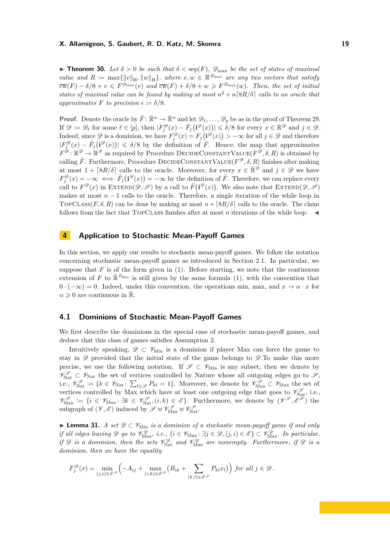**Theorem 30.** Let  $\delta > 0$  be such that  $\delta <$  sep(F),  $\mathscr{D}_{\text{max}}$  be the set of states of maximal *value and*  $R := \max{\{\Vert v \Vert_{H}, \Vert w \Vert_{H}\}}$ , where  $v, w \in \mathbb{R}^{\mathscr{D}_{\max}}$  are any two vectors that satisfy  $\overline{\text{cw}}(F) - \delta/8 + v \leqslant F^{\mathscr{D}_{\text{max}}}(v)$  and  $\overline{\text{cw}}(F) + \delta/8 + w \geqslant F^{\mathscr{D}_{\text{max}}}(w)$ . Then, the set of initial *states of maximal value can be found by making at most*  $n^2 + n \lfloor 8R/\delta \rfloor$  calls to an oracle that *approximates*  $F$  *to precision*  $\epsilon := \delta/8$ *.* 

**Proof.** Denote the oracle by  $\tilde{F}: \mathbb{R}^n \to \mathbb{R}^n$  and let  $\mathscr{D}_1, \ldots, \mathscr{D}_p$  be as in the proof of Theorem 29. If  $\mathscr{D} := \mathscr{D}_{\ell}$  for some  $\ell \in [p]$ , then  $|F_j^{\mathscr{D}}(x) - \tilde{F}_j(\mathbf{i}^{\mathscr{D}}(x))| \leq \delta/8$  for every  $x \in \mathbb{R}^{\mathscr{D}}$  and  $j \in \mathscr{D}$ . Indeed, since  $\mathscr{D}$  is a dominion, we have  $F_j^{\mathscr{D}}(x) = F_j(\mathbf{i}^{\mathscr{D}}(x)) > -\infty$  for all  $j \in \mathscr{D}$  and therefore  $|F_j^{\mathscr{D}}(x) - \tilde{F}_j(\mathbf{i}^{\mathscr{D}}(x))| \leq \delta/8$  by the definition of  $\tilde{F}$ . Hence, the map that approximates  $F^{\mathscr{D}} : \mathbb{R}^{\mathscr{D}} \to \mathbb{R}^{\mathscr{D}}$  as required by Procedure DECIDECONSTANTVALUE( $F^{\mathscr{D}}, \delta, R$ ) is obtained by calling  $\tilde{F}$ . Furthermore, Procedure DECIDECONSTANTVALUE( $F^{\mathscr{D}}, \delta, R$ ) finishes after making at most  $1 + \lceil 8R/\delta \rceil$  calls to the oracle. Moreover, for every  $x \in \mathbb{R}^{\mathscr{D}}$  and  $j \in \mathscr{D}$  we have  $F_j^{\mathscr{D}}(x) = -\infty \iff \tilde{F}_j(\mathbf{i}^{\mathscr{D}}(x)) = -\infty$  by the definition of  $\tilde{F}$ . Therefore, we can replace every call to  $F^{\mathscr{D}}(x)$  in EXTEND $(\mathscr{D}, \mathscr{S})$  by a call to  $\tilde{F}(\mathbf{i}^{\mathscr{D}}(x))$ . We also note that EXTEND $(\mathscr{D}, \mathscr{S})$ makes at most  $n-1$  calls to the oracle. Therefore, a single iteration of the while loop in TOPCLASS( $F, \delta, R$ ) can be done by making at most  $n + \lceil 8R/\delta \rceil$  calls to the oracle. The claim follows from the fact that TOPCLASS finishes after at most  $n$  iterations of the while loop.  $\blacktriangleleft$ 

## **4 Application to Stochastic Mean-Payoff Games**

In this section, we apply our results to stochastic mean-payoff games. We follow the notation concerning stochastic mean-payoff games as introduced in Section 2.1. In particular, we suppose that  $F$  is of the form given in  $(1)$ . Before starting, we note that the continuous extension of F to  $\mathbb{R}^{\mathscr{V}_{\text{Min}}}$  is still given by the same formula (1), with the convention that  $0 \cdot (-\infty) = 0$ . Indeed, under this convention, the operations min, max, and  $x \to \alpha \cdot x$  for  $\alpha \geqslant 0$  are continuous in  $\overline{\mathbb{R}}$ .

# **4.1 Dominions of Stochastic Mean-Payoff Games**

We first describe the dominions in the special case of stochastic mean-payoff games, and deduce that this class of games satisfies Assumption 2.

Intuitively speaking,  $\mathscr{D} \subset \mathscr{V}_{\text{Min}}$  is a dominion if player Max can force the game to stay in  $\mathscr{D}$  provided that the initial state of the game belongs to  $\mathscr{D}$ . To make this more precise, we use the following notation. If  $\mathscr{S} \subset \mathscr{V}_{\text{Min}}$  is any subset, then we denote by  $\mathcal{V}_{\text{Nat}}^{\mathscr{S}} \subset \mathscr{V}_{\text{Nat}}$  the set of vertices controlled by Nature whose all outgoing edges go to  $\mathscr{S},$ i.e.,  $\mathcal{V}_{\text{Nat}}^{\mathcal{S}} := \{k \in \mathcal{V}_{\text{Nat}} \colon \sum_{l \in \mathcal{S}} P_{kl} = 1\}.$  Moreover, we denote by  $\mathcal{V}_{\text{Max}}^{\mathcal{S}} \subset \mathcal{V}_{\text{Max}}$  the set of vertices controlled by Max which have at least one outgoing edge that goes to  $\mathcal{V}_{\text{Nat}}^{\mathscr{S}}$ , i.e.,  $\mathcal{V}_{\text{Max}}^{\mathscr{S}} \coloneqq \{i \in \mathscr{V}_{\text{Max}}: \exists k \in \mathscr{V}_{\text{Nat}}^{\mathscr{S}}, (i,k) \in \mathscr{E}\}.$  Furthermore, we denote by  $(\mathscr{V}^{\mathscr{S}}, \mathscr{E}^{\mathscr{S}})$  the subgraph of  $(\mathscr{V}, \mathscr{E})$  induced by  $\mathscr{S} \uplus \mathscr{V}_{\text{Max}}^{\mathscr{S}} \uplus \mathscr{V}_{\text{Nat}}^{\mathscr{S}}$ .

**► Lemma 31.** *A set*  $\mathscr{D} \subset \mathscr{V}_{\text{Min}}$  *is a dominion of a stochastic mean-payoff game if and only if all edges leaving*  $\mathscr{D}$  *go to*  $\mathscr{V}_{\text{Max}}^{\mathscr{D}}$ , *i.e.*,  $\{i \in \mathscr{V}_{\text{Max}} : \exists j \in \mathscr{D}, (j,i) \in \mathscr{E}\} \subset \mathscr{V}_{\text{Max}}^{\mathscr{D}}$ . In particular, *if*  $\mathscr{D}$  *is a dominion, then the sets*  $\mathscr{V}_{\text{Nat}}^{\mathscr{D}}$  *and*  $\mathscr{V}_{\text{Max}}^{\mathscr{D}}$  *are nonempty. Furthermore, if*  $\mathscr{D}$  *is a dominion, then we have the equality*

$$
F_j^{\mathscr{D}}(x) = \min_{(j,i)\in\mathscr{E}^{\mathscr{D}}} \left( -A_{ij} + \max_{(i,k)\in\mathscr{E}^{\mathscr{D}}} \left( B_{ik} + \sum_{(k,l)\in\mathscr{E}^{\mathscr{D}}} P_{kl} x_l \right) \right) \text{ for all } j \in \mathscr{D}.
$$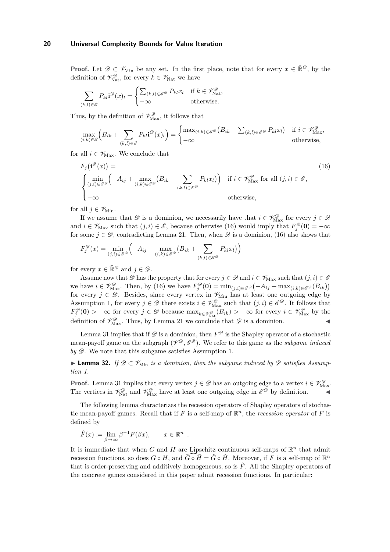**Proof.** Let  $\mathscr{D} \subset \mathscr{V}_{\text{Min}}$  be any set. In the first place, note that for every  $x \in \mathbb{R}^{\mathscr{D}}$ , by the definition of  $\mathcal{V}_{\text{Nat}}^{\mathcal{D}}$ , for every  $k \in \mathcal{V}_{\text{Nat}}$  we have

$$
\sum_{(k,l)\in\mathscr{E}} P_{kl} \mathbf{i}^{\mathscr{D}}(x)_l = \begin{cases} \sum_{(k,l)\in\mathscr{E}^{\mathscr{D}}} P_{kl} x_l & \text{if } k \in \mathscr{V}_{\text{Nat}}^{\mathscr{D}}, \\ -\infty & \text{otherwise.} \end{cases}
$$

Thus, by the definition of  $\mathscr{V}_{\text{Max}}^{\mathscr{D}}$ , it follows that

$$
\max_{(i,k)\in\mathscr{E}}\left(B_{ik}+\sum_{(k,l)\in\mathscr{E}}P_{kl}\mathbf{i}^{\mathscr{D}}(x)_{l}\right)=\begin{cases}\max_{(i,k)\in\mathscr{E}^{\mathscr{D}}}\left(B_{ik}+\sum_{(k,l)\in\mathscr{E}^{\mathscr{D}}}P_{kl}x_{l}\right) & \text{if } i\in\mathscr{V}_{\text{Max}}^{\mathscr{D}},\\-\infty & \text{otherwise,}\end{cases}
$$

for all  $i \in \mathscr{V}_{\text{Max}}$ . We conclude that

$$
F_j(\mathbf{i}^{\mathscr{D}}(x)) = \n\begin{cases} \n\min_{(j,i) \in \mathscr{E}^{\mathscr{D}}} \left( -A_{ij} + \max_{(i,k) \in \mathscr{E}^{\mathscr{D}}} \left( B_{ik} + \sum_{(k,l) \in \mathscr{E}^{\mathscr{D}}} P_{kl} x_l \right) \right) & \text{if } i \in \mathscr{V}_{\text{Max}}^{\mathscr{D}} \text{ for all } (j,i) \in \mathscr{E}, \\
-\infty & \text{otherwise,} \n\end{cases} \tag{16}
$$

for all  $j \in \mathscr{V}_{\text{Min}}$ .

If we assume that  $\mathscr{D}$  is a dominion, we necessarily have that  $i \in \mathscr{V}_{\text{Max}}^{\mathscr{D}}$  for every  $j \in \mathscr{D}$ and  $i \in \mathscr{V}_{\text{Max}}$  such that  $(j, i) \in \mathscr{E}$ , because otherwise (16) would imply that  $F_j^{\mathscr{D}}(\mathbf{0}) = -\infty$ for some  $j \in \mathcal{D}$ , contradicting Lemma 21. Then, when  $\mathcal{D}$  is a dominion, (16) also shows that

$$
F_j^{\mathscr{D}}(x) = \min_{(j,i)\in\mathscr{E}^{\mathscr{D}}} \left( -A_{ij} + \max_{(i,k)\in\mathscr{E}^{\mathscr{D}}} \left( B_{ik} + \sum_{(k,l)\in\mathscr{E}^{\mathscr{D}}} P_{kl} x_l \right) \right)
$$

for every  $x \in \mathbb{R}^{\mathscr{D}}$  and  $j \in \mathscr{D}$ .

Assume now that  $\mathscr D$  has the property that for every  $j \in \mathscr D$  and  $i \in \mathscr V_{\text{Max}}$  such that  $(j, i) \in \mathscr E$ we have  $i \in \mathcal{V}_{\text{Max}}^{\mathcal{D}}$ . Then, by (16) we have  $F_j^{\mathcal{D}}(\mathbf{0}) = \min_{(j,i) \in \mathcal{E}^{\mathcal{D}}} \left( -A_{ij} + \max_{(i,k) \in \mathcal{E}^{\mathcal{D}}} (B_{ik}) \right)$ for every  $j \in \mathscr{D}$ . Besides, since every vertex in  $\mathscr{V}_{\text{Min}}$  has at least one outgoing edge by Assumption 1, for every  $j \in \mathcal{D}$  there exists  $i \in \mathcal{V}_{\text{Max}}^{\mathcal{D}}$  such that  $(j, i) \in \mathcal{E}^{\mathcal{D}}$ . It follows that  $F_j^{\mathscr{D}}(\mathbf{0}) > -\infty$  for every  $j \in \mathscr{D}$  because  $\max_{k \in \mathscr{V}_{\text{Nat}}^{\mathscr{D}}}(B_{ik}) > -\infty$  for every  $i \in \mathscr{V}_{\text{Max}}^{\mathscr{D}}$  by the definition of  $\mathcal{V}_{\text{Max}}^{\mathcal{D}}$ . Thus, by Lemma 21 we conclude that  $\mathcal{D}$  is a dominion.

Lemma 31 implies that if  $\mathscr D$  is a dominion, then  $F^{\mathscr D}$  is the Shapley operator of a stochastic mean-payoff game on the subgraph  $(\mathcal{V}^{\mathcal{D}}, \mathcal{E}^{\mathcal{D}})$ . We refer to this game as the *subgame induced*  $$ 

**► Lemma 32.** If  $\mathscr{D} \subset \mathscr{V}_{\text{Min}}$  is a dominion, then the subgame induced by  $\mathscr{D}$  satisfies Assump*tion 1.*

**Proof.** Lemma 31 implies that every vertex  $j \in \mathcal{D}$  has an outgoing edge to a vertex  $i \in \mathcal{V}_{\text{Max}}^{\mathcal{D}}$ . The vertices in  $\mathcal{V}_{\text{Nat}}^{\mathscr{D}}$  and  $\mathcal{V}_{\text{Max}}^{\mathscr{D}}$  have at least one outgoing edge in  $\mathscr{E}^{\mathscr{D}}$  by definition.

The following lemma characterizes the recession operators of Shapley operators of stochastic mean-payoff games. Recall that if  $F$  is a self-map of  $\mathbb{R}^n$ , the *recession operator* of  $F$  is defined by

*.*

$$
\hat{F}(x) \coloneqq \lim_{\beta \to \infty} \beta^{-1} F(\beta x), \qquad x \in \mathbb{R}^n
$$

It is immediate that when *G* and *H* are Lipschitz continuous self-maps of  $\mathbb{R}^n$  that admit recession functions, so does  $G \circ H$ , and  $\widehat{G \circ H} = \widehat{G} \circ \widehat{H}$ . Moreover, if *F* is a self-map of  $\mathbb{R}^n$ that is order-preserving and additively homogeneous, so is  $\hat{F}$ . All the Shapley operators of the concrete games considered in this paper admit recession functions. In particular: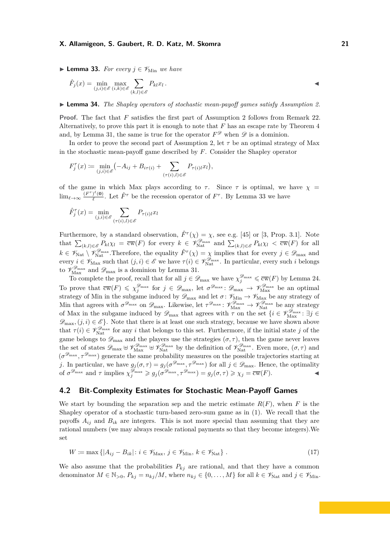**Lemma 33.** *For every*  $j \in \mathcal{V}_{\text{Min}}$  *we have* 

$$
\hat{F}_j(x) = \min_{(j,i)\in\mathscr{E}} \max_{(i,k)\in\mathscr{E}} \sum_{(k,l)\in\mathscr{E}} P_{kl} x_l.
$$

I **Lemma 34.** *The Shapley operators of stochastic mean-payoff games satisfy Assumption 2.*

**Proof.** The fact that *F* satisfies the first part of Assumption 2 follows from Remark 22. Alternatively, to prove this part it is enough to note that *F* has an escape rate by Theorem 4 and, by Lemma 31, the same is true for the operator  $F^{\mathscr{D}}$  when  $\mathscr{D}$  is a dominion.

In order to prove the second part of Assumption 2, let  $\tau$  be an optimal strategy of Max in the stochastic mean-payoff game described by *F*. Consider the Shapley operator

$$
F_j^{\tau}(x) := \min_{(j,i)\in\mathscr{E}} \left( -A_{ij} + B_{i\tau(i)} + \sum_{(\tau(i),l)\in\mathscr{E}} P_{\tau(i)l} x_l \right),
$$

of the game in which Max plays according to  $\tau$ . Since  $\tau$  is optimal, we have  $\chi$  =  $\lim_{\ell \to \infty} \frac{(F^{\tau})^{\ell}(\mathbf{0})}{\ell}$  $\int_{\ell}^{\ell}$  (0). Let  $\hat{F}^{\tau}$  be the recession operator of  $F^{\tau}$ . By Lemma 33 we have

$$
\hat{F}_j^{\tau}(x) = \min_{(j,i) \in \mathcal{E}} \sum_{(\tau(i),l) \in \mathcal{E}} P_{\tau(i)l} x_l
$$

Furthermore, by a standard observation,  $\hat{F}^{\tau}(\chi) = \chi$ , see e.g. [45] or [3, Prop. 3.1]. Note that  $\sum_{(k,l)\in\mathscr{E}} P_{kl}\chi_l = \overline{\text{cw}}(F)$  for every  $k \in \mathscr{V}_{\text{Nat}}^{\mathscr{D}_{\text{max}}}$  and  $\sum_{(k,l)\in\mathscr{E}} P_{kl}\chi_l < \overline{\text{cw}}(F)$  for all  $k \in \mathscr{V}_{\mathrm{Nat}} \setminus \mathscr{V}_{\mathrm{Nat}}^{\mathscr{D}_{\mathrm{max}}}$ . Therefore, the equality  $\hat{F}^{\tau}(\chi) = \chi$  implies that for every  $j \in \mathscr{D}_{\mathrm{max}}$  and  $\text{every } i \in \mathscr{V}_{\text{Max}} \text{ such that } (j, i) \in \mathscr{E} \text{ we have } \tau(i) \in \mathscr{V}_{\text{Nat}}^{\mathscr{D}_{\text{max}}}$ . In particular, every such *i* belongs to  $\mathscr{V}_{\rm Max}^{\mathscr{D}_{\rm max}}$  and  $\mathscr{D}_{\rm max}$  is a dominion by Lemma 31.

To complete the proof, recall that for all  $j \in \mathscr{D}_{\text{max}}$  we have  $\chi_j^{\mathscr{D}_{\text{max}}} \leq \overline{\text{cw}}(F)$  by Lemma 24. To prove that  $\overline{\mathrm{cw}}(F) \leqslant \chi_j^{\mathcal{D}_{\text{max}}}$  for  $j \in \mathcal{D}_{\text{max}}$ , let  $\sigma^{\mathcal{D}_{\text{max}}} : \mathcal{D}_{\text{max}} \to \mathcal{V}_{\text{Max}}^{\mathcal{D}_{\text{max}}}$  be an optimal strategy of Min in the subgame induced by  $\mathscr{D}_{\text{max}}$  and let  $\sigma: \mathscr{V}_{\text{Min}} \to \mathscr{V}_{\text{Max}}$  be any strategy of Min that agrees with  $\sigma^{\mathscr{D}_{\text{max}}}$  on  $\mathscr{D}_{\text{max}}$ . Likewise, let  $\tau^{\mathscr{D}_{\text{max}}}$ :  $\mathscr{V}_{\text{Max}}^{\mathscr{D}_{\text{max}}} \to \mathscr{V}_{\text{Nat}}^{\mathscr{D}_{\text{max}}}$  be any strategy of Max in the subgame induced by  $\mathscr{D}_{\text{max}}$  that agrees with  $\tau$  on the set  $\{i \in \mathscr{V}_{\text{Max}}^{\mathscr{D}_{\text{max}}} : \exists j \in$  $\mathscr{D}_{\text{max}}$ ,  $(j, i) \in \mathscr{E}$ . Note that there is at least one such strategy, because we have shown above that  $\tau(i) \in \mathcal{V}_{\text{Nat}}^{\mathcal{D}_{\text{max}}}$  for any *i* that belongs to this set. Furthermore, if the initial state *j* of the game belongs to  $\mathscr{D}_{\text{max}}$  and the players use the strategies  $(\sigma, \tau)$ , then the game never leaves the set of states  $\mathscr{D}_{\text{max}} \oplus \mathscr{V}_{\text{Max}}^{\mathscr{D}_{\text{max}}} \oplus \mathscr{V}_{\text{Nat}}^{\mathscr{D}_{\text{max}}}$  by the definition of  $\mathscr{V}_{\text{Nat}}^{\mathscr{D}_{\text{max}}}$ . Even more,  $(\sigma, \tau)$  and  $(\sigma^{\mathcal{D}_{\text{max}}}, \tau^{\mathcal{D}_{\text{max}}})$  generate the same probability measures on the possible trajectories starting at *j*. In particular, we have  $g_j(\sigma, \tau) = g_j(\sigma^{\mathcal{D}_{\text{max}}}, \tau^{\mathcal{D}_{\text{max}}})$  for all  $j \in \mathcal{D}_{\text{max}}$ . Hence, the optimality of  $\sigma^{\mathscr{D}_{\text{max}}}$  and  $\tau$  implies  $\chi_j^{\mathscr{D}_{\text{max}}} \geq g_j(\sigma^{\mathscr{D}_{\text{max}}}, \tau^{\mathscr{D}_{\text{max}}}) = g_j(\sigma, \tau) \geq \chi_j = \overline{\text{cw}}(F)$ .

# **4.2 Bit-Complexity Estimates for Stochastic Mean-Payoff Games**

We start by bounding the separation sep and the metric estimate  $R(F)$ , when F is the Shapley operator of a stochastic turn-based zero-sum game as in (1). We recall that the payoffs  $A_{ij}$  and  $B_{ik}$  are integers. This is not more special than assuming that they are rational numbers (we may always rescale rational payments so that they become integers).We set

$$
W \coloneqq \max\left\{ |A_{ij} - B_{ik}| : i \in \mathcal{V}_{\text{Max}}, j \in \mathcal{V}_{\text{Min}}, k \in \mathcal{V}_{\text{Nat}} \right\}. \tag{17}
$$

We also assume that the probabilities  $P_{kj}$  are rational, and that they have a common denominator  $M \in \mathbb{N}_{>0}$ ,  $P_{kj} = n_{kj}/M$ , where  $n_{kj} \in \{0, \ldots, M\}$  for all  $k \in \mathscr{V}_{\text{Nat}}$  and  $j \in \mathscr{V}_{\text{Min}}$ .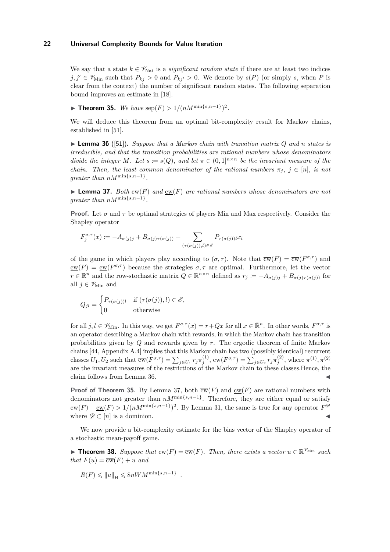We say that a state  $k \in \mathcal{V}_{\text{Nat}}$  is a *significant random state* if there are at least two indices  $j, j' \in \mathcal{V}_{\text{Min}}$  such that  $P_{kj} > 0$  and  $P_{kj'} > 0$ . We denote by  $s(P)$  (or simply *s*, when *P* is clear from the context) the number of significant random states. The following separation bound improves an estimate in [18].

▶ **Theorem 35.** *We have*  $\text{sep}(F) > 1/(nM^{\min\{s,n-1\}})^2$ *.* 

We will deduce this theorem from an optimal bit-complexity result for Markov chains, established in [51].

 $\triangleright$  **Lemma 36** ([51]). Suppose that a Markov chain with transition matrix Q and n states is *irreducible, and that the transition probabilities are rational numbers whose denominators divide the integer M. Let*  $s := s(Q)$ *, and let*  $\pi \in (0,1]^{n \times n}$  *be the invariant measure of the chain. Then, the least common denominator of the rational numbers*  $\pi_i$ ,  $j \in [n]$ , is not *greater than*  $nM^{\min\{s,n-1\}}$ .

**Lemma 37.** *Both*  $\overline{cw}(F)$  *and*  $cw(F)$  *are rational numbers whose denominators are not greater than*  $nM^{\min\{s,n-1\}}$ .

**Proof.** Let  $\sigma$  and  $\tau$  be optimal strategies of players Min and Max respectively. Consider the Shapley operator

$$
F_j^{\sigma,\tau}(x) := -A_{\sigma(j)j} + B_{\sigma(j)\tau(\sigma(j))} + \sum_{(\tau(\sigma(j)),l) \in \mathscr{E}} P_{\tau(\sigma(j))l} x_l
$$

of the game in which players play according to  $(\sigma, \tau)$ . Note that  $\overline{cw}(F) = \overline{cw}(F^{\sigma,\tau})$  and  $\underline{\mathrm{cw}}(F) = \underline{\mathrm{cw}}(F^{\sigma,\tau})$  because the strategies  $\sigma,\tau$  are optimal. Furthermore, let the vector  $r \in \mathbb{R}^n$  and the row-stochastic matrix  $Q \in \mathbb{R}^{n \times n}$  defined as  $r_j := -A_{\sigma(j)j} + B_{\sigma(j)\tau(\sigma(j))}$  for all  $j \in \mathscr{V}_{\text{Min}}$  and

$$
Q_{jl} = \begin{cases} P_{\tau(\sigma(j))l} & \text{if } (\tau(\sigma(j)), l) \in \mathscr{E}, \\ 0 & \text{otherwise} \end{cases}
$$

for all  $j, l \in \mathscr{V}_{\text{Min}}$ . In this way, we get  $F^{\sigma,\tau}(x) = r + Qx$  for all  $x \in \mathbb{R}^n$ . In other words,  $F^{\sigma,\tau}$  is an operator describing a Markov chain with rewards, in which the Markov chain has transition probabilities given by *Q* and rewards given by *r*. The ergodic theorem of finite Markov chains [44, Appendix A.4] implies that this Markov chain has two (possibly identical) recurrent classes  $U_1, U_2$  such that  $\overline{\mathrm{cw}}(F^{\sigma,\tau}) = \sum_{j \in U_1} r_j \pi_j^{(1)}, \, \underline{\mathrm{cw}}(F^{\sigma,\tau}) = \sum_{j \in U_2} r_j \pi_j^{(2)},$  where  $\pi^{(1)}, \pi^{(2)}$ are the invariant measures of the restrictions of the Markov chain to these classes.Hence, the claim follows from Lemma 36.

**Proof of Theorem 35.** By Lemma 37, both  $\overline{cw}(F)$  and  $\underline{cw}(F)$  are rational numbers with denominators not greater than  $nM^{\min\{s,n-1\}}$ . Therefore, they are either equal or satisfy  $\overline{\text{cw}}(F) - \underline{\text{cw}}(F) > 1/(nM^{\min\{s,n-1\}})^2$ . By Lemma 31, the same is true for any operator  $F^{\mathscr{D}}$ where  $\mathscr{D} \subset [n]$  is a dominion.

We now provide a bit-complexity estimate for the bias vector of the Shapley operator of a stochastic mean-payoff game.

▶ **Theorem 38.** Suppose that  $\underline{\mathrm{cw}}(F) = \overline{\mathrm{cw}}(F)$ . Then, there exists a vector  $u \in \mathbb{R}^{\mathcal{V}_{\mathrm{Min}}}$  such *that*  $F(u) = \overline{\text{cw}}(F) + u$  *and* 

$$
R(F) \leq \|u\|_{\mathcal{H}} \leq 8nWM^{\min\{s,n-1\}}.
$$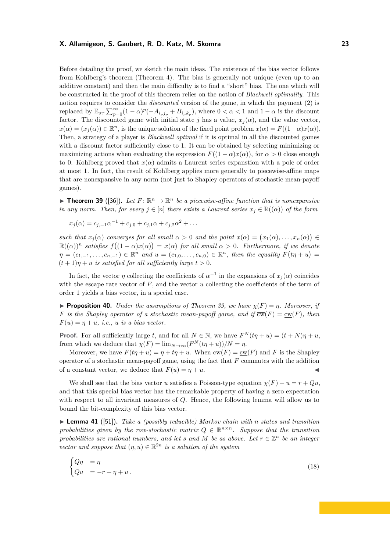Before detailing the proof, we sketch the main ideas. The existence of the bias vector follows from Kohlberg's theorem (Theorem 4). The bias is generally not unique (even up to an additive constant) and then the main difficulty is to find a "short" bias. The one which will be constructed in the proof of this theorem relies on the notion of *Blackwell optimality*. This notion requires to consider the *discounted* version of the game, in which the payment (2) is replaced by  $\mathbb{E}_{\sigma\tau} \sum_{p=0}^{\infty} (1 - \alpha)^p (-A_{i_pj_p} + B_{i_pk_p})$ , where  $0 < \alpha < 1$  and  $1 - \alpha$  is the discount factor. The discounted game with initial state *j* has a value,  $x<sub>j</sub>(\alpha)$ , and the value vector,  $x(\alpha) = (x_j(\alpha)) \in \mathbb{R}^n$ , is the unique solution of the fixed point problem  $x(\alpha) = F((1-\alpha)x(\alpha))$ . Then, a strategy of a player is *Blackwell optimal* if it is optimal in all the discounted games with a discount factor sufficiently close to 1. It can be obtained by selecting minimizing or maximizing actions when evaluating the expression  $F((1 - \alpha)x(\alpha))$ , for  $\alpha > 0$  close enough to 0. Kohlberg proved that  $x(\alpha)$  admits a Laurent series expanstion with a pole of order at most 1. In fact, the result of Kohlberg applies more generally to piecewise-affine maps that are nonexpansive in any norm (not just to Shapley operators of stochastic mean-payoff games).

**Theorem 39** ([36]). Let  $F: \mathbb{R}^n \to \mathbb{R}^n$  be a piecewise-affine function that is nonexpansive *in any norm. Then, for every*  $j \in [n]$  *there exists a Laurent series*  $x_j \in \mathbb{R}((\alpha))$  *of the form* 

 $x_j(\alpha) = c_{j,-1}\alpha^{-1} + c_{j,0} + c_{j,1}\alpha + c_{j,2}\alpha^2 + \dots$ 

*such that*  $x_j(\alpha)$  *converges for all small*  $\alpha > 0$  *and the point*  $x(\alpha) = (x_1(\alpha), \ldots, x_n(\alpha)) \in$  $\mathbb{R}((\alpha))^n$  *satisfies*  $f((1 - \alpha)x(\alpha)) = x(\alpha)$  *for all small*  $\alpha > 0$ *. Furthermore, if we denote*  $\eta = (c_{1,-1}, \ldots, c_{n,-1}) \in \mathbb{R}^n$  and  $u = (c_{1,0}, \ldots, c_{n,0}) \in \mathbb{R}^n$ , then the equality  $F(t\eta + u) =$  $(t+1)\eta + u$  *is satisfied for all sufficiently large*  $t > 0$ *.* 

In fact, the vector *η* collecting the coefficients of  $\alpha^{-1}$  in the expansions of  $x_j(\alpha)$  coincides with the escape rate vector of  $F$ , and the vector  $u$  collecting the coefficients of the term of order 1 yields a bias vector, in a special case.

**Proposition 40.** *Under the assumptions of Theorem 39, we have*  $\chi(F) = \eta$ *. Moreover, if F* is the Shapley operator of a stochastic mean-payoff game, and if  $\overline{cw}(F) = cw(F)$ , then  $F(u) = \eta + u$ *, i.e., u is a bias vector.* 

**Proof.** For all sufficiently large *t*, and for all  $N \in \mathbb{N}$ , we have  $F^N(t\eta + u) = (t + N)\eta + u$ , from which we deduce that  $\chi(F) = \lim_{N \to \infty} (F^N(t\eta + u))/N = \eta$ .

Moreover, we have  $F(t\eta + u) = \eta + t\eta + u$ . When  $\overline{cw}(F) = \underline{cw}(F)$  and F is the Shapley operator of a stochastic mean-payoff game, using the fact that *F* commutes with the addition of a constant vector, we deduce that  $F(u) = \eta + u$ .

We shall see that the bias vector *u* satisfies a Poisson-type equation  $\chi(F) + u = r + Qu$ , and that this special bias vector has the remarkable property of having a zero expectation with respect to all invariant measures of *Q*. Hence, the following lemma will allow us to bound the bit-complexity of this bias vector.

I **Lemma 41** ([51])**.** *Take a (possibly reducible) Markov chain with n states and transition* probabilities given by the row-stochastic matrix  $Q \in \mathbb{R}^{n \times n}$ . Suppose that the transition *probabilities are rational numbers, and let s and*  $M$  *be as above. Let*  $r \in \mathbb{Z}^n$  *be an integer vector and suppose that*  $(\eta, u) \in \mathbb{R}^{2n}$  *is a solution of the system* 

$$
\begin{cases} Q\eta &= \eta \\ Qu &= -r + \eta + u. \end{cases} \tag{18}
$$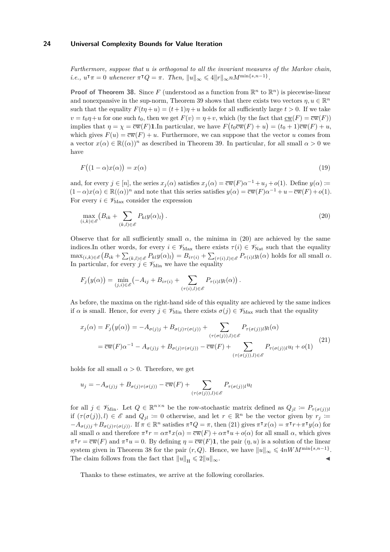*Furthermore, suppose that u is orthogonal to all the invariant measures of the Markov chain, i.e.,*  $u^{\intercal}\pi = 0$  *whenever*  $\pi^{\intercal}Q = \pi$ *. Then,*  $||u||_{\infty} \leq 4||r||_{\infty}nM^{\min\{s,n-1\}}$ .

**Proof of Theorem 38.** Since F (understood as a function from  $\mathbb{R}^n$  to  $\mathbb{R}^n$ ) is piecewise-linear and nonexpansive in the sup-norm, Theorem 39 shows that there exists two vectors  $\eta, u \in \mathbb{R}^n$ such that the equality  $F(t\eta + u) = (t+1)\eta + u$  holds for all sufficiently large  $t > 0$ . If we take  $v = t_0 \eta + u$  for one such  $t_0$ , then we get  $F(v) = \eta + v$ , which (by the fact that  $c w(F) = \overline{cw}(F)$ ) implies that  $\eta = \chi = \overline{\text{cw}}(F)$ **1**.In particular, we have  $F(t_0\overline{\text{cw}}(F) + u) = (t_0 + 1)\overline{\text{cw}}(F) + u$ , which gives  $F(u) = \overline{cw}(F) + u$ . Furthermore, we can suppose that the vector *u* comes from a vector  $x(\alpha) \in \mathbb{R}((\alpha))^n$  as described in Theorem 39. In particular, for all small  $\alpha > 0$  we have

$$
F((1 - \alpha)x(\alpha)) = x(\alpha) \tag{19}
$$

and, for every  $j \in [n]$ , the series  $x_j(\alpha)$  satisfies  $x_j(\alpha) = \overline{\text{cw}}(F)\alpha^{-1} + u_j + o(1)$ . Define  $y(\alpha) :=$  $(1-\alpha)x(\alpha) \in \mathbb{R}((\alpha))^n$  and note that this series satisfies  $y(\alpha) = \overline{cw}(F)\alpha^{-1} + u - \overline{cw}(F) + o(1)$ . For every  $i \in \mathcal{V}_{\text{Max}}$  consider the expression

$$
\max_{(i,k)\in\mathscr{E}}\left(B_{ik}+\sum_{(k,l)\in\mathscr{E}}P_{kl}y(\alpha)_l\right). \tag{20}
$$

Observe that for all sufficiently small  $\alpha$ , the minima in (20) are achieved by the same indices.In other words, for every  $i \in \mathscr{V}_{\text{Max}}$  there exists  $\tau(i) \in \mathscr{V}_{\text{Nat}}$  such that the equality  $\max_{(i,k)\in\mathscr{E}}\left(B_{ik}+\sum_{(k,l)\in\mathscr{E}}P_{kl}y(\alpha)_l\right)=B_{i\tau(i)}+\sum_{(\tau(i),l)\in\mathscr{E}}P_{\tau(i)l}y_l(\alpha)$  holds for all small  $\alpha$ . In particular, for every  $j \in \mathscr{V}_{\mathrm{Min}}$  we have the equality

$$
F_j\big(y(\alpha)\big) = \min_{(j,i)\in\mathscr{E}} \left(-A_{ij} + B_{i\tau(i)} + \sum_{(\tau(i),l)\in\mathscr{E}} P_{\tau(i)l} y_l(\alpha)\right).
$$

As before, the maxima on the right-hand side of this equality are achieved by the same indices if  $\alpha$  is small. Hence, for every  $j \in \mathscr{V}_{\text{Min}}$  there exists  $\sigma(j) \in \mathscr{V}_{\text{Max}}$  such that the equality

$$
x_j(\alpha) = F_j\big(y(\alpha)\big) = -A_{\sigma(j)j} + B_{\sigma(j)\tau(\sigma(j))} + \sum_{(\tau(\sigma(j)),l) \in \mathscr{E}} P_{\tau(\sigma(j))l} y_l(\alpha)
$$
  

$$
= \overline{\text{cw}}(F)\alpha^{-1} - A_{\sigma(j)j} + B_{\sigma(j)\tau(\sigma(j))} - \overline{\text{cw}}(F) + \sum_{(\tau(\sigma(j)),l) \in \mathscr{E}} P_{\tau(\sigma(j))l} u_l + o(1)
$$
(21)

holds for all small  $\alpha > 0$ . Therefore, we get

$$
u_j = -A_{\sigma(j)j} + B_{\sigma(j)\tau(\sigma(j))} - \overline{\text{cw}}(F) + \sum_{(\tau(\sigma(j)),l) \in \mathscr{E}} P_{\tau(\sigma(j))l} u_l
$$

for all  $j \in \mathcal{V}_{\text{Min}}$ . Let  $Q \in \mathbb{R}^{n \times n}$  be the row-stochastic matrix defined as  $Q_{jl} \coloneqq P_{\tau(\sigma(j))l}$ if  $(\tau(\sigma(j)), l) \in \mathcal{E}$  and  $Q_{jl} := 0$  otherwise, and let  $r \in \mathbb{R}^n$  be the vector given by  $r_j :=$  $-A_{\sigma(j)j}+B_{\sigma(j)\tau(\sigma(j))}$ . If  $\pi \in \mathbb{R}^n$  satisfies  $\pi^{\intercal}Q = \pi$ , then (21) gives  $\pi^{\intercal}x(\alpha) = \pi^{\intercal}r + \pi^{\intercal}y(\alpha)$  for all small  $\alpha$  and therefore  $\pi^{\mathsf{T}} r = \alpha \pi^{\mathsf{T}} x(\alpha) = \overline{\text{cw}}(F) + \alpha \pi^{\mathsf{T}} u + o(\alpha)$  for all small  $\alpha$ , which gives  $\pi^{\mathsf{T}} r = \overline{\text{cw}}(F)$  and  $\pi^{\mathsf{T}} u = 0$ . By defining  $\eta = \overline{\text{cw}}(F)$ **1**, the pair  $(\eta, u)$  is a solution of the linear system given in Theorem 38 for the pair  $(r, Q)$ . Hence, we have  $||u||_{\infty} \leqslant 4nWM^{\min\{s, n-1\}}$ . The claim follows from the fact that  $||u||_H \leq 2||u||_{\infty}$ .

Thanks to these estimates, we arrive at the following corollaries.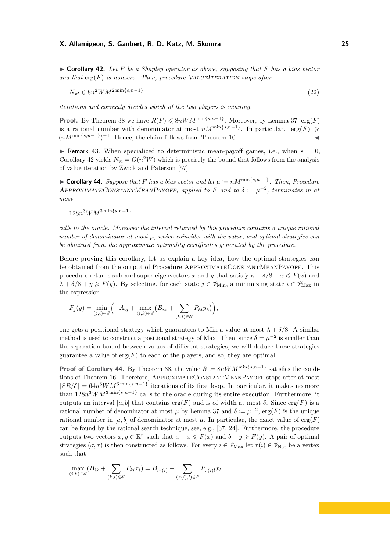$N_{vi} \leqslant 8n^2 W M^{2 \min\{s,n-1\}}$ (22)

*iterations and correctly decides which of the two players is winning.*

**Proof.** By Theorem 38 we have  $R(F) \leq 8nWM^{\min\{s,n-1\}}$ . Moreover, by Lemma 37, erg $(F)$ is a rational number with denominator at most  $nM^{\min\{s,n-1\}}$ . In particular,  $|\text{erg}(F)| \geq$  $(nM^{\min\{s,n-1\}})^{-1}$ . Hence, the claim follows from Theorem 10.

**I** Remark 43. When specialized to deterministic mean-payoff games, i.e., when  $s = 0$ , Corollary 42 yields  $N_{\rm vi} = O(n^2W)$  which is precisely the bound that follows from the analysis of value iteration by Zwick and Paterson [57].

► **Corollary 44.** Suppose that F has a bias vector and let  $\mu := nM^{\min\{s,n-1\}}$ . Then, Procedure APPROXIMATECONSTANTMEANPAYOFF, applied to F and to  $\delta := \mu^{-2}$ , terminates in at *most*

 $128n<sup>3</sup>WM<sup>3</sup>min{*s*,*n*−1}$ 

*calls to the oracle. Moreover the interval returned by this procedure contains a unique rational number of denominator at most µ, which coincides with the value, and optimal strategies can be obtained from the approximate optimality certificates generated by the procedure.*

Before proving this corollary, let us explain a key idea, how the optimal strategies can be obtained from the output of Procedure APPROXIMATECONSTANTMEANPAYOFF. This procedure returns sub and super-eigenvectors *x* and *y* that satisfy  $\kappa - \delta/8 + x \leq F(x)$  and  $\lambda + \delta/8 + y \geq F(y)$ . By selecting, for each state  $j \in \mathscr{V}_{\text{Min}}$ , a minimizing state  $i \in \mathscr{V}_{\text{Max}}$  in the expression

$$
F_j(y) = \min_{(j,i)\in\mathscr{E}} \Bigl(-A_{ij} + \max_{(i,k)\in\mathscr{E}} \bigl(B_{ik} + \sum_{(k,l)\in\mathscr{E}} P_{kl} y_k\bigr)\Bigr),\,
$$

one gets a positional strategy which guarantees to Min a value at most  $\lambda + \delta/8$ . A similar method is used to construct a positional strategy of Max. Then, since  $\delta = \mu^{-2}$  is smaller than the separation bound between values of different strategies, we will deduce these strategies guarantee a value of  $\text{erg}(F)$  to each of the players, and so, they are optimal.

**Proof of Corollary 44.** By Theorem 38, the value  $R \coloneqq 8nWM^{\min\{s,n-1\}}$  satisfies the conditions of Theorem 16. Therefore, APPROXIMATECONSTANTMEANPAYOFF stops after at most  $[8R/\delta] = 64n^3WM^{3\min\{s,n-1\}}$  iterations of its first loop. In particular, it makes no more than 128*n* <sup>3</sup>*WM*3 min{*s,n*−1} calls to the oracle during its entire execution. Furthermore, it outputs an interval [ $a, b$ ] that contains erg( $F$ ) and is of width at most  $\delta$ . Since erg( $F$ ) is a rational number of denominator at most  $\mu$  by Lemma 37 and  $\delta := \mu^{-2}$ , erg(F) is the unique rational number in [a, b] of denominator at most  $\mu$ . In particular, the exact value of erg(*F*) can be found by the rational search technique, see, e.g., [37, 24]. Furthermore, the procedure outputs two vectors  $x, y \in \mathbb{R}^n$  such that  $a + x \leq F(x)$  and  $b + y \geq F(y)$ . A pair of optimal strategies  $(\sigma, \tau)$  is then constructed as follows. For every  $i \in \mathscr{V}_{\text{Max}}$  let  $\tau(i) \in \mathscr{V}_{\text{Nat}}$  be a vertex such that

$$
\max_{(i,k)\in\mathscr{E}}(B_{ik}+\sum_{(k,l)\in\mathscr{E}}P_{kl}x_l)=B_{i\tau(i)}+\sum_{(\tau(i),l)\in\mathscr{E}}P_{\tau(i)l}x_l.
$$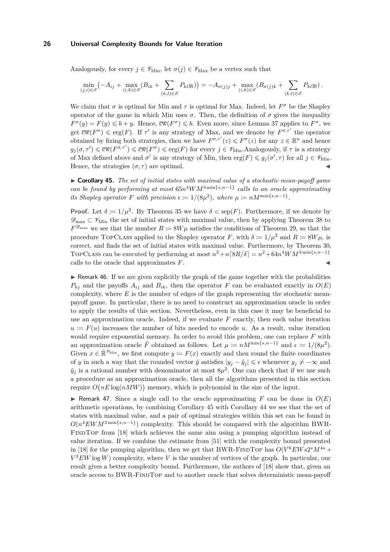Analogously, for every  $j \in \mathscr{V}_{\text{Min}}$ , let  $\sigma(j) \in \mathscr{V}_{\text{Max}}$  be a vertex such that

$$
\min_{(j,i)\in\mathscr{E}}\left(-A_{ij}+\max_{(i,k)\in\mathscr{E}}(B_{ik}+\sum_{(k,l)\in\mathscr{E}}P_{kl}y_l)\right)=-A_{\sigma(j)j}+\max_{(i,k)\in\mathscr{E}}(B_{\sigma(j)k}+\sum_{(k,l)\in\mathscr{E}}P_{kl}y_l).
$$

We claim that  $\sigma$  is optimal for Min and  $\tau$  is optimal for Max. Indeed, let  $F^{\sigma}$  be the Shapley operator of the game in which Min uses  $σ$ . Then, the definition of  $σ$  gives the inequality  $F^{\sigma}(y) = F(y) \leq b + y$ . Hence,  $\overline{\text{cw}}(F^{\sigma}) \leq b$ . Even more, since Lemma 37 applies to  $F^{\sigma}$ , we get  $\overline{\mathrm{cw}}(F^{\sigma}) \leq \mathrm{erg}(F)$ . If  $\tau'$  is any strategy of Max, and we denote by  $F^{\sigma,\tau'}$  the operator obtained by fixing both strategies, then we have  $F^{\sigma,\tau'}(z) \leq F^{\sigma}(z)$  for any  $z \in \mathbb{R}^n$  and hence  $g_j(\sigma, \tau') \leq \overline{\mathrm{cw}}(F^{\sigma,\tau'}) \leq \overline{\mathrm{cw}}(F^{\sigma}) \leq \mathrm{erg}(F)$  for every  $j \in \mathscr{V}_{\mathrm{Min}}$ . Analogously, if  $\tau$  is a strategy of Max defined above and  $\sigma'$  is any strategy of Min, then  $\text{erg}(F) \leqslant g_j(\sigma', \tau)$  for all  $j \in \mathcal{V}_{\text{Min}}$ . Hence, the strategies  $(\sigma, \tau)$  are optimal.

► **Corollary 45.** *The set of initial states with maximal value of a stochastic mean-payoff game can be found by performing at most* 65*n* <sup>4</sup>*WM*3 min{*s,n*−1} *calls to an oracle approximating its Shapley operator F with precision*  $\epsilon := 1/(8\mu^2)$ *, where*  $\mu := nM^{\min\{s,n-1\}}$ *.* 

**Proof.** Let  $\delta := 1/\mu^2$ . By Theorem 35 we have  $\delta < \text{sep}(F)$ . Furthermore, if we denote by  $\mathscr{D}_{\text{max}} \subset \mathscr{V}_{\text{Min}}$  the set of initial states with maximal value, then by applying Theorem 38 to  $F^{\mathscr{D}_{\text{max}}}$  we see that the number  $R \coloneqq 8W\mu$  satisfies the conditions of Theorem 29, so that the procedure TOPCLASS applied to the Shapley operator *F*, with  $\delta := 1/\mu^2$  and  $R := 8W\mu$ , is correct, and finds the set of initial states with maximal value. Furthermore, by Theorem 30, TOPCLASS can be executed by performing at most  $n^2 + n \left[ 8R/\delta \right] = n^2 + 64n^4 W M^{3 \min\{s,n-1\}}$ calls to the oracle that approximates  $F$ .

 $\triangleright$  Remark 46. If we are given explicitly the graph of the game together with the probabilities  $P_{ki}$  and the payoffs  $A_{ij}$  and  $B_{ik}$ , then the operator *F* can be evaluated exactly in  $O(E)$ complexity, where *E* is the number of edges of the graph representing the stochastic meanpayoff game. In particular, there is no need to construct an approximation oracle in order to apply the results of this section. Nevertheless, even in this case it may be beneficial to use an approximation oracle. Indeed, if we evaluate  $F$  exactly, then each value iteration  $u := F(u)$  increases the number of bits needed to encode *u*. As a result, value iteration would require exponential memory. In order to avoid this problem, one can replace *F* with an approximation oracle  $\tilde{F}$  obtained as follows. Let  $\mu := nM^{\min\{s,n-1\}}$  and  $\epsilon := 1/(8\mu^2)$ . Given  $x \in \mathbb{R}^{\mathcal{V}_{\text{Min}}}$ , we first compute  $y \coloneqq F(x)$  exactly and then round the finite coordinates of *y* in such a way that the rounded vector  $\tilde{y}$  satisfies  $|y_j - \tilde{y}_j| \leq \epsilon$  whenever  $y_j \neq -\infty$  and  $\tilde{y}_j$  is a rational number with denominator at most  $8\mu^2$ . One can check that if we use such a procedure as an approximation oracle, then all the algorithms presented in this section require  $O(nE \log(nMW))$  memory, which is polynomial in the size of the input.

**If** Remark 47. Since a single call to the oracle approximating F can be done in  $O(E)$ arithmetic operations, by combining Corollary 45 with Corollary 44 we see that the set of states with maximal value, and a pair of optimal strategies within this set can be found in  $O(n^4 EWM^{3 \min\{s,n-1\}})$  complexity. This should be compared with the algorithm BWR-FINDTOP from [18] which achieves the same aim using a pumping algorithm instead of value iteration. If we combine the estimate from [51] with the complexity bound presented in [18] for the pumping algorithm, then we get that BWR-FINDTOP has  $O(V^6EWs2^sM^{4s} +$ *V* <sup>3</sup>*EW* log *W*) complexity, where *V* is the number of vertices of the graph. In particular, our result gives a better complexity bound. Furthermore, the authors of [18] show that, given an oracle access to BWR-FindTop and to another oracle that solves deterministic mean-payoff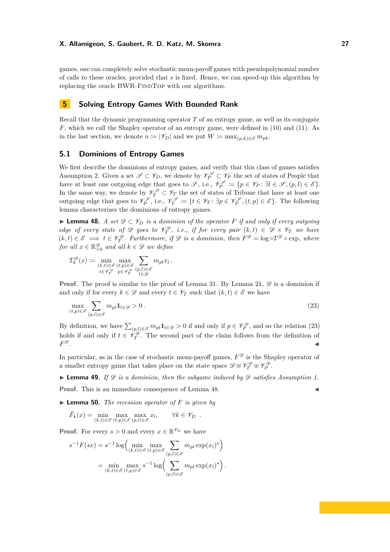games, one can completely solve stochastic mean-payoff games with pseudopolynomial number of calls to these oracles, provided that *s* is fixed. Hence, we can speed-up this algorithm by replacing the oracle BWR-FINDTOP with our algorithms.

# **5 Solving Entropy Games With Bounded Rank**

Recall that the dynamic programming operator *T* of an entropy game, as well as its conjugate *F*, which we call the Shapley operator of an entropy game, were defined in (10) and (11). As in the last section, we denote  $n \coloneqq |\mathscr{V}_D|$  and we put  $W \coloneqq \max_{(p,k) \in \mathscr{E}} m_{pk}$ .

## **5.1 Dominions of Entropy Games**

We first describe the dominions of entropy games, and verify that this class of games satisfies Assumption 2. Given a set  $\mathscr{S} \subset \mathscr{V}_D$ , we denote by  $\mathscr{V}_P^{\mathscr{S}} \subset \mathscr{V}_P$  the set of states of People that have at least one outgoing edge that goes to  $\mathscr{S}$ , i.e.,  $\mathscr{V}_P^{\mathscr{S}} \coloneqq \{p \in \mathscr{V}_P : \exists l \in \mathscr{S}, (p, l) \in \mathscr{E}\}.$ In the same way, we denote by  $\mathscr{V}_T^{\mathscr{S}} \subset \mathscr{V}_T$  the set of states of Tribune that have at least one outgoing edge that goes to  $\mathcal{V}_P^{\mathcal{S}}$ , i.e.,  $\mathcal{V}_T^{\mathcal{S}} := \{t \in \mathcal{V}_T : \exists p \in \mathcal{V}_P^{\mathcal{S}}}, (t, p) \in \mathcal{E}\}$ . The following lemma characterizes the dominions of entropy games.

**► Lemma 48.** *A set*  $\mathscr{D} \subset \mathscr{V}_D$  *is a dominion of the operator F if and only if every outgoing edge of every state of*  $\mathscr D$  *goes to*  $\mathscr V_T^{\mathscr D}$ *, i.e., if for every pair*  $(k,t) \in \mathscr D \times \mathscr V_T$  *we have*  $(k, t) \in \mathscr{E} \implies t \in \mathscr{V}_T^{\mathscr{D}}$ . Furthermore, if  $\mathscr{D}$  is a dominion, then  $F^{\mathscr{D}} = \log \circ T^{\mathscr{D}} \circ \exp$ , where *for all*  $x \in \mathbb{R}^{\mathscr{D}}_{>0}$  *and all*  $k \in \mathscr{D}$  *we define* 

$$
T_k^{\mathscr{D}}(x) := \min_{\substack{(k,t)\in\mathscr{E}\\t\in\mathscr{V}_T^{\mathscr{D}}}}\max_{\substack{(p,p)\in\mathscr{E}\\p\in\mathscr{V}_P^{\mathscr{D}}}}\sum_{\substack{(p,l)\in\mathscr{E}\\l\in\mathscr{D}}}m_{pl}x_l.
$$

**Proof.** The proof is similar to the proof of Lemma 31. By Lemma 21,  $\mathscr{D}$  is a dominion if and only if for every  $k \in \mathcal{D}$  and every  $t \in \mathcal{V}_T$  such that  $(k, t) \in \mathcal{E}$  we have

$$
\max_{(t,p)\in\mathscr{E}}\sum_{(p,l)\in\mathscr{E}}m_{pl}\mathbf{1}_{l\in\mathscr{D}}>0.\tag{23}
$$

By definition, we have  $\sum_{(p,l)\in\mathscr{E}} m_{pl} \mathbf{1}_{l\in\mathscr{D}} > 0$  if and only if  $p \in \mathscr{V}_{P}^{\mathscr{D}}$ , and so the relation (23) holds if and only if  $t \in \mathcal{V}_T^{\mathcal{D}}$ . The second part of the claim follows from the definition of *F*  $\mathscr{D}$  .

In particular, as in the case of stochastic mean-payoff games,  $F^{\mathscr{D}}$  is the Shapley operator of a smaller entropy game that takes place on the state space  $\mathscr{D} \uplus \mathscr{V}_{T}^{\mathscr{D}} \uplus \mathscr{V}_{P}^{\mathscr{D}}$ .

 $\blacktriangleright$  **Lemma 49.** If  $\mathscr D$  *is a dominion, then the subgame induced by*  $\mathscr D$  *satisfies Assumption 1.* 

**Proof.** This is an immediate consequence of Lemma 48.

 $\blacktriangleright$  **Lemma 50.** *The recession operator of F is given by* 

$$
\hat{F}_k(x) = \min_{(k,t) \in \mathscr{E}} \max_{(t,p) \in \mathscr{E}} \max_{(p,l) \in \mathscr{E}} x_l, \qquad \forall k \in \mathscr{V}_D.
$$

**Proof.** For every  $s > 0$  and every  $x \in \mathbb{R}^{\mathcal{V}_D}$  we have

$$
s^{-1}F(sx) = s^{-1}\log\Big(\min_{(k,t)\in\mathscr{E}}\max_{(t,p)\in\mathscr{E}}\sum_{(p,l)\in\mathscr{E}}m_{pl}\exp(x_l)^s\Big)
$$

$$
= \min_{(k,t)\in\mathscr{E}}\max_{(t,p)\in\mathscr{E}}s^{-1}\log\Big(\sum_{(p,l)\in\mathscr{E}}m_{pl}\exp(x_l)^s\Big).
$$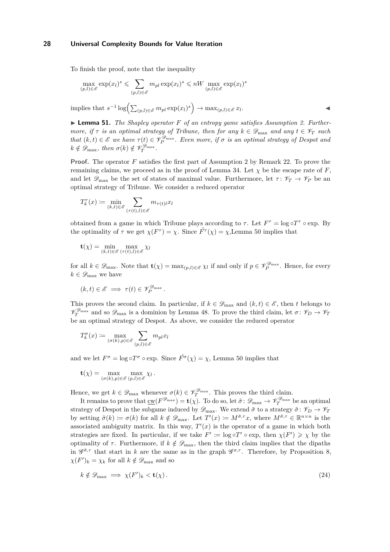To finish the proof, note that the inequality

$$
\max_{(p,l)\in\mathscr{E}} \exp(x_l)^s \leqslant \sum_{(p,l)\in\mathscr{E}} m_{pl} \exp(x_l)^s \leqslant nW \max_{(p,l)\in\mathscr{E}} \exp(x_l)^s
$$

 $\text{implies that } s^{-1}\log\left(\sum_{(p,l)\in\mathscr{E}}m_{pl}\exp(x_l)^s\right) \to \max_{(p,l)\in\mathscr{E}}x_l$ . John Park Research

▶ **Lemma 51.** *The Shapley operator F of an entropy game satisfies Assumption 2. Furthermore, if*  $\tau$  *is an optimal strategy of Tribune, then for any*  $k \in \mathscr{D}_{\text{max}}$  *and any*  $t \in \mathscr{V}_T$  *such that*  $(k, t) \in \mathscr{E}$  *we have*  $\tau(t) \in \mathscr{V}_{P}^{\mathscr{D}_{\text{max}}}$ *. Even more, if*  $\sigma$  *is an optimal strategy of Despot and*  $k \notin \mathscr{D}_{\max}$ , then  $\sigma(k) \notin \mathscr{V}_T^{\mathscr{D}_{\max}}$ .

**Proof.** The operator *F* satisfies the first part of Assumption 2 by Remark 22. To prove the remaining claims, we proceed as in the proof of Lemma 34. Let  $\chi$  be the escape rate of *F*, and let  $\mathscr{D}_{\text{max}}$  be the set of states of maximal value. Furthermore, let  $\tau: \mathscr{V}_T \to \mathscr{V}_P$  be an optimal strategy of Tribune. We consider a reduced operator

$$
T_k^{\tau}(x) := \min_{(k,t) \in \mathscr{E}} \sum_{(\tau(t),l) \in \mathscr{E}} m_{\tau(t)l} x_l
$$

obtained from a game in which Tribune plays according to  $\tau$ . Let  $F^{\tau} = \log \circ T^{\tau} \circ \exp$ . By the optimality of  $\tau$  we get  $\chi(F^{\tau}) = \chi$ . Since  $\hat{F}^{\tau}(\chi) = \chi$ , Lemma 50 implies that

$$
\mathbf{t}(\chi) = \min_{(k,t) \in \mathscr{E}} \max_{(\tau(t),l) \in \mathscr{E}} \chi_l
$$

for all  $k \in \mathscr{D}_{\max}$ . Note that  $\mathbf{t}(\chi) = \max_{(p,l) \in \mathscr{E}} \chi_l$  if and only if  $p \in \mathscr{V}_{P}^{\mathscr{D}_{\max}}$ . Hence, for every  $k \in \mathscr{D}_{\text{max}}$  we have

$$
(k,t)\in \mathscr{E} \implies \tau(t)\in \mathscr{V}_{P}^{\mathscr{D}_{\max }}.
$$

This proves the second claim. In particular, if  $k \in \mathscr{D}_{\text{max}}$  and  $(k, t) \in \mathscr{E}$ , then *t* belongs to  $\mathcal{V}_T^{\mathcal{D}_{\text{max}}}$  and so  $\mathcal{D}_{\text{max}}$  is a dominion by Lemma 48. To prove the third claim, let  $\sigma: \mathcal{V}_D \to \mathcal{V}_T$ be an optimal strategy of Despot. As above, we consider the reduced operator

$$
T_k^{\sigma}(x) \coloneqq \max_{(\sigma(k),p) \in \mathcal{E}} \sum_{(p,l) \in \mathcal{E}} m_{pl} x_l
$$

and we let  $F^{\sigma} = \log \circ T^{\sigma} \circ \exp$ . Since  $\hat{F}^{\sigma}(\chi) = \chi$ , Lemma 50 implies that

$$
\mathbf{t}(\chi) = \max_{(\sigma(k),p) \in \mathscr{E}} \max_{(p,l) \in \mathscr{E}} \chi_l.
$$

Hence, we get  $k \in \mathscr{D}_{\text{max}}$  whenever  $\sigma(k) \in \mathscr{V}_T^{\mathscr{D}_{\text{max}}}$ . This proves the third claim.

It remains to prove that  $\underline{\mathrm{cw}}(F^{\mathscr{D}_{\text{max}}}) = \mathbf{t}(\chi)$ . To do so, let  $\tilde{\sigma} \colon \mathscr{D}_{\text{max}} \to \mathscr{V}_{T}^{\mathscr{D}_{\text{max}}}$  be an optimal strategy of Despot in the subgame induced by  $\mathscr{D}_{\text{max}}$ . We extend  $\tilde{\sigma}$  to a strategy  $\tilde{\sigma}$ :  $\mathscr{V}_D \to \mathscr{V}_T$ by setting  $\tilde{\sigma}(k) := \sigma(k)$  for all  $k \notin \mathscr{D}_{\text{max}}$ . Let  $T'(x) := M^{\tilde{\sigma}, \tau} x$ , where  $M^{\tilde{\sigma}, \tau} \in \mathbb{R}^{n \times n}$  is the associated ambiguity matrix. In this way,  $T'(x)$  is the operator of a game in which both strategies are fixed. In particular, if we take  $F' := \log \circ T' \circ \exp$ , then  $\chi(F') \geq \chi$  by the optimality of  $\tau$ . Furthermore, if  $k \notin \mathscr{D}_{\text{max}}$ , then the third claim implies that the dipaths in  $\mathscr{G}^{\tilde{\sigma},\tau}$  that start in *k* are the same as in the graph  $\mathscr{G}^{\sigma,\tau}$ . Therefore, by Proposition 8,  $\chi(F')_k = \chi_k$  for all  $k \notin \mathscr{D}_{\text{max}}$  and so

$$
k \notin \mathcal{D}_{\max} \implies \chi(F')_k < \mathbf{t}(\chi). \tag{24}
$$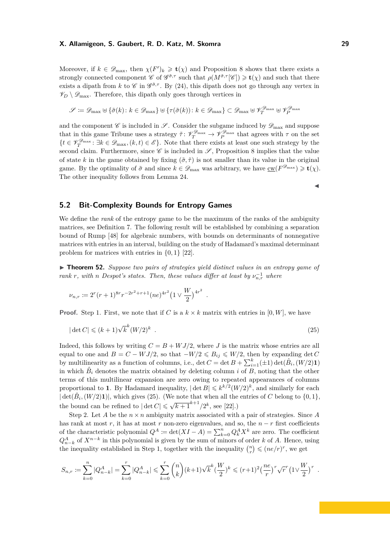Moreover, if  $k \in \mathscr{D}_{\text{max}}$ , then  $\chi(F')_k \geq \mathbf{t}(\chi)$  and Proposition 8 shows that there exists a strongly connected component  $\mathscr{C}$  of  $\mathscr{G}^{\tilde{\sigma},\tau}$  such that  $\rho(M^{\tilde{\sigma},\tau}[\mathscr{C}]) \geq \mathbf{t}(\chi)$  and such that there exists a dipath from *k* to  $\mathscr{C}$  in  $\mathscr{G}^{\tilde{\sigma},\tau}$ . By (24), this dipath does not go through any vertex in  $\mathscr{V}_{D} \setminus \mathscr{D}_{\text{max}}$ . Therefore, this dipath only goes through vertices in

$$
\mathscr{S} \coloneqq \mathscr{D}_{\max} \uplus \{ \tilde{\sigma}(k) \colon k \in \mathscr{D}_{\max} \} \uplus \{ \tau(\tilde{\sigma}(k)) \colon k \in \mathscr{D}_{\max} \} \subset \mathscr{D}_{\max} \uplus \mathscr{V}_{T}^{\mathscr{D}_{\max}} \uplus \mathscr{V}_{P}^{\mathscr{D}_{\max}}
$$

and the component  $\mathscr C$  is included in  $\mathscr S$ . Consider the subgame induced by  $\mathscr D_{\max}$  and suppose that in this game Tribune uses a strategy  $\tilde{\tau}$ :  $\mathcal{V}_T^{\mathcal{D}_{\text{max}}} \to \mathcal{V}_P^{\mathcal{D}_{\text{max}}}$  that agrees with  $\tau$  on the set  ${t \in \mathscr{V}_T^{\mathscr{D}_{\text{max}}}}$ :  $\exists k \in \mathscr{D}_{\text{max}}$ ,  $(k, t) \in \mathscr{E}$ . Note that there exists at least one such strategy by the second claim. Furthermore, since  $\mathscr C$  is included in  $\mathscr S$ , Proposition 8 implies that the value of state *k* in the game obtained by fixing  $(\tilde{\sigma}, \tilde{\tau})$  is not smaller than its value in the original game. By the optimality of  $\tilde{\sigma}$  and since  $k \in \mathscr{D}_{\text{max}}$  was arbitrary, we have  $\underline{\text{cw}}(F^{\mathscr{D}_{\text{max}}}) \geq \mathbf{t}(\chi)$ . The other inequality follows from Lemma 24.

# **5.2 Bit-Complexity Bounds for Entropy Games**

We define the *rank* of the entropy game to be the maximum of the ranks of the ambiguity matrices, see Definition 7. The following result will be established by combining a separation bound of Rump [48] for algebraic numbers, with bounds on determinants of nonnegative matrices with entries in an interval, building on the study of Hadamard's maximal determinant problem for matrices with entries in {0*,* 1} [22].

▶ **Theorem 52.** *Suppose two pairs of strategies yield distinct values in an entropy game of rank r, with n Despot's states. Then, these values differ at least by*  $\nu_{n,r}^{-1}$  *where* 

$$
\nu_{n,r} \coloneqq 2^r (r+1)^{8r} r^{-2r^2+r+1} (ne)^{4r^2} \left(1 \vee \frac{W}{2}\right)^{4r^2}
$$

**Proof.** Step 1. First, we note that if *C* is a  $k \times k$  matrix with entries in [0*, W*], we have

$$
|\det C| \leqslant (k+1)\sqrt{k}^k (W/2)^k \tag{25}
$$

*.*

Indeed, this follows by writing  $C = B + WJ/2$ , where *J* is the matrix whose entries are all equal to one and  $B = C - WJ/2$ , so that  $-W/2 \le B_{ij} \le W/2$ , then by expanding det *C* by multilinearity as a function of columns, i.e.,  $\det C = \det B + \sum_{i=1}^{k} (\pm 1) \det(\hat{B}_{i}, (W/2) \mathbf{1})$ in which  $\hat{B}_i$  denotes the matrix obtained by deleting column *i* of  $\overline{B}$ , noting that the other terms of this multilinear expansion are zero owing to repeated appearances of columns proportional to 1. By Hadamard inequality,  $|\det B| \leq k^{k/2} (W/2)^k$ , and similarly for each  $|\det(\hat{B}_i,(W/2)\mathbf{1})|$ , which gives (25). (We note that when all the entries of *C* belong to  $\{0,1\}$ , the bound can be refined to  $|\det C| \leq \sqrt{k+1}^{k+1}/2^k$ , see [22].)

Step 2. Let *A* be the  $n \times n$  ambiguity matrix associated with a pair of strategies. Since *A* has rank at most  $r$ , it has at most  $r$  non-zero eigenvalues, and so, the  $n - r$  first coefficients of the characteristic polynomial  $Q^A := \det(XI - A) = \sum_{k=0}^n Q_k^A X^k$  are zero. The coefficient  $Q_{n-k}^A$  of  $X^{n-k}$  in this polynomial is given by the sum of minors of order *k* of *A*. Hence, using the inequality established in Step 1, together with the inequality  $\binom{n}{r} \leqslant (ne/r)^r$ , we get

$$
S_{n,r} := \sum_{k=0}^n |Q_{n-k}^A| = \sum_{k=0}^r |Q_{n-k}^A| \leq \sum_{k=0}^r {n \choose k} (k+1) \sqrt{k}^k (\frac{W}{2})^k \leq (r+1)^2 (\frac{ne}{r})^r \sqrt{r}^r (1 \sqrt{\frac{W}{2}})^r.
$$

 $\blacktriangleleft$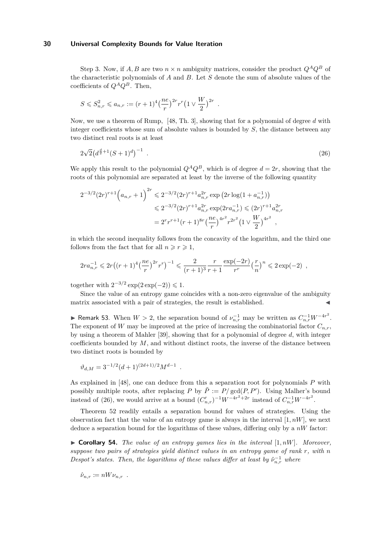Step 3. Now, if *A, B* are two  $n \times n$  ambiguity matrices, consider the product  $Q^A Q^B$  of the characteristic polynomials of *A* and *B*. Let *S* denote the sum of absolute values of the coefficients of  $Q^A Q^B$ . Then,

$$
S \leq S_{n,r}^2 \leq a_{n,r} := (r+1)^4 \left(\frac{ne}{r}\right)^{2r} r^r \left(1 \vee \frac{W}{2}\right)^{2r} .
$$

Now, we use a theorem of Rump, [48, Th. 3], showing that for a polynomial of degree *d* with integer coefficients whose sum of absolute values is bounded by *S*, the distance between any two distinct real roots is at least

$$
2\sqrt{2}\left(d^{\frac{d}{2}+1}(S+1)^d\right)^{-1} \tag{26}
$$

We apply this result to the polynomial  $Q^A Q^B$ , which is of degree  $d = 2r$ , showing that the roots of this polynomial are separated at least by the inverse of the following quantity

$$
2^{-3/2} (2r)^{r+1} \left( a_{n,r} + 1 \right)^{2r} \leq 2^{-3/2} (2r)^{r+1} a_{n,r}^{2r} \exp \left( 2r \log(1 + a_{n,r}^{-1}) \right)
$$
  

$$
\leq 2^{-3/2} (2r)^{r+1} a_{n,r}^{2r} \exp(2ra_{n,r}^{-1}) \leq (2r)^{r+1} a_{n,r}^{2r}
$$
  

$$
= 2^r r^{r+1} (r+1)^{8r} \left( \frac{ne}{r} \right)^{4r^2} r^{2r^2} \left( 1 \vee \frac{W}{2} \right)^{4r^2},
$$

in which the second inequality follows from the concavity of the logarithm, and the third one follows from the fact that for all  $n \ge r \ge 1$ ,

$$
2ra_{n,r}^{-1} \leqslant 2r\left((r+1)^4\left(\frac{ne}{r}\right)^{2r}r^r\right)^{-1} \leqslant \frac{2}{(r+1)^3}\frac{r}{r+1}\frac{\exp(-2r)}{r^r}\left(\frac{r}{n}\right)^n \leqslant 2\exp(-2) ,
$$

together with  $2^{-3/2} \exp(2 \exp(-2)) \leq 1$ .

Since the value of an entropy game coincides with a non-zero eigenvalue of the ambiguity matrix associated with a pair of strategies, the result is established.

► Remark 53. When  $W > 2$ , the separation bound of  $\nu_{n,r}^{-1}$  may be written as  $C_{n,r}^{-1}W^{-4r^2}$ . The exponent of *W* may be improved at the price of increasing the combinatorial factor  $C_{n,r}$ , by using a theorem of Mahler [39], showing that for a polynomial of degree *d*, with integer coefficients bounded by *M*, and without distinct roots, the inverse of the distance between two distinct roots is bounded by

$$
\vartheta_{d,M} = 3^{-1/2} (d+1)^{(2d+1)/2} M^{d-1} .
$$

As explained in [48], one can deduce from this a separation root for polynomials *P* with possibly multiple roots, after replacing *P* by  $\tilde{P} := P/\gcd(P, P')$ . Using Malher's bound instead of (26), we would arrive at a bound  $(C'_{n,r})^{-1}W^{-4r^2+2r}$  instead of  $C_{n,r}^{-1}W^{-4r^2}$ .

Theorem 52 readily entails a separation bound for values of strategies. Using the observation fact that the value of an entropy game is always in the interval  $[1, nW]$ , we next deduce a separation bound for the logarithms of these values, differing only by a *nW* factor:

 $\triangleright$  **Corollary 54.** *The value of an entropy games lies in the interval* [1, *nW*]*. Moreover, suppose two pairs of strategies yield distinct values in an entropy game of rank r, with n Despot's states. Then, the logarithms of these values differ at least by*  $\hat{\nu}_{n,r}^{-1}$  where

$$
\hat{\nu}_{n,r} \coloneqq nW\nu_{n,r} \enspace .
$$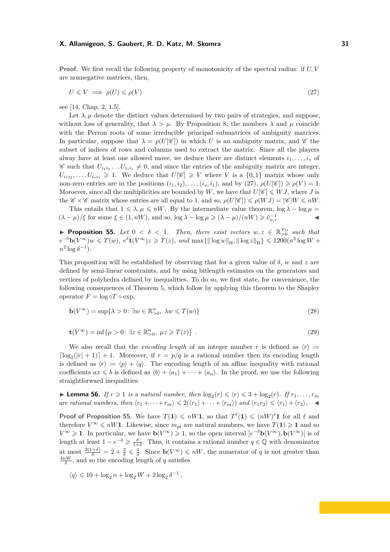**Proof.** We first recall the following property of monotonicity of the spectral radius: if *U, V* are nonnegative matrices, then,

$$
U \leqslant V \implies \rho(U) \leqslant \rho(V) \tag{27}
$$

see [14, Chap. 2, 1.5].

Let  $\lambda, \mu$  denote the distinct values determined by two pairs of strategies, and suppose, without loss of generality, that  $\lambda > \mu$ . By Proposition 8, the numbers  $\lambda$  and  $\mu$  coincide with the Perron roots of some irreducible principal submatrices of ambiguity matrices. In particular, suppose that  $\lambda = \rho(U[\mathscr{C}])$  in which *U* is an ambiguity matrix, and  $\mathscr{C}$  the subset of indices of rows and columns used to extract the matrix. Since all the players alway have at least one allowed move, we deduce there are distinct elements  $i_1, \ldots, i_s$  of  $\mathscr{C}$  such that  $U_{i_1 i_2} \dots U_{i_s i_1} \neq 0$ , and since the entries of the ambiguity matrix are integer,  $U_{i_1 i_2}, \ldots, U_{i_s i_1} \geq 1$ . We deduce that  $U[\mathscr{C}] \geq V$  where *V* is a  $\{0,1\}$  matrix whose only non-zero entries are in the positions  $(i_1, i_2), \ldots, (i_s, i_1)$ , and by  $(27), \rho(U[\mathscr{C}]) \geq \rho(V) = 1$ . Moroever, since all the multiplicities are bounded by W, we have that  $U[\mathscr{C}] \leqslant WJ$ , where J is the  $\mathscr{C} \times \mathscr{C}$  matrix whose entries are all equal to 1, and so,  $\rho(U|\mathscr{C}) \leq \rho(WJ) = |\mathscr{C}|W \leq nW$ .

This entails that  $1 \le \lambda, \mu \le nW$ . By the intermediate value theorem,  $\log \lambda - \log \mu =$  $(\lambda - \mu)/\xi$  for some  $\xi \in (1, nW)$ , and so,  $\log \lambda - \log \mu \geq (\lambda - \mu)/(nW) \geq \hat{\nu}_{n,r}^{-1}$ .

**Proposition 55.** Let  $0 < \delta < 1$ . Then, there exist vectors  $w, z \in \mathbb{R}_{>0}^{\mathcal{V}_D}$  such that  $e^{-\delta} \mathbf{b}(V^{\infty})w \leq T(w)$ ,  $e^{\delta} \mathbf{t}(V^{\infty})z \geq T(z)$ , and  $\max\{\|\log w\|_{\mathcal{H}}, \|\log z\|_{\mathcal{H}}\} \leq 1200(n^3\log W +$  $n^2 \log \delta^{-1}$ ).

This proposition will be established by observing that for a given value of *δ*, *w* and *z* are defined by semi-linear constraints, and by using bitlength estimates on the generators and vertices of polyhedra defined by inequalities. To do so, we first state, for convenience, the following consequences of Theorem 5, which follow by applying this theorem to the Shapley operator  $F = \log \circ T \circ \exp$ ,

$$
\mathbf{b}(V^{\infty}) = \sup \{ \lambda > 0 : \exists w \in \mathbb{R}^n_{>0}, \ \lambda w \leq T(w) \}
$$
 (28)

$$
\mathbf{t}(V^{\infty}) = \inf \{ \mu > 0 : \exists z \in \mathbb{R}_{>0}^n, \ \mu z \geqslant T(z) \} \ . \tag{29}
$$

We also recall that the *encoding length* of an integer number r is defined as  $\langle r \rangle :=$  $\lceil \log_2(|r| + 1) \rceil + 1$ . Moreover, if  $r = p/q$  is a rational number then its encoding length is defined as  $\langle r \rangle := \langle p \rangle + \langle q \rangle$ . The encoding length of an affine inequality with rational coefficients  $ax \leq b$  is defined as  $\langle b \rangle + \langle a_1 \rangle + \cdots + \langle a_n \rangle$ . In the proof, we use the following straightforward inequalities:

**Example 1** Lemma 56. If  $r \ge 1$  is a natural number, then  $\log_2(r) \le \langle r \rangle \le 3 + \log_2(r)$ . If  $r_1, \ldots, r_m$ *are rational numbers, then*  $\langle r_1 + \cdots + r_m \rangle \leq 2(\langle r_1 \rangle + \cdots + \langle r_m \rangle)$  *and*  $\langle r_1 r_2 \rangle \leq \langle r_1 \rangle + \langle r_2 \rangle$ .

**Proof of Proposition 55.** We have  $T(1) \leq nW1$ , so that  $T^{\ell}(1) \leqslant (nW)^{\ell}1$  for all  $\ell$  and therefore  $V^{\infty} \leq nW$ **1**. Likewise, since  $m_{pl}$  are natural numbers, we have  $T(1) \geq 1$  and so *V* ∞ ≥ 1. In particular, we have  $\mathbf{b}(V^{\infty})$  ≥ 1, so the open interval  $]e^{-\delta} \mathbf{b}(V^{\infty})$ ,  $\mathbf{b}(V^{\infty})[$  is of length at least  $1 - e^{-\delta} \geq \frac{\delta}{1+\delta}$ . Thus, it contains a rational number  $q \in \mathbb{Q}$  with denominator at most  $\frac{2(1+\delta)}{\delta} = 2 + \frac{2}{\delta} \leq \frac{4}{\delta}$ . Since  $\mathbf{b}(V^{\infty}) \leq nW$ , the numerator of *q* is not greater than  $\frac{4nW}{\delta}$ , and so the encoding length of *q* satisfies

$$
\langle q\rangle\leqslant 10+\log_2n+\log_2W+2\log_2\delta^{-1}\,.
$$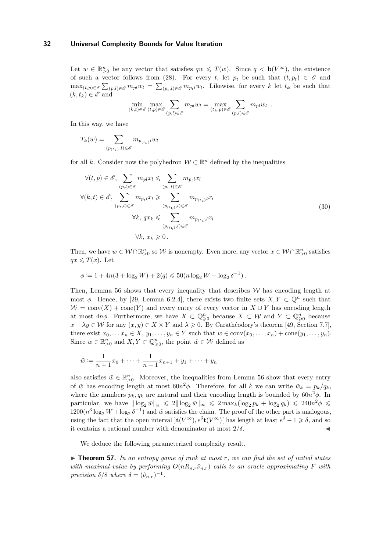Let  $w \in \mathbb{R}_{>0}^n$  be any vector that satisfies  $qw \leq T(w)$ . Since  $q < b(V^{\infty})$ , the existence of such a vector follows from (28). For every *t*, let  $p_t$  be such that  $(t, p_t) \in \mathscr{E}$  and  $\max_{(t,p)\in\mathscr{E}}\sum_{(p,l)\in\mathscr{E}}m_{pl}w_l = \sum_{(p_t,l)\in\mathscr{E}}m_{pt}w_l$ . Likewise, for every *k* let  $t_k$  be such that  $(k, t_k) \in \mathscr{E}$  and

$$
\min_{(k,t)\in\mathscr{E}}\max_{(t,p)\in\mathscr{E}}\sum_{(p,l)\in\mathscr{E}}m_{pl}w_l=\max_{(t_k,p)\in\mathscr{E}}\sum_{(p,l)\in\mathscr{E}}m_{pl}w_l.
$$

In this way, we have

$$
T_k(w) = \sum_{(p_{(t_k)},l) \in \mathscr{E}} m_{p_{(t_k)}l} w_l
$$

for all *k*. Consider now the polyhedron  $W \subset \mathbb{R}^n$  defined by the inequalities

$$
\forall (t, p) \in \mathcal{E}, \sum_{(p,l) \in \mathcal{E}} m_{pl} x_l \leqslant \sum_{(p_t, l) \in \mathcal{E}} m_{p_t l} x_l
$$
\n
$$
\forall (k, t) \in \mathcal{E}, \sum_{(p_t, l) \in \mathcal{E}} m_{p_t l} x_l \geqslant \sum_{(p_{(t_k)}, l) \in \mathcal{E}} m_{p_{(t_k)} l} x_l
$$
\n
$$
\forall k, qx_k \leqslant \sum_{(p_{(t_k)}, l) \in \mathcal{E}} m_{p_{(t_k)} l} x_l
$$
\n
$$
\forall k, x_k \geqslant 0.
$$
\n(30)

Then, we have  $w \in \mathcal{W} \cap \mathbb{R}^n_{>0}$  so  $\mathcal{W}$  is nonempty. Even more, any vector  $x \in \mathcal{W} \cap \mathbb{R}^n_{>0}$  satisfies  $qx \leq T(x)$ . Let

$$
\phi \coloneqq 1 + 4n(3+\log_2 W) + 2\langle q \rangle \leqslant 50(n\log_2 W + \log_2 \delta^{-1})\,.
$$

Then, Lemma 56 shows that every inequality that describes  $W$  has encoding length at most  $\phi$ . Hence, by [29, Lemma 6.2.4], there exists two finite sets  $X, Y \subset \mathbb{Q}^n$  such that  $W = \text{conv}(X) + \text{cone}(Y)$  and every entry of every vector in  $X \cup Y$  has encoding length at most  $4n\phi$ . Furthermore, we have  $X \subset \mathbb{Q}_{\geqslant 0}^n$  because  $X \subset \mathcal{W}$  and  $Y \subset \mathbb{Q}_{\geqslant 0}^n$  because  $x + \lambda y \in W$  for any  $(x, y) \in X \times Y$  and  $\lambda \geq 0$ . By Carathéodory's theorem [49, Section 7.7], there exist  $x_0, \ldots, x_n \in X$ ,  $y_1, \ldots, y_n \in Y$  such that  $w \in \text{conv}(x_0, \ldots, x_n) + \text{cone}(y_1, \ldots, y_n)$ . Since  $w \in \mathbb{R}_{>0}^n$  and  $X, Y \subset \mathbb{Q}_{\geq 0}^n$ , the point  $\tilde{w} \in \mathcal{W}$  defined as

$$
\tilde{w} := \frac{1}{n+1}x_0 + \dots + \frac{1}{n+1}x_{n+1} + y_1 + \dots + y_n
$$

also satisfies  $\tilde{w} \in \mathbb{R}^n_{>0}$ . Moreover, the inequalities from Lemma 56 show that every entry of  $\tilde{w}$  has encoding length at most  $60n^2\phi$ . Therefore, for all *k* we can write  $\tilde{w}_k = p_k/q_k$ , where the numbers  $p_k, q_k$  are natural and their encoding length is bounded by  $60n^2\phi$ . In particular, we have  $\|\log_2 \tilde{w}\|_{\mathcal{H}} \leq 2\|\log_2 \tilde{w}\|_{\infty} \leq 2 \max_k (\log_2 p_k + \log_2 q_k) \leq 240n^2 \phi \leq$  $1200(n^3 \log_2 W + \log_2 \delta^{-1})$  and  $\tilde{w}$  satisfies the claim. The proof of the other part is analogous, using the fact that the open interval  $\left|\mathbf{t}(V^{\infty}), e^{\delta}\mathbf{t}(V^{\infty})\right|$  has length at least  $e^{\delta} - 1 \geq \delta$ , and so it contains a rational number with denominator at most  $2/\delta$ .

We deduce the following parameterized complexity result.

 $\triangleright$  **Theorem 57.** In an entropy game of rank at most r, we can find the set of initial states *with maximal value by performing*  $O(nR_n,r\hat{\nu}_{n,r})$  calls to an oracle approximating F with *precision*  $\delta/8$  *where*  $\delta = (\hat{\nu}_{n,r})^{-1}$ *.*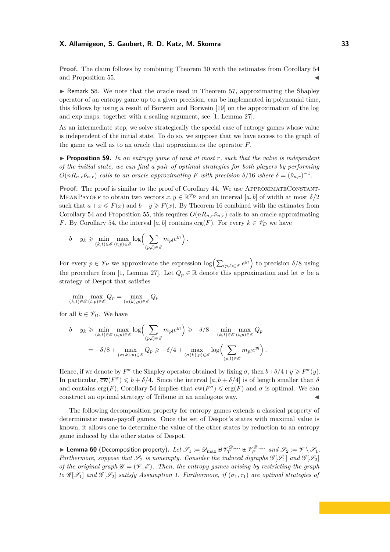**Proof.** The claim follows by combining Theorem 30 with the estimates from Corollary 54 and Proposition 55.

 $\triangleright$  Remark 58. We note that the oracle used in Theorem 57, approximating the Shapley operator of an entropy game up to a given precision, can be implemented in polynomial time, this follows by using a result of Borwein and Borwein [19] on the approximation of the log and exp maps, together with a scaling argument, see [1, Lemma 27].

As an intermediate step, we solve strategically the special case of entropy games whose value is independent of the initial state. To do so, we suppose that we have access to the graph of the game as well as to an oracle that approximates the operator *F*.

I **Proposition 59.** *In an entropy game of rank at most r, such that the value is independent of the initial state, we can find a pair of optimal strategies for both players by performing*  $O(nR_{n,r}\hat{\nu}_{n,r})$  calls to an oracle approximating F with precision  $\delta/16$  where  $\delta = (\hat{\nu}_{n,r})^{-1}$ .

**Proof.** The proof is similar to the proof of Corollary 44. We use APPROXIMATECONSTANT-MEANPAYOFF to obtain two vectors  $x, y \in \mathbb{R}^{\mathscr{V}_D}$  and an interval  $[a, b]$  of width at most  $\delta/2$ such that  $a + x \leq F(x)$  and  $b + y \geq F(x)$ . By Theorem 16 combined with the estimates from Corollary 54 and Proposition 55, this requires  $O(nR_n,r\hat{v}_{n,r})$  calls to an oracle approximating *F*. By Corollary 54, the interval [*a*, *b*] contains erg(*F*). For every  $k \in \mathscr{V}_D$  we have

$$
b + y_k \ge \min_{(k,t) \in \mathscr{E}} \max_{(t,p) \in \mathscr{E}} \log \left( \sum_{(p,l) \in \mathscr{E}} m_{pl} e^{y_l} \right).
$$

For every  $p \in \mathscr{V}_P$  we approximate the expression  $\log\left(\sum_{(p,l)\in\mathscr{E}}e^{y_l}\right)$  to precision  $\delta/8$  using the procedure from [1, Lemma 27]. Let  $Q_p \in \mathbb{R}$  denote this approximation and let  $\sigma$  be a strategy of Despot that satisfies

$$
\min_{(k,t)\in\mathscr{E}}\max_{(t,p)\in\mathscr{E}}Q_p = \max_{(\sigma(k),p)\in\mathscr{E}}Q_p
$$

for all  $k \in \mathscr{V}_D$ . We have

$$
b + y_k \geq \min_{(k,t) \in \mathscr{E}} \max_{(t,p) \in \mathscr{E}} \log \left( \sum_{(p,l) \in \mathscr{E}} m_{pl} e^{y_l} \right) \geq -\delta/8 + \min_{(k,t) \in \mathscr{E}} \max_{(t,p) \in \mathscr{E}} Q_p
$$
  
= -\delta/8 + \max\_{(\sigma(k),p) \in \mathscr{E}} Q\_p \geq -\delta/4 + \max\_{(\sigma(k),p) \in \mathscr{E}} \log \left( \sum\_{(p,l) \in \mathscr{E}} m\_{pl} e^{y\_l} \right).

Hence, if we denote by  $F^{\sigma}$  the Shapley operator obtained by fixing  $\sigma$ , then  $b + \delta/4 + y \geq F^{\sigma}(y)$ . In particular,  $\overline{\mathrm{cw}}(F^{\sigma}) \leq b + \delta/4$ . Since the interval  $[a, b + \delta/4]$  is of length smaller than  $\delta$ and contains erg(*F*), Corollary 54 implies that  $\overline{cw}(F^{\sigma}) \leqslant \text{erg}(F)$  and  $\sigma$  is optimal. We can construct an optimal strategy of Tribune in an analogous way.

The following decomposition property for entropy games extends a classical property of deterministic mean-payoff games. Once the set of Despot's states with maximal value is known, it allows one to determine the value of the other states by reduction to an entropy game induced by the other states of Despot.

**Definition Eq. (Decomposition property).** Let  $\mathscr{S}_1 \coloneqq \mathscr{D}_{\max} \uplus \mathscr{V}_T^{\mathscr{D}_{\max}} \uplus \mathscr{V}_P^{\mathscr{D}_{\max}}$  and  $\mathscr{S}_2 \coloneqq \mathscr{V} \setminus \mathscr{S}_1$ . *Furthermore, suppose that*  $\mathscr{S}_2$  *is nonempty. Consider the induced digraphs*  $\mathscr{G}[\mathscr{S}_1]$  *and*  $\mathscr{G}[\mathscr{S}_2]$ *of the original graph*  $\mathscr{G} = (\mathscr{V}, \mathscr{E})$ . Then, the entropy games arising by restricting the graph *to*  $\mathscr{G}[\mathscr{S}_1]$  *and*  $\mathscr{G}[\mathscr{S}_2]$  *satisfy Assumption 1. Furthermore, if*  $(\sigma_1, \tau_1)$  *are optimal strategies of*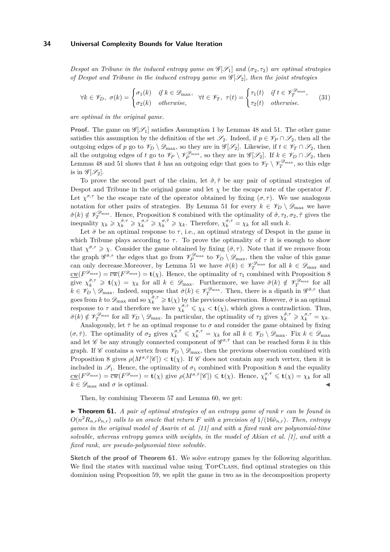*Despot an Tribune in the induced entropy game on*  $\mathscr{G}[\mathscr{S}_1]$  *and*  $(\sigma_2, \tau_2)$  *are optimal strategies of Despot and Tribune in the induced entropy game on* G [S2]*, then the joint strategies*

$$
\forall k \in \mathscr{V}_D, \ \sigma(k) = \begin{cases} \sigma_1(k) & \text{if } k \in \mathscr{D}_{\text{max}}, \\ \sigma_2(k) & \text{otherwise}, \end{cases} \quad \forall t \in \mathscr{V}_T, \ \tau(t) = \begin{cases} \tau_1(t) & \text{if } t \in \mathscr{V}_T^{\mathscr{D}_{\text{max}}}, \\ \tau_2(t) & \text{otherwise}. \end{cases} \tag{31}
$$

*are optimal in the original game.*

**Proof.** The game on  $\mathscr{G}[\mathscr{S}_1]$  satisfies Assumption 1 by Lemmas 48 and 51. The other game satisfies this assumption by the definition of the set  $\mathscr{S}_2$ . Indeed, if  $p \in \mathscr{V}_P \cap \mathscr{S}_2$ , then all the outgoing edges of *p* go to  $\mathscr{V}_D \setminus \mathscr{D}_{\text{max}}$ , so they are in  $\mathscr{G}[\mathscr{S}_2]$ . Likewise, if  $t \in \mathscr{V}_T \cap \mathscr{S}_2$ , then all the outgoing edges of *t* go to  $\mathscr{V}_P \setminus \mathscr{V}_P^{\mathscr{D}_{\text{max}}}$ , so they are in  $\mathscr{G}[\mathscr{S}_2]$ . If  $k \in \mathscr{V}_D \cap \mathscr{S}_2$ , then Lemmas 48 and 51 shows that *k* has an outgoing edge that goes to  $\mathscr{V}_T \setminus \mathscr{V}_T^{\mathscr{D}_{\text{max}}}$ , so this edge is in  $\mathscr{G}[\mathscr{S}_2]$ .

To prove the second part of the claim, let  $\hat{\sigma}$ ,  $\hat{\tau}$  be any pair of optimal strategies of Despot and Tribune in the original game and let  $\chi$  be the escape rate of the operator *F*. Let  $\chi^{\sigma,\tau}$  be the escape rate of the operator obtained by fixing  $(\sigma,\tau)$ . We use analogous notation for other pairs of strategies. By Lemma 51 for every  $k \in \mathscr{V}_D \setminus \mathscr{D}_{\text{max}}$  we have  $\hat{\sigma}(k) \notin \mathscr{V}_T^{\mathscr{D}_{\text{max}}}$ . Hence, Proposition 8 combined with the optimality of  $\hat{\sigma}, \tau_2, \sigma_2, \hat{\tau}$  gives the inequality  $\chi_k \geq \chi_k^{\hat{\sigma},\tau} \geq \chi_k^{\sigma,\tau} \geq \chi_k^{\sigma,\hat{\tau}} \geq \chi_k$ . Therefore,  $\chi_k^{\sigma,\tau} = \chi_k$  for all such k.

Let  $\bar{\sigma}$  be an optimal response to  $\tau$ , i.e., an optimal strategy of Despot in the game in which Tribune plays according to  $\tau$ . To prove the optimality of  $\tau$  it is enough to show that  $\chi^{\bar{\sigma},\tau} \geq \chi$ . Consider the game obtained by fixing  $(\bar{\sigma}, \tau)$ . Note that if we remove from the graph  $\mathscr{G}^{\bar{\sigma},\tau}$  the edges that go from  $\mathscr{V}_{P}^{\mathscr{D}_{\text{max}}}$  to  $\mathscr{V}_{D} \setminus \mathscr{D}_{\text{max}}$ , then the value of this game can only decrease. Moreover, by Lemma 51 we have  $\bar{\sigma}(k) \in \mathscr{V}_T^{\mathscr{D}_{\text{max}}}$  for all  $k \in \mathscr{D}_{\text{max}}$  and  $\underline{\mathrm{cw}}(F^{\mathscr{D}_{\mathrm{max}}}) = \overline{\mathrm{cw}}(F^{\mathscr{D}_{\mathrm{max}}}) = \mathbf{t}(\chi)$ . Hence, the optimality of  $\tau_1$  combined with Proposition 8 give  $\chi_k^{\bar{\sigma},\tau} \geq \mathbf{t}(\chi) = \chi_k$  for all  $k \in \mathscr{D}_{\text{max}}$ . Furthermore, we have  $\bar{\sigma}(k) \notin \mathscr{V}_T^{\mathscr{D}_{\text{max}}}$  for all  $k \in \mathscr{V}_D \setminus \mathscr{D}_{\max}$ . Indeed, suppose that  $\bar{\sigma}(k) \in \mathscr{V}_T^{\mathscr{D}_{\max}}$ . Then, there is a dipath in  $\mathscr{G}^{\bar{\sigma}, \tau}$  that goes from *k* to  $\mathscr{D}_{\text{max}}$  and so  $\chi_k^{\bar{\sigma}, \tau} \geq \mathbf{t}(\chi)$  by the previous observation. However,  $\bar{\sigma}$  is an optimal response to  $\tau$  and therefore we have  $\chi_k^{\bar{\sigma},\tau} \leq \chi_k < t(\chi)$ , which gives a contradiction. Thus,  $\bar{\sigma}(k) \notin \mathscr{V}_T^{\mathscr{D}_{\text{max}}}$  for all  $\mathscr{V}_D \setminus \mathscr{D}_{\text{max}}$ . In particular, the optimality of  $\tau_2$  gives  $\chi_k^{\bar{\sigma},\tau} \geq \chi_k^{\sigma,\tau} = \chi_k$ .

Analogously, let  $\bar{\tau}$  be an optimal response to  $\sigma$  and consider the game obtained by fixing  $(\sigma, \overline{\tau})$ . The optimality of  $\sigma_2$  gives  $\chi_k^{\sigma, \overline{\tau}} \leq \chi_k^{\sigma, \tau} = \chi_k$  for all  $k \in \mathscr{V}_D \setminus \mathscr{D}_{\text{max}}$ . Fix  $k \in \mathscr{D}_{\text{max}}$ and let  $\mathscr C$  be any strongly connected component of  $\mathscr G^{\sigma, \bar{\tau}}$  that can be reached form  $k$  in this graph. If  $\mathscr C$  contains a vertex from  $\mathscr V_D \setminus \mathscr D_{\max}$ , then the previous observation combined with Proposition 8 gives  $\rho(M^{\sigma,\bar{\tau}}[\mathscr{C}]) < \mathbf{t}(\chi)$ . If  $\mathscr{C}$  does not contain any such vertex, then it is included in  $\mathscr{S}_1$ . Hence, the optimality of  $\sigma_1$  combined with Proposition 8 and the equality  $\underline{\mathrm{cw}}(F^{\mathscr{D}_{\mathrm{max}}}) = \overline{\mathrm{cw}}(F^{\mathscr{D}_{\mathrm{max}}}) = \mathbf{t}(\chi)$  give  $\rho(M^{\sigma, \bar{\tau}}[\mathscr{C}]) \leq \mathbf{t}(\chi)$ . Hence,  $\chi_k^{\sigma, \bar{\tau}} \leq \mathbf{t}(\chi) = \chi_k$  for all  $k \in \mathscr{D}_{\text{max}}$  and  $\sigma$  is optimal.

Then, by combining Theorem 57 and Lemma 60, we get:

▶ **Theorem 61.** *A pair of optimal strategies of an entropy game of rank r can be found in*  $O(n^2 R_{n,r} \hat{\nu}_{n,r})$  *calls to an oracle that return F with a precision of*  $1/(16\hat{\nu}_{n,r})$ *. Then, entropy games in the original model of Asarin et al. [11] and with a fixed rank are polynomial-time solvable, whereas entropy games with weights, in the model of Akian et al. [1], and with a fixed rank, are pseudo-polynomial time solvable.*

**Sketch of the proof of Theorem 61.** We solve entropy games by the following algorithm. We find the states with maximal value using TopClass, find optimal strategies on this dominion using Proposition 59, we split the game in two as in the decomposition property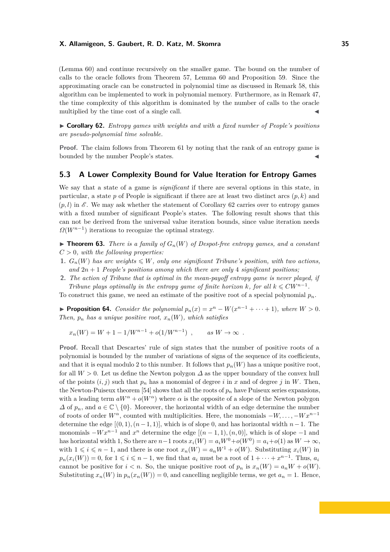(Lemma 60) and continue recursively on the smaller game. The bound on the number of calls to the oracle follows from Theorem 57, Lemma 60 and Proposition 59. Since the approximating oracle can be constructed in polynomial time as discussed in Remark 58, this algorithm can be implemented to work in polynomial memory. Furthermore, as in Remark 47, the time complexity of this algorithm is dominated by the number of calls to the oracle multiplied by the time cost of a single call.

I **Corollary 62.** *Entropy games with weights and with a fixed number of People's positions are pseudo-polynomial time solvable.*

**Proof.** The claim follows from Theorem 61 by noting that the rank of an entropy game is bounded by the number People's states.

# **5.3 A Lower Complexity Bound for Value Iteration for Entropy Games**

We say that a state of a game is *significant* if there are several options in this state, in particular, a state  $p$  of People is significant if there are at least two distinct arcs  $(p, k)$  and  $(p, l)$  in  $\mathscr E$ . We may ask whether the statement of Corollary 62 carries over to entropy games with a fixed number of significant People's states. The following result shows that this can not be derived from the universal value iteration bounds, since value iteration needs  $\Omega(W^{n-1})$  iterations to recognize the optimal strategy.

 $\triangleright$  **Theorem 63.** *There is a family of*  $G_n(W)$  *of Despot-free entropy games, and a constant C >* 0*, with the following properties:*

- **1.**  $G_n(W)$  has arc weights  $\leq W$ , only one significant Tribune's position, with two actions, and  $2n + 1$  *People's positions among which there are only 4 significant positions;*
- **2.** *The action of Tribune that is optimal in the mean-payoff entropy game is never played, if Tribune plays optimally in the entropy game of finite horizon k, for all*  $k \leq C W^{n-1}$ .

To construct this game, we need an estimate of the positive root of a special polynomial *pn*.

▶ **Proposition 64.** *Consider the polynomial*  $p_n(x) = x^n - W(x^{n-1} + \cdots + 1)$ *, where*  $W > 0$ *. Then,*  $p_n$  *has a unique positive root,*  $x_n(W)$ *, which satisfies* 

$$
x_n(W) = W + 1 - 1/W^{n-1} + o(1/W^{n-1})
$$
, as  $W \to \infty$ .

**Proof.** Recall that Descartes' rule of sign states that the number of positive roots of a polynomial is bounded by the number of variations of signs of the sequence of its coefficients, and that it is equal modulo 2 to this number. It follows that  $p_n(W)$  has a unique positive root, for all  $W > 0$ . Let us define the Newton polygon  $\Delta$  as the upper boundary of the convex hull of the points  $(i, j)$  such that  $p_n$  has a monomial of degree i in x and of degree j in W. Then, the Newton-Puiseux theorem [54] shows that all the roots of  $p_n$  have Puiseux series expansions, with a leading term  $aW^{\alpha} + o(W^{\alpha})$  where  $\alpha$  is the opposite of a slope of the Newton polygon  $\Delta$  of  $p_n$ , and  $a \in \mathbb{C} \setminus \{0\}$ . Moreover, the horizontal width of an edge determine the number of roots of order  $W^{\alpha}$ , counted with multiplicities. Here, the monomials  $-W, \ldots, -Wx^{n-1}$ determine the edge  $[(0, 1), (n-1, 1)]$ , which is of slope 0, and has horizontal width  $n-1$ . The monomials  $-Wx^{n-1}$  and  $x^n$  determine the edge  $[(n-1,1),(n,0)]$ , which is of slope  $-1$  and has horizontal width 1, So there are  $n-1$  roots  $x_i(W) = a_i W^0 + o(W^0) = a_i + o(1)$  as  $W \to \infty$ , with  $1 \leq i \leq n-1$ , and there is one root  $x_n(W) = a_n W^1 + o(W)$ . Substituting  $x_i(W)$  in  $p_n(x_i(W)) = 0$ , for  $1 \leq i \leq n-1$ , we find that  $a_i$  must be a root of  $1 + \cdots + x^{n-1}$ . Thus,  $a_i$ cannot be positive for  $i < n$ . So, the unique positive root of  $p_n$  is  $x_n(W) = a_n W + o(W)$ . Substituting  $x_n(W)$  in  $p_n(x_n(W)) = 0$ , and cancelling negligible terms, we get  $a_n = 1$ . Hence,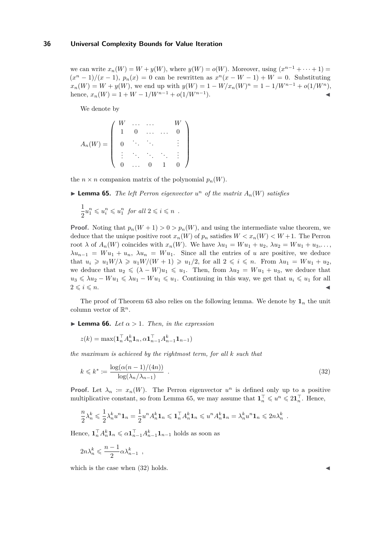we can write  $x_n(W) = W + y(W)$ , where  $y(W) = o(W)$ . Moreover, using  $(x^{n-1} + \cdots + 1) =$  $(x^{n}-1)/(x-1), p_{n}(x) = 0$  can be rewritten as  $x^{n}(x-W-1) + W = 0$ . Substituting  $x_n(W) = W + y(W)$ , we end up with  $y(W) = 1 - W/x_n(W)^n = 1 - 1/W^{n-1} + o(1/W^n)$ , hence,  $x_n(W) = 1 + W - 1/W^{n-1} + o(1/W^{n-1}).$  $\blacksquare$ ).

We denote by

$$
A_n(W) = \left( \begin{array}{cccc} W & \dots & \dots & W \\ 1 & 0 & \dots & \dots & 0 \\ 0 & \ddots & \ddots & & \vdots \\ \vdots & \ddots & \ddots & \ddots & \vdots \\ 0 & \dots & 0 & 1 & 0 \end{array} \right)
$$

the  $n \times n$  companion matrix of the polynomial  $p_n(W)$ .

**Example 5.** The left Perron eigenvector  $u^n$  of the matrix  $A_n(W)$  satisfies

$$
\frac{1}{2}u_1^n \leqslant u_1^n \leqslant u_1^n \text{ for all } 2 \leqslant i \leqslant n .
$$

**Proof.** Noting that  $p_n(W + 1) > 0 > p_n(W)$ , and using the intermediate value theorem, we deduce that the unique positive root  $x_n(W)$  of  $p_n$  satisfies  $W < x_n(W) < W + 1$ . The Perron root  $\lambda$  of  $A_n(W)$  coincides with  $x_n(W)$ . We have  $\lambda u_1 = W u_1 + u_2$ ,  $\lambda u_2 = W u_1 + u_3$ ,...  $\lambda u_{n-1} = W u_1 + u_n$ ,  $\lambda u_n = W u_1$ . Since all the entries of *u* are positive, we deduce that  $u_i \geq u_1 W/\lambda \geq u_1 W/(W+1) \geq u_1/2$ , for all  $2 \leq i \leq n$ . From  $\lambda u_1 = W u_1 + u_2$ , we deduce that  $u_2 \le (\lambda - W)u_1 \le u_1$ . Then, from  $\lambda u_2 = W u_1 + u_3$ , we deduce that  $u_3 \leq \lambda u_2 - W u_1 \leq \lambda u_1 - W u_1 \leq u_1$ . Continuing in this way, we get that  $u_i \leq u_1$  for all  $2 \leq i \leq n$ .

The proof of Theorem 63 also relies on the following lemma. We denote by  $\mathbf{1}_n$  the unit column vector of  $\mathbb{R}^n$ .

**Lemma 66.** *Let*  $\alpha > 1$ *. Then, in the expression* 

$$
z(k) = \max(\mathbf{1}_n^\top A_n^k \mathbf{1}_n, \alpha \mathbf{1}_{n-1}^\top A_{n-1}^k \mathbf{1}_{n-1})
$$

*the maximum is achieved by the rightmost term, for all k such that*

$$
k \leq k^* := \frac{\log(\alpha(n-1)/(4n))}{\log(\lambda_n/\lambda_{n-1})} \tag{32}
$$

**Proof.** Let  $\lambda_n := x_n(W)$ . The Perron eigenvector  $u^n$  is defined only up to a positive multiplicative constant, so from Lemma 65, we may assume that  $\mathbf{1}_n^{\top} \leqslant u^n \leqslant 2\mathbf{1}_n^{\top}$ . Hence,

$$
\frac{n}{2}\lambda_n^k \leqslant \frac{1}{2}\lambda_n^k u^n \mathbf{1}_n = \frac{1}{2}u^n A_n^k \mathbf{1}_n \leqslant \mathbf{1}_n^\top A_n^k \mathbf{1}_n \leqslant u^n A_n^k \mathbf{1}_n = \lambda_n^k u^n \mathbf{1}_n \leqslant 2n\lambda_n^k.
$$

Hence,  $\mathbf{1}_n^\top A_n^k \mathbf{1}_n \leq \alpha \mathbf{1}_{n-1}^\top A_{n-1}^k \mathbf{1}_{n-1}$  holds as soon as

$$
2n\lambda_n^k \leqslant \frac{n-1}{2} \alpha \lambda_{n-1}^k ,
$$

which is the case when  $(32)$  holds.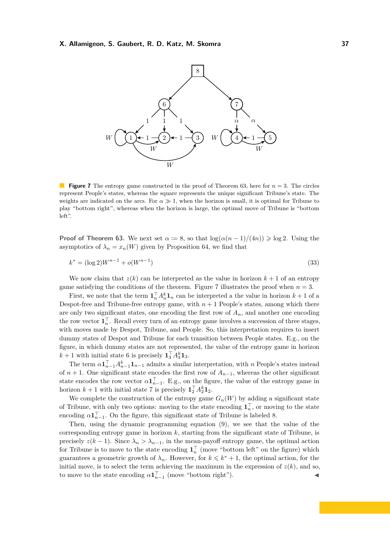

**Figure 7** The entropy game constructed in the proof of Theorem 63, here for *n* = 3. The circles represent People's states, whereas the square represents the unique significant Tribune's state. The weights are indicated on the arcs. For  $\alpha \gg 1$ , when the horizon is small, it is optimal for Tribune to play "bottom right", whereas when the horizon is large, the optimal move of Tribune is "bottom left".

**Proof of Theorem 63.** We next set  $\alpha := 8$ , so that  $\log(\alpha(n-1)/(4n)) \ge \log 2$ . Using the asymptotics of  $\lambda_n = x_n(W)$  given by Proposition 64, we find that

$$
k^* = (\log 2)W^{n-1} + o(W^{n-1})
$$
\n(33)

We now claim that  $z(k)$  can be interpreted as the value in horizon  $k+1$  of an entropy game satisfying the conditions of the theorem. Figure 7 illustrates the proof when  $n = 3$ .

First, we note that the term  $\mathbf{1}_n^{\top} A_n^k \mathbf{1}_n$  can be interpreted a the value in horizon  $k+1$  of a Despot-free and Tribune-free entropy game, with  $n + 1$  People's states, among which there are only two significant states, one encoding the first row of  $A_n$ , and another one encoding the row vector  $\mathbf{1}_n^{\top}$ . Recall every turn of an entropy game involves a succession of three stages, with moves made by Despot, Tribune, and People. So, this interpretation requires to insert dummy states of Despot and Tribune for each transition between People states. E.g., on the figure, in which dummy states are not represented, the value of the entropy game in horizon  $k+1$  with initial state 6 is precisely  $\mathbf{1}_3^{\top} A_3^k \mathbf{1}_3$ .

The term  $\alpha \mathbf{1}_{n-1}^{\top} A_{n-1}^k \mathbf{1}_{n-1}$  admits a similar interpretation, with *n* People's states instead of  $n + 1$ . One significant state encodes the first row of  $A_{n-1}$ , whereas the other significant state encodes the row vector  $\alpha \mathbf{1}_{n-1}^{\top}$ . E.g., on the figure, the value of the entropy game in horizon  $k+1$  with initial state 7 is precisely  $\mathbf{1}_2^{\top} A_2^k \mathbf{1}_2$ .

We complete the construction of the entropy game  $G_n(W)$  by adding a significant state of Tribune, with only two options: moving to the state encoding  $\mathbf{1}_n^{\top}$ , or moving to the state encoding  $\alpha \mathbf{1}_{n-1}^{\top}$ . On the figure, this significant state of Tribune is labeled 8.

Then, using the dynamic programming equation (9), we see that the value of the corresponding entropy game in horizon *k*, starting from the significant state of Tribune, is precisely  $z(k-1)$ . Since  $\lambda_n > \lambda_{n-1}$ , in the mean-payoff entropy game, the optimal action for Tribune is to move to the state encoding  $\mathbf{1}_n^{\top}$  (move "bottom left" on the figure) which guarantees a geometric growth of  $\lambda_n$ . However, for  $k \leq k^* + 1$ , the optimal action, for the initial move, is to select the term achieving the maximum in the expression of  $z(k)$ , and so, to move to the state encoding  $\alpha \mathbf{1}_{n-1}^{\top}$  (move "bottom right").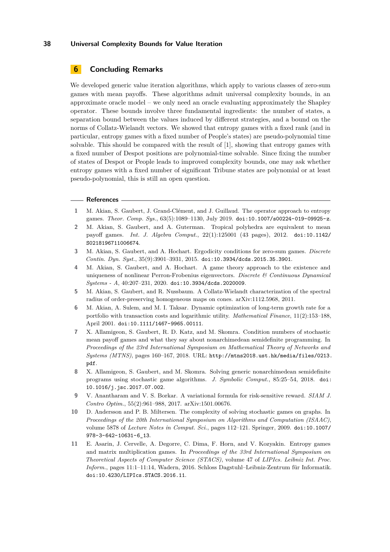# **6 Concluding Remarks**

We developed generic value iteration algorithms, which apply to various classes of zero-sum games with mean payoffs. These algorithms admit universal complexity bounds, in an approximate oracle model – we only need an oracle evaluating approximately the Shapley operator. These bounds involve three fundamental ingredients: the number of states, a separation bound between the values induced by different strategies, and a bound on the norms of Collatz-Wielandt vectors. We showed that entropy games with a fixed rank (and in particular, entropy games with a fixed number of People's states) are pseudo-polynomial time solvable. This should be compared with the result of [1], showing that entropy games with a fixed number of Despot positions are polynomial-time solvable. Since fixing the number of states of Despot or People leads to improved complexity bounds, one may ask whether entropy games with a fixed number of significant Tribune states are polynomial or at least pseudo-polynomial, this is still an open question.

#### **References**

- **1** M. Akian, S. Gaubert, J. Grand-Clément, and J. Guillaud. The operator approach to entropy games. *Theor. Comp. Sys.*, 63(5):1089–1130, July 2019. [doi:10.1007/s00224-019-09925-z](https://doi.org/10.1007/s00224-019-09925-z).
- **2** M. Akian, S. Gaubert, and A. Guterman. Tropical polyhedra are equivalent to mean payoff games. *Int. J. Algebra Comput.*, 22(1):125001 (43 pages), 2012. [doi:10.1142/](https://doi.org/10.1142/S0218196711006674) [S0218196711006674](https://doi.org/10.1142/S0218196711006674).
- **3** M. Akian, S. Gaubert, and A. Hochart. Ergodicity conditions for zero-sum games. *Discrete Contin. Dyn. Syst.*, 35(9):3901–3931, 2015. [doi:10.3934/dcds.2015.35.3901](https://doi.org/10.3934/dcds.2015.35.3901).
- **4** M. Akian, S. Gaubert, and A. Hochart. A game theory approach to the existence and uniqueness of nonlinear Perron-Frobenius eigenvectors. *Discrete & Continuous Dynamical Systems - A*, 40:207–231, 2020. [doi:10.3934/dcds.2020009](https://doi.org/10.3934/dcds.2020009).
- **5** M. Akian, S. Gaubert, and R. Nussbaum. A Collatz-Wielandt characterization of the spectral radius of order-preserving homogeneous maps on cones. arXiv:1112.5968, 2011.
- **6** M. Akian, A. Sulem, and M. I. Taksar. Dynamic optimization of long-term growth rate for a portfolio with transaction costs and logarithmic utility. *Mathematical Finance*, 11(2):153–188, April 2001. [doi:10.1111/1467-9965.00111](https://doi.org/10.1111/1467-9965.00111).
- **7** X. Allamigeon, S. Gaubert, R. D. Katz, and M. Skomra. Condition numbers of stochastic mean payoff games and what they say about nonarchimedean semidefinite programming. In *Proceedings of the 23rd International Symposium on Mathematical Theory of Networks and Systems (MTNS)*, pages 160–167, 2018. URL: [http://mtns2018.ust.hk/media/files/0213.](http://mtns2018.ust.hk/media/files/0213.pdf) [pdf](http://mtns2018.ust.hk/media/files/0213.pdf).
- **8** X. Allamigeon, S. Gaubert, and M. Skomra. Solving generic nonarchimedean semidefinite programs using stochastic game algorithms. *J. Symbolic Comput.*, 85:25–54, 2018. [doi:](https://doi.org/10.1016/j.jsc.2017.07.002) [10.1016/j.jsc.2017.07.002](https://doi.org/10.1016/j.jsc.2017.07.002).
- **9** V. Anantharam and V. S. Borkar. A variational formula for risk-sensitive reward. *SIAM J. Contro Optim.*, 55(2):961–988, 2017. arXiv:1501.00676.
- **10** D. Andersson and P. B. Miltersen. The complexity of solving stochastic games on graphs. In *Proceedings of the 20th International Symposium on Algorithms and Computation (ISAAC)*, volume 5878 of *Lecture Notes in Comput. Sci.*, pages 112–121. Springer, 2009. [doi:10.1007/](https://doi.org/10.1007/978-3-642-10631-6_13) [978-3-642-10631-6\\_13](https://doi.org/10.1007/978-3-642-10631-6_13).
- **11** E. Asarin, J. Cervelle, A. Degorre, C. Dima, F. Horn, and V. Kozyakin. Entropy games and matrix multiplication games. In *Proceedings of the 33rd International Symposium on Theoretical Aspects of Computer Science (STACS)*, volume 47 of *LIPIcs. Leibniz Int. Proc. Inform.*, pages 11:1–11:14, Wadern, 2016. Schloss Dagstuhl–Leibniz-Zentrum für Informatik. [doi:10.4230/LIPIcs.STACS.2016.11](https://doi.org/10.4230/LIPIcs.STACS.2016.11).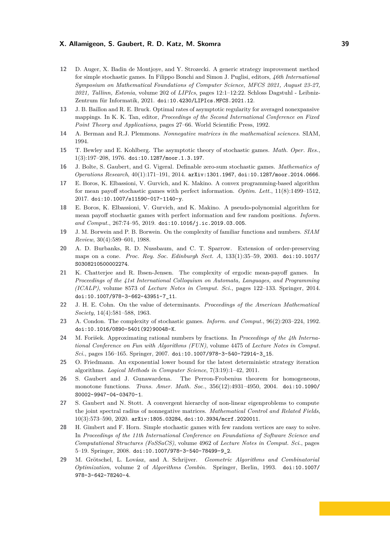- **12** D. Auger, X. Badin de Montjoye, and Y. Strozecki. A generic strategy improvement method for simple stochastic games. In Filippo Bonchi and Simon J. Puglisi, editors, *46th International Symposium on Mathematical Foundations of Computer Science, MFCS 2021, August 23-27, 2021, Tallinn, Estonia*, volume 202 of *LIPIcs*, pages 12:1–12:22. Schloss Dagstuhl - Leibniz-Zentrum für Informatik, 2021. [doi:10.4230/LIPIcs.MFCS.2021.12](https://doi.org/10.4230/LIPIcs.MFCS.2021.12).
- **13** J. B. Baillon and R. E. Bruck. Optimal rates of asymptotic regularity for averaged nonexpansive mappings. In K. K. Tan, editor, *Proceedings of the Second International Conference on Fixed Point Theory and Applications*, pages 27–66. World Scientific Press, 1992.
- **14** A. Berman and R.J. Plemmons. *Nonnegative matrices in the mathematical sciences*. SIAM, 1994.
- **15** T. Bewley and E. Kohlberg. The asymptotic theory of stochastic games. *Math. Oper. Res.*, 1(3):197–208, 1976. [doi:10.1287/moor.1.3.197](https://doi.org/10.1287/moor.1.3.197).
- **16** J. Bolte, S. Gaubert, and G. Vigeral. Definable zero-sum stochastic games. *Mathematics of Operations Research*, 40(1):171–191, 2014. [arXiv:1301.1967](http://arxiv.org/abs/1301.1967), [doi:10.1287/moor.2014.0666](https://doi.org/10.1287/moor.2014.0666).
- **17** E. Boros, K. Elbassioni, V. Gurvich, and K. Makino. A convex programming-based algorithm for mean payoff stochastic games with perfect information. *Optim. Lett.*, 11(8):1499–1512, 2017. [doi:10.1007/s11590-017-1140-y](https://doi.org/10.1007/s11590-017-1140-y).
- **18** E. Boros, K. Elbassioni, V. Gurvich, and K. Makino. A pseudo-polynomial algorithm for mean payoff stochastic games with perfect information and few random positions. *Inform. and Comput.*, 267:74–95, 2019. [doi:10.1016/j.ic.2019.03.005](https://doi.org/10.1016/j.ic.2019.03.005).
- **19** J. M. Borwein and P. B. Borwein. On the complexity of familiar functions and numbers. *SIAM Review*, 30(4):589–601, 1988.
- **20** A. D. Burbanks, R. D. Nussbaum, and C. T. Sparrow. Extension of order-preserving maps on a cone. *Proc. Roy. Soc. Edinburgh Sect. A*, 133(1):35–59, 2003. [doi:10.1017/](https://doi.org/10.1017/S0308210500002274) [S0308210500002274](https://doi.org/10.1017/S0308210500002274).
- **21** K. Chatterjee and R. Ibsen-Jensen. The complexity of ergodic mean-payoff games. In *Proceedings of the 41st International Colloquium on Automata, Languages, and Programming (ICALP)*, volume 8573 of *Lecture Notes in Comput. Sci.*, pages 122–133. Springer, 2014. [doi:10.1007/978-3-662-43951-7\\_11](https://doi.org/10.1007/978-3-662-43951-7_11).
- **22** J. H. E. Cohn. On the value of determinants. *Proceedings of the American Mathematical Society*, 14(4):581–588, 1963.
- **23** A. Condon. The complexity of stochastic games. *Inform. and Comput.*, 96(2):203–224, 1992. [doi:10.1016/0890-5401\(92\)90048-K](https://doi.org/10.1016/0890-5401(92)90048-K).
- **24** M. Forišek. Approximating rational numbers by fractions. In *Proceedings of the 4th International Conference on Fun with Algorithms (FUN)*, volume 4475 of *Lecture Notes in Comput. Sci.*, pages 156–165. Springer, 2007. [doi:10.1007/978-3-540-72914-3\\_15](https://doi.org/10.1007/978-3-540-72914-3_15).
- **25** O. Friedmann. An exponential lower bound for the latest deterministic strategy iteration algorithms. *Logical Methods in Computer Science*, 7(3:19):1–42, 2011.
- **26** S. Gaubert and J. Gunawardena. The Perron-Frobenius theorem for homogeneous, monotone functions. *Trans. Amer. Math. Soc.*, 356(12):4931–4950, 2004. [doi:10.1090/](https://doi.org/10.1090/S0002-9947-04-03470-1) [S0002-9947-04-03470-1](https://doi.org/10.1090/S0002-9947-04-03470-1).
- **27** S. Gaubert and N. Stott. A convergent hierarchy of non-linear eigenproblems to compute the joint spectral radius of nonnegative matrices. *Mathematical Control and Related Fields*, 10(3):573–590, 2020. [arXiv:1805.03284](http://arxiv.org/abs/1805.03284), [doi:10.3934/mcrf.2020011](https://doi.org/10.3934/mcrf.2020011).
- **28** H. Gimbert and F. Horn. Simple stochastic games with few random vertices are easy to solve. In *Proceedings of the 11th International Conference on Foundations of Software Science and Computational Structures (FoSSaCS)*, volume 4962 of *Lecture Notes in Comput. Sci.*, pages 5–19. Springer, 2008. [doi:10.1007/978-3-540-78499-9\\_2](https://doi.org/10.1007/978-3-540-78499-9_2).
- **29** M. Grötschel, L. Lovász, and A. Schrijver. *Geometric Algorithms and Combinatorial Optimization*, volume 2 of *Algorithms Combin.* Springer, Berlin, 1993. [doi:10.1007/](https://doi.org/10.1007/978-3-642-78240-4) [978-3-642-78240-4](https://doi.org/10.1007/978-3-642-78240-4).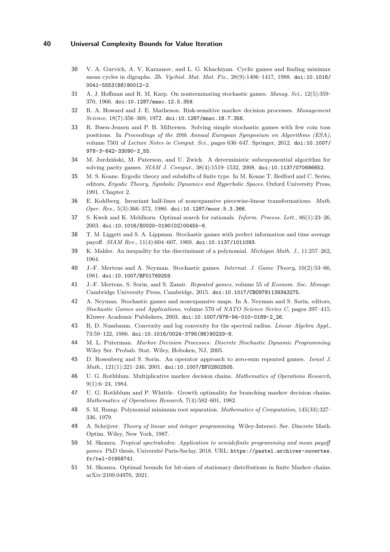- **30** V. A. Gurvich, A. V. Karzanov, and L. G. Khachiyan. Cyclic games and finding minimax mean cycles in digraphs. *Zh. Vychisl. Mat. Mat. Fiz.*, 28(9):1406–1417, 1988. [doi:10.1016/](https://doi.org/10.1016/0041-5553(88)90012-2) [0041-5553\(88\)90012-2](https://doi.org/10.1016/0041-5553(88)90012-2).
- **31** A. J. Hoffman and R. M. Karp. On nonterminating stochastic games. *Manag. Sci.*, 12(5):359– 370, 1966. [doi:10.1287/mnsc.12.5.359](https://doi.org/10.1287/mnsc.12.5.359).
- **32** R. A. Howard and J. E. Matheson. Risk-sensitive markov decision processes. *Management Science*, 18(7):356–369, 1972. [doi:10.1287/mnsc.18.7.356](https://doi.org/10.1287/mnsc.18.7.356).
- **33** R. Ibsen-Jensen and P. B. Miltersen. Solving simple stochastic games with few coin toss positions. In *Proceedings of the 20th Annual European Symposium on Algorithms (ESA)*, volume 7501 of *Lecture Notes in Comput. Sci.*, pages 636–647. Springer, 2012. [doi:10.1007/](https://doi.org/10.1007/978-3-642-33090-2_55) [978-3-642-33090-2\\_55](https://doi.org/10.1007/978-3-642-33090-2_55).
- **34** M. Jurdziński, M. Paterson, and U. Zwick. A deterministic subexponential algorithm for solving parity games. *SIAM J. Comput.*, 38(4):1519–1532, 2008. [doi:10.1137/070686652](https://doi.org/10.1137/070686652).
- **35** M. S. Keane. Ergodic theory and subshifts of finite type. In M. Keane T. Bedford and C. Series, editors, *Ergodic Theory, Symbolic Dynamics and Hyperbolic Spaces*. Oxford University Press, 1991. Chapter 2.
- **36** E. Kohlberg. Invariant half-lines of nonexpansive piecewise-linear transformations. *Math. Oper. Res.*, 5(3):366–372, 1980. [doi:10.1287/moor.5.3.366](https://doi.org/10.1287/moor.5.3.366).
- **37** S. Kwek and K. Mehlhorn. Optimal search for rationals. *Inform. Process. Lett.*, 86(1):23–26, 2003. [doi:10.1016/S0020-0190\(02\)00455-6](https://doi.org/10.1016/S0020-0190(02)00455-6).
- **38** T. M. Liggett and S. A. Lippman. Stochastic games with perfect information and time average payoff. *SIAM Rev.*, 11(4):604–607, 1969. [doi:10.1137/1011093](https://doi.org/10.1137/1011093).
- **39** K. Mahler. An inequality for the discriminant of a polynomial. *Michigan Math. J.*, 11:257–262, 1964.
- **40** J.-F. Mertens and A. Neyman. Stochastic games. *Internat. J. Game Theory*, 10(2):53–66, 1981. [doi:10.1007/BF01769259](https://doi.org/10.1007/BF01769259).
- **41** J.-F. Mertens, S. Sorin, and S. Zamir. *Repeated games*, volume 55 of *Econom. Soc. Monogr.* Cambridge University Press, Cambridge, 2015. [doi:10.1017/CBO9781139343275](https://doi.org/10.1017/CBO9781139343275).
- **42** A. Neyman. Stochastic games and nonexpansive maps. In A. Neyman and S. Sorin, editors, *Stochastic Games and Applications*, volume 570 of *NATO Science Series C*, pages 397–415. Kluwer Academic Publishers, 2003. [doi:10.1007/978-94-010-0189-2\\_26](https://doi.org/10.1007/978-94-010-0189-2_26).
- **43** R. D. Nussbaum. Convexity and log convexity for the spectral radius. *Linear Algebra Appl.*, 73:59–122, 1986. [doi:10.1016/0024-3795\(86\)90233-8](https://doi.org/10.1016/0024-3795(86)90233-8).
- **44** M. L. Puterman. *Markov Decision Processes: Discrete Stochastic Dynamic Programming*. Wiley Ser. Probab. Stat. Wiley, Hoboken, NJ, 2005.
- **45** D. Rosenberg and S. Sorin. An operator approach to zero-sum repeated games. *Israel J. Math.*, 121(1):221–246, 2001. [doi:10.1007/BF02802505](https://doi.org/10.1007/BF02802505).
- **46** U. G. Rothblum. Multiplicative markov decision chains. *Mathematics of Operations Research*, 9(1):6–24, 1984.
- **47** U. G. Rothblum and P. Whittle. Growth optimality for branching markov decision chains. *Mathematics of Operations Research*, 7(4):582–601, 1982.
- **48** S. M. Rump. Polynomial minimum root separation. *Mathematics of Computation*, 145(33):327– 336, 1979.
- **49** A. Schrijver. *Theory of linear and integer programming*. Wiley-Intersci. Ser. Discrete Math. Optim. Wiley, New York, 1987.
- **50** M. Skomra. *Tropical spectrahedra: Application to semidefinite programming and mean payoff games*. PhD thesis, Université Paris-Saclay, 2018. URL: [https://pastel.archives-ouvertes.](https://pastel.archives-ouvertes.fr/tel-01958741) [fr/tel-01958741](https://pastel.archives-ouvertes.fr/tel-01958741).
- **51** M. Skomra. Optimal bounds for bit-sizes of stationary distributions in finite Markov chains. [arXiv:2109.04976,](http://www.arxiv.org/abs/2109.04976) 2021.